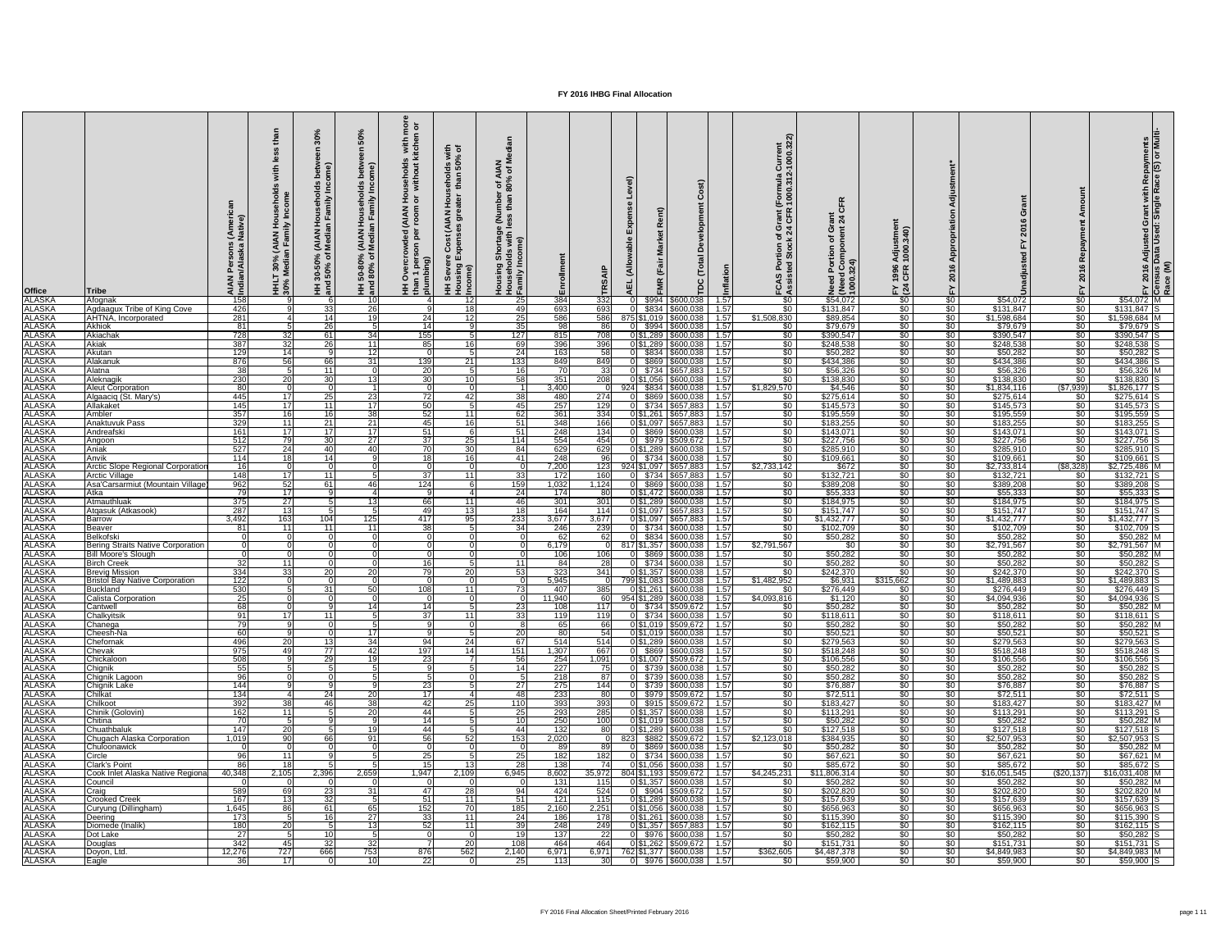| <b>Office</b><br><b>ALASKA</b> | <b>Tribe</b><br>Afognak                                  | (Ame<br>Native<br><b>Per</b><br><b>AIAN</b><br>Indiar<br>158 | with<br>sehold<br>come<br>ਸ ਵ<br><b>NAN</b><br>Fami<br>$\mathcal{Z}$ $\mathsf{E}$<br>T 30%<br>Media<br>HHL<br>30%<br>Q | 0<br>ome)<br>$\tilde{\mathbf{r}}$<br>Family<br>$\epsilon$<br>(AIAN<br>Media<br>న్ స<br>$30 - 50$<br>  50%<br>.<br>2 HH<br>and | ŠŌ<br>viiu<br>wil<br>HH 50-80% (AIAN Hou<br>and 80% of Median Fa | $\overline{9}$ $\overline{0}$<br>s with<br>kitcher<br>sehold:<br>/ithout<br>Z E<br>TOOI<br>TOOI<br>$\frac{1}{2}$<br>$5^{\circ}$<br>HH Overcr<br>than 1 pers<br>plumbing) | 토 ㅎ<br>$\frac{6}{9}$<br>ᄒ<br>than<br>동<br>$\frac{1}{2}$<br>$\sum_{i=1}^{n}$<br>$\bar{5}$<br>$\overline{4}$ $\frac{6}{9}$<br>ပိ<br>HH Sever<br>Housing<br>Income)<br>12 | $z \ge$<br>$\overline{4}$ $\overline{6}$<br>$\frac{80\%}{1}$<br>n<br>thai<br>e (Nu<br>Shortage<br>Ids with I<br>come)<br>g Sho<br>olds<br>Housin<br>House <del>l</del><br>Family<br>25 | ollment<br>Ēη<br>384    | 面<br>332        |               | (Fair<br>\$600,038                             | Õ<br>Developm<br>otal<br>ヒ<br>pc<br>1.57 | urrent<br>000.322)<br>(Formula)<br>21:000.31<br>rant<br>ပ္ ဖြ<br>\$0 | $\mathbf{R}$<br>$\frac{1}{6}$ $\frac{4}{4}$<br>こうこう こうしゃ<br>Need<br>(Neec<br>1000.<br>\$54,072 | $\frac{1}{40}$<br>Adjus<br>1000.<br>1996<br>CFR<br>$E \times 4$<br>$\frac{1}{20}$ | \$0                             | ဖ<br>$\overline{a}$<br>$\mathsf{S}$<br>\$54,072 | $\sqrt{60}$                            | ဖ<br>$$54,072$ M               | Adjusted Grant with Repayments<br>Data Used: Single Race (S) or Multi-<br>$\frac{5}{2}$ |
|--------------------------------|----------------------------------------------------------|--------------------------------------------------------------|------------------------------------------------------------------------------------------------------------------------|-------------------------------------------------------------------------------------------------------------------------------|------------------------------------------------------------------|--------------------------------------------------------------------------------------------------------------------------------------------------------------------------|------------------------------------------------------------------------------------------------------------------------------------------------------------------------|----------------------------------------------------------------------------------------------------------------------------------------------------------------------------------------|-------------------------|-----------------|---------------|------------------------------------------------|------------------------------------------|----------------------------------------------------------------------|------------------------------------------------------------------------------------------------|-----------------------------------------------------------------------------------|---------------------------------|-------------------------------------------------|----------------------------------------|--------------------------------|-----------------------------------------------------------------------------------------|
| <b>ALASKA</b>                  | <b>Agdaagux Tribe of King Cove</b>                       | 426                                                          | -9 I                                                                                                                   | 33                                                                                                                            | 26                                                               |                                                                                                                                                                          | 18                                                                                                                                                                     | 49                                                                                                                                                                                     | 693                     | 693             | \$834         | \$600,038                                      | 1.57                                     | $\sqrt{50}$                                                          | \$131,847                                                                                      | $\sqrt{50}$                                                                       | $\frac{1}{6}$                   | \$131,847                                       | \$0                                    | $$131,847$ S                   |                                                                                         |
| <b>ALASKA</b>                  | <b>AHTNA, Incorporated</b>                               | 281                                                          |                                                                                                                        | 14                                                                                                                            |                                                                  | 24                                                                                                                                                                       | 12                                                                                                                                                                     | 25                                                                                                                                                                                     | 586                     | 586             |               | 875 \$1,019 \$600,038                          | 1.57                                     | \$1,508,830                                                          | \$89,854                                                                                       | $\sqrt{50}$                                                                       | $\frac{1}{6}$                   | \$1,598,684                                     | $\sqrt{60}$                            | $$1,598,684$ M                 |                                                                                         |
| <b>ALASKA</b>                  | Akhiok                                                   | 81                                                           | $5 \frac{1}{2}$                                                                                                        | 26                                                                                                                            |                                                                  | 14                                                                                                                                                                       |                                                                                                                                                                        | 35                                                                                                                                                                                     | 98                      | 86              | \$994         | \$600,038                                      | 1.57                                     | $\sqrt{50}$                                                          | \$79,679                                                                                       | $\overline{50}$                                                                   | $\frac{1}{50}$                  | \$79,679                                        | $\sqrt{50}$                            | $$79,679$ S                    |                                                                                         |
| <b>ALASKA</b><br><b>ALASKA</b> | Akiachak<br><b>Akiak</b>                                 | 728<br>387                                                   | 32<br>32                                                                                                               | <b>61</b><br>26                                                                                                               | -34 I<br>11                                                      | 155<br>85                                                                                                                                                                | 16 <sup>1</sup>                                                                                                                                                        | 127<br>-69                                                                                                                                                                             | 815<br>396              | 708<br>396      | 0 \$1,289     | $0 $1,289$ \\$600,038<br>\$600,038             | 1.57<br>1.57                             | $\sqrt{50}$<br>$\sqrt{50}$                                           | \$390,547<br>\$248,538                                                                         | $\frac{1}{30}$<br>$\sqrt{30}$                                                     | $\frac{1}{2}$<br>$\frac{1}{6}$  | \$390,547<br>\$248,538                          | $\sqrt[6]{30}$<br>$rac{1}{\sqrt{2}}$   | $$390,547$ S<br>\$248,538      |                                                                                         |
| <b>ALASKA</b>                  | Akutan                                                   | 129                                                          | 14                                                                                                                     | -9                                                                                                                            | -12                                                              |                                                                                                                                                                          |                                                                                                                                                                        | $\overline{24}$                                                                                                                                                                        | 163                     |                 |               | \$834 \$600,038                                | 1.57                                     | \$0                                                                  | \$50,282                                                                                       | $\sqrt{50}$                                                                       | \$0                             | \$50,282                                        | $\frac{1}{2}$                          | \$50,282                       |                                                                                         |
| <b>ALASKA</b>                  | Alakanuk                                                 | 876                                                          | 56                                                                                                                     | 66                                                                                                                            | -31                                                              | 139                                                                                                                                                                      | 21                                                                                                                                                                     | 133                                                                                                                                                                                    | 849                     | 849             | \$869         | \$600,038                                      | 1.57                                     | $\sqrt{60}$                                                          | \$434,386                                                                                      | \$0                                                                               | $\frac{1}{6}$                   | \$434,386                                       | $rac{1}{\sqrt{2}}$                     | \$434,386                      |                                                                                         |
| <b>ALASKA</b>                  | Alatna                                                   | 38                                                           | -5                                                                                                                     | 11                                                                                                                            |                                                                  | $\overline{20}$                                                                                                                                                          |                                                                                                                                                                        | - 16 I                                                                                                                                                                                 | 70                      | 33              |               | 0 \$734 \$657,883                              | 1.57                                     | $\sqrt{50}$                                                          | \$56,326                                                                                       | \$0                                                                               | \$0                             | \$56,326                                        | $rac{1}{50}$                           | $$56,326$ M                    |                                                                                         |
| <b>ALASKA</b>                  | Aleknagik                                                | 230                                                          | 20 <sup>1</sup>                                                                                                        | 30                                                                                                                            |                                                                  | 30                                                                                                                                                                       | 10                                                                                                                                                                     | 58                                                                                                                                                                                     | 351                     | 208             | $0$ \$1,056   | \$600,038                                      | 1.57                                     | \$0                                                                  | \$138,830                                                                                      | \$0                                                                               | \$0                             | \$138,830                                       | $\sqrt{50}$                            | \$138,830                      |                                                                                         |
| <b>ALASKA</b><br><b>ALASKA</b> | <b>Aleut Corporation</b><br>Algaaciq (St. Mary's)        | 80<br>445                                                    | 17 I                                                                                                                   | 25                                                                                                                            | -231                                                             | $\overline{72}$                                                                                                                                                          | 42                                                                                                                                                                     | $\overline{38}$                                                                                                                                                                        | 3,400<br>480            | 924<br>274      | $\Omega$      | \$834 \$600,038<br>\$869 \$600,038             | 1.57<br>1.57                             | \$1,829,570<br>$\sqrt{50}$                                           | \$4,546<br>\$275,614                                                                           | $\sqrt{50}$<br>$\sqrt{50}$                                                        | $\frac{1}{6}$<br>$\frac{1}{6}$  | \$1,834,116<br>\$275,614                        | (\$7,939)<br><b>\$0</b>                | $$1,826,177$ S<br>$$275,614$ S |                                                                                         |
| <b>ALASKA</b>                  | Allakaket                                                | 145                                                          | 17 <sup>1</sup>                                                                                                        | 11                                                                                                                            | -17                                                              | 50                                                                                                                                                                       |                                                                                                                                                                        | 45                                                                                                                                                                                     | 257                     | 129             | \$734         | \$657,883                                      | 1.57                                     | $\sqrt{50}$                                                          | \$145,573                                                                                      | $\sqrt{50}$                                                                       | $\frac{1}{6}$                   | \$145,573                                       | $\sqrt[6]{30}$                         | \$145,573                      |                                                                                         |
| <b>ALASKA</b>                  | Ambler                                                   | 357                                                          | 16 <sup>1</sup>                                                                                                        | 16                                                                                                                            | 38 <sup>°</sup>                                                  | 52                                                                                                                                                                       | 11                                                                                                                                                                     | 62                                                                                                                                                                                     | 361                     | 334             | 0 \$1,261     | \$657,883                                      | 1.57                                     | $\sqrt{50}$                                                          | \$195,559                                                                                      | $\sqrt{50}$                                                                       | $\frac{1}{6}$                   | \$195,559                                       | $\sqrt{50}$                            | $$195,559$ S                   |                                                                                         |
| <b>ALASKA</b>                  | <b>Anaktuvuk Pass</b>                                    | 329                                                          | 11                                                                                                                     | 21                                                                                                                            | 21                                                               | 45                                                                                                                                                                       | 16                                                                                                                                                                     | 51                                                                                                                                                                                     | 348                     | 166             |               | 0 \$1,097 \$657,883                            | 1.57                                     | $\sqrt{50}$                                                          | \$183,255                                                                                      | \$0                                                                               | \$0                             | \$183,255                                       | $rac{1}{5}$                            | $$183,255$ S                   |                                                                                         |
| <b>ALASKA</b>                  | Andreafski                                               | 161                                                          | 17 <sup>1</sup>                                                                                                        | 17                                                                                                                            | 17                                                               | 51                                                                                                                                                                       |                                                                                                                                                                        | 51                                                                                                                                                                                     | 248                     | 134             | \$869         | \$600,038                                      | 1.57                                     | $\sqrt{50}$                                                          | \$143,071                                                                                      | $\sqrt{50}$                                                                       | $\frac{1}{6}$                   | \$143,071                                       | $\sqrt{50}$                            | $$143,071$ S                   |                                                                                         |
| <b>ALASKA</b><br><b>ALASKA</b> | Angoon<br>Aniak                                          | 512<br>527                                                   | $\overline{79}$<br>$\overline{24}$                                                                                     | 30<br>40                                                                                                                      | $\overline{27}$<br>-40                                           | 37<br>70                                                                                                                                                                 | 25<br>$\overline{30}$                                                                                                                                                  | 114<br>84                                                                                                                                                                              | 554<br>629              | 454<br>629      | 0 \$1,289     | 0 \$979 \$509,672<br>\$600,038                 | 1.57<br>1.57                             | $\sqrt{50}$<br>$\overline{50}$                                       | \$227,756<br>\$285,910                                                                         | $\sqrt{50}$<br>$\sqrt{50}$                                                        | \$0<br>$\frac{1}{6}$            | \$227,756<br>\$285,910                          | $\frac{1}{30}$<br>$\frac{1}{2}$        | $$227,756$ S<br>$$285,910$ S   |                                                                                         |
| <b>ALASKA</b>                  | Anvik                                                    | 114                                                          | 18 <sup>l</sup>                                                                                                        | 14                                                                                                                            |                                                                  | 18 <sup>1</sup>                                                                                                                                                          | 16 <sup>1</sup>                                                                                                                                                        | 41                                                                                                                                                                                     | 248                     | ୍ରନା            |               | $0$ \$734 \$600,038                            | 1.57                                     | $\sqrt{50}$                                                          | \$109,661                                                                                      | $\overline{50}$                                                                   | $\frac{1}{2}$                   | \$109,661                                       | $\frac{1}{6}$                          | $$109,661$ S                   |                                                                                         |
| ALASKA                         | <b>Arctic Slope Regional Corporation</b>                 |                                                              |                                                                                                                        |                                                                                                                               |                                                                  |                                                                                                                                                                          |                                                                                                                                                                        |                                                                                                                                                                                        | 7,200                   |                 |               | $924$   \$1,097   \$657,883                    | 1.5/                                     | \$2,733,142                                                          | \$672                                                                                          | <b>SO</b>                                                                         | <b>SO</b>                       | \$2,733,814                                     | (\$8,328)                              | \$2,725,486 M                  |                                                                                         |
| <b>ALASKA</b>                  | Arctic Village                                           | 148                                                          | 17I                                                                                                                    | 11                                                                                                                            |                                                                  | 37 <sup>1</sup>                                                                                                                                                          | 11                                                                                                                                                                     | 33                                                                                                                                                                                     | 172                     | 160             |               | \$734 \$657,883                                | 1.57                                     | SO.                                                                  | \$132,721                                                                                      | $\sqrt{30}$                                                                       | $\frac{1}{6}$                   | \$132,721                                       | <b>SO</b>                              | $$132,721$ S                   |                                                                                         |
| <b>ALASKA</b><br><b>ALASKA</b> | Asa'Carsarmiut (Mountain Village<br>Atka                 | 962<br>791                                                   | 52<br>17I                                                                                                              | 61 I                                                                                                                          | 46                                                               | 124                                                                                                                                                                      |                                                                                                                                                                        | 159<br>-24 I                                                                                                                                                                           | 1,032<br>174            | 1,124           | \$869         | \$600,038<br>0 \$1,472 \$600,038               | 1.57<br>1.57                             | \$0<br>\$0                                                           | \$389,208<br>\$55,333                                                                          | \$0 <sub>1</sub><br>$\sqrt{30}$                                                   | $rac{1}{50}$<br>$\frac{1}{2}$   | \$389,208<br>\$55,333                           | \$0<br><b>\$0</b> 1                    | $$389,208$ S<br>$$55,333$ S    |                                                                                         |
| <b>ALASKA</b>                  | Atmauthluak                                              | 375                                                          | 27 <sup>1</sup>                                                                                                        |                                                                                                                               |                                                                  | 66                                                                                                                                                                       | 11                                                                                                                                                                     | 46                                                                                                                                                                                     | 301                     | 301             | 0 \$1,289     | \$600,038                                      | 1.57                                     | \$0                                                                  | \$184,975                                                                                      | \$0 <sub>1</sub>                                                                  | \$0                             | \$184,975                                       | \$0                                    | $$184,975$ S                   |                                                                                         |
| <b>ALASKA</b>                  | Atgasuk (Atkasook)                                       | $\overline{287}$                                             | 13 <sup>l</sup>                                                                                                        |                                                                                                                               |                                                                  | 49                                                                                                                                                                       | 13 <sub>l</sub>                                                                                                                                                        | 18                                                                                                                                                                                     | 164                     | 114             |               | 0 \$1,097 \$657,883                            | 1.57                                     | \$0                                                                  | \$151,747                                                                                      | $\sqrt{30}$                                                                       | $\frac{1}{2}$                   | \$151,747                                       | \$0                                    | $$151,747$ S                   |                                                                                         |
| <b>ALASKA</b>                  | <b>Barrow</b>                                            | 3,492                                                        | 163                                                                                                                    | 104                                                                                                                           | 125                                                              | 417                                                                                                                                                                      | 95                                                                                                                                                                     | 233                                                                                                                                                                                    | 3,677                   | 3,677           |               | 0 \$1,097 \$657,883                            | 1.57                                     | <b>SO</b>                                                            | \$1,432,777                                                                                    | \$0 <sub>1</sub>                                                                  | $rac{1}{50}$                    | \$1,432,777                                     | \$0 <sub>1</sub>                       | $$1,432,777$ S                 |                                                                                         |
| <b>ALASKA</b><br><b>ALASKA</b> | <b>Beaver</b><br><b>Belkofski</b>                        | -81                                                          | 11 I                                                                                                                   | 11 I                                                                                                                          | -11                                                              | 38                                                                                                                                                                       |                                                                                                                                                                        | 34                                                                                                                                                                                     | 246<br>62               | 239             |               | 0 \$734 \$600,038<br>\$834 \$600,038           | $-1.57$<br>1.57                          | \$0<br>\$0                                                           | \$102,709<br>\$50,282                                                                          | $\sqrt{30}$<br>$\sqrt{50}$                                                        | $\frac{1}{6}$<br>$\frac{1}{2}$  | \$102,709<br>\$50,282                           | $rac{1}{50}$<br>\$0 <sub>1</sub>       | $$102,709$ S<br>$$50,282$ M    |                                                                                         |
| <b>ALASKA</b>                  | <b>Bering Straits Native Corporation</b>                 |                                                              |                                                                                                                        |                                                                                                                               |                                                                  |                                                                                                                                                                          |                                                                                                                                                                        |                                                                                                                                                                                        | 6,179                   |                 |               | 817 \$1,357 \$600,038                          | $-1.57$                                  | \$2,791,567                                                          | <b>SO</b>                                                                                      | $\sqrt{50}$                                                                       | \$0                             | \$2,791,567                                     | \$0 <sub>1</sub>                       | $$2,791,567$ M                 |                                                                                         |
| <b>ALASKA</b>                  | <b>Bill Moore's Slough</b>                               |                                                              |                                                                                                                        |                                                                                                                               |                                                                  |                                                                                                                                                                          |                                                                                                                                                                        |                                                                                                                                                                                        | 106                     | 106             | OL.           | \$869 \$600,038                                | 1.57                                     | \$0                                                                  | \$50,282                                                                                       | $\overline{50}$                                                                   | $\frac{1}{2}$                   | \$50,282                                        | $\frac{1}{2}$                          | $$50,282$ M                    |                                                                                         |
| <b>ALASKA</b>                  | <b>Birch Creek</b>                                       | 32                                                           | 11 I                                                                                                                   |                                                                                                                               |                                                                  | 16I                                                                                                                                                                      |                                                                                                                                                                        | -11 I                                                                                                                                                                                  | 84                      | -281            |               | $0$ \$734 \$600,038                            | 1.57                                     | <b>SO</b>                                                            | \$50,282                                                                                       | $\sqrt{30}$                                                                       | $\frac{1}{2}$                   | \$50,282                                        | \$0 <sub>1</sub>                       | $$50,282$ S                    |                                                                                         |
| <b>ALASKA</b>                  | <b>Brevig Mission</b>                                    | 334                                                          | 33                                                                                                                     | 20 <sub>l</sub>                                                                                                               |                                                                  | 79                                                                                                                                                                       | 20                                                                                                                                                                     | 53                                                                                                                                                                                     | 323                     | 341             |               | $\overline{0 81,357 8600,038}$                 | 1.57                                     | \$0                                                                  | \$242,370                                                                                      | $\sqrt{30}$                                                                       | $\frac{1}{6}$                   | \$242,370                                       | \$0 <sub>1</sub>                       | $$242,370$ S                   |                                                                                         |
| <b>ALASKA</b><br><b>ALASKA</b> | <b>Bristol Bay Native Corporation</b><br><b>Buckland</b> | 122<br>530                                                   |                                                                                                                        | 311                                                                                                                           | 50                                                               | 108                                                                                                                                                                      | 11                                                                                                                                                                     | 73                                                                                                                                                                                     | 5,945<br>407            | 385             |               | 799 \$1,083   \$600,038<br>0 \$1,261 \$600,038 | 1.57<br>1.57                             | \$1,482,952<br><b>SO</b>                                             | \$6,931<br>\$276,449                                                                           | \$315,662<br>\$0 <sub>1</sub>                                                     | $\frac{1}{6}$<br>$rac{1}{2}$    | \$1,489,883<br>\$276,449                        | $rac{1}{50}$<br>\$0                    | \$1,489,883<br>$$276,449$ S    |                                                                                         |
| <b>ALASKA</b>                  | Calista Corporation                                      | 25                                                           |                                                                                                                        |                                                                                                                               |                                                                  |                                                                                                                                                                          |                                                                                                                                                                        |                                                                                                                                                                                        | 11,940                  |                 | $954$ \$1,289 | \$600,038                                      | 1.57                                     | \$4,093,816                                                          | \$1,120                                                                                        | $\sqrt{50}$                                                                       | $\frac{1}{2}$                   | \$4,094,936                                     | $\sqrt{50}$                            | $$4,094,936$ S                 |                                                                                         |
| <b>ALASKA</b>                  | Cantwell                                                 | 68                                                           |                                                                                                                        |                                                                                                                               |                                                                  | 14                                                                                                                                                                       |                                                                                                                                                                        | 23                                                                                                                                                                                     | 108                     | 117             | ΩL            | \$734 \$509,672                                | 1.57                                     | \$0                                                                  | \$50,282                                                                                       | $\sqrt{50}$                                                                       | $\frac{1}{2}$                   | \$50,282                                        | $\sqrt{50}$                            | $$50,282$ M                    |                                                                                         |
| <b>ALASKA</b>                  | Chalkyitsik                                              | 91                                                           |                                                                                                                        | 11                                                                                                                            |                                                                  | 371                                                                                                                                                                      | 11                                                                                                                                                                     | 33                                                                                                                                                                                     | 119                     | 119             |               | $0$ \$734 \$600,038                            | $-1.57$                                  | \$0                                                                  | \$118,611                                                                                      | \$0 <sub>1</sub>                                                                  | $rac{1}{50}$                    | \$118,611                                       | <b>SO</b> 1                            | $$118,611$ S                   |                                                                                         |
| <b>ALASKA</b><br><b>ALASKA</b> | Chanega<br>Cheesh-Na                                     | 79<br>60                                                     |                                                                                                                        |                                                                                                                               | -17                                                              |                                                                                                                                                                          |                                                                                                                                                                        | 20                                                                                                                                                                                     | 65<br>80                | 66<br>54        |               | 0 \$1,019 \$509,672<br>0 \$1,019 \$600,038     | $-1.57$<br>$-1.57$                       | \$0<br>$\sqrt{50}$                                                   | \$50,282<br>\$50,521                                                                           | $\sqrt{50}$<br>$\sqrt{50}$                                                        | $\frac{1}{2}$<br>$\frac{1}{2}$  | \$50,282<br>\$50,521                            | \$0 <sub>1</sub><br>$\frac{1}{20}$     | $$50,282$ M<br>$$50,521$ S     |                                                                                         |
| <b>ALASKA</b>                  | Chefornak                                                | 496                                                          | 20                                                                                                                     | 131                                                                                                                           | 34                                                               | 94                                                                                                                                                                       | 24                                                                                                                                                                     | 67                                                                                                                                                                                     | $\overline{514}$        | 514             |               | 0 \$1,289 \$600,038                            | 1.57                                     | \$0                                                                  | \$279,563                                                                                      | $\sqrt{30}$                                                                       | $\frac{1}{6}$                   | \$279,563                                       | $rac{1}{50}$                           | \$279,563                      |                                                                                         |
| <b>ALASKA</b>                  | Chevak                                                   | 975                                                          | 491                                                                                                                    | 77                                                                                                                            | $\mathbf{A}$                                                     | 197                                                                                                                                                                      | 14                                                                                                                                                                     | 151                                                                                                                                                                                    | 1,307                   | 667             |               | $0$ \$869 \$600,038                            | $-1.57$                                  | \$0                                                                  | \$518,248                                                                                      | \$0                                                                               | \$0                             | \$518,248                                       | \$0 <sub>1</sub>                       | $$518,248$ S                   |                                                                                         |
| <b>ALASKA</b>                  | Chickaloon                                               | 508                                                          |                                                                                                                        | 29                                                                                                                            |                                                                  | <b>23</b>                                                                                                                                                                |                                                                                                                                                                        | 56                                                                                                                                                                                     | 254                     | 1,091           |               | $\overline{0 \$1,007}$ \\$509,672              | 1.57                                     | $\sqrt{60}$                                                          | \$106,556                                                                                      | $\sqrt{50}$                                                                       | \$0                             | \$106,556                                       | $rac{1}{50}$                           | $$106,556$ S                   |                                                                                         |
| <b>ALASKA</b><br><b>ALASKA</b> | Chignik<br>Chignik Lagoon                                | 55<br>96                                                     |                                                                                                                        |                                                                                                                               |                                                                  |                                                                                                                                                                          |                                                                                                                                                                        | 14                                                                                                                                                                                     | 227<br>$\overline{218}$ | 75<br>87 I      |               | 0 \$739 \$600,038<br>0 \$739 \$600,038         | 1.57<br>1.57                             | $\sqrt{50}$<br>$\sqrt{30}$                                           | \$50,282<br>\$50,282                                                                           | $\sqrt{50}$<br>$\sqrt{30}$                                                        | $\frac{1}{2}$<br>$\frac{1}{2}$  | \$50,282<br>\$50,282                            | $rac{1}{\sqrt{2}}$<br>\$0 <sub>1</sub> | $$50,282$ S<br>$$50,282$ S     |                                                                                         |
| <b>ALASKA</b>                  | Chignik Lake                                             | 144                                                          |                                                                                                                        |                                                                                                                               |                                                                  | 23                                                                                                                                                                       |                                                                                                                                                                        | 27                                                                                                                                                                                     | 275                     | 144             | \$739         | \$600,038                                      | 1.57                                     | $\sqrt{30}$                                                          | \$76,887                                                                                       | $\sqrt{30}$                                                                       | $rac{1}{50}$                    | \$76,887                                        | <b>\$0</b> 1                           | \$76,887                       |                                                                                         |
| <b>ALASKA</b>                  | Chilkat                                                  | 134                                                          |                                                                                                                        | -24 I                                                                                                                         | -20                                                              | 17 <sup>1</sup>                                                                                                                                                          |                                                                                                                                                                        | 48                                                                                                                                                                                     | 233                     | 80              |               | \$979 \$509,672                                | 1.57                                     | $\sqrt{50}$                                                          | \$72,511                                                                                       | $\sqrt{50}$                                                                       | $rac{1}{2}$                     | \$72,511                                        | $rac{1}{50}$                           | $$72,511$ S                    |                                                                                         |
| <b>ALASKA</b>                  | Chilkoot                                                 | 392                                                          | 38                                                                                                                     | 46I                                                                                                                           | 38                                                               | 42                                                                                                                                                                       |                                                                                                                                                                        | 110                                                                                                                                                                                    | 393                     | 393             |               | 0 \$915 \$509,672                              | 1.57                                     | \$0 <sub>1</sub>                                                     | \$183,427                                                                                      | $\sqrt{50}$                                                                       | $\frac{1}{2}$                   | \$183,427                                       | \$0 <sub>1</sub>                       | $$183,427$ M                   |                                                                                         |
| <b>ALASKA</b><br><b>ALASKA</b> | Chinik (Golovin)                                         | 162<br>70                                                    | 11 I                                                                                                                   |                                                                                                                               | -20                                                              | 44<br>14                                                                                                                                                                 |                                                                                                                                                                        | 25<br>10                                                                                                                                                                               | 293<br>250              | 285<br>100      |               | 0 \$1,357 \$600,038<br>0 \$1,019 \$600,038     | 1.57<br>$-1.57$                          | $\sqrt{50}$<br>$\sqrt{50}$                                           | \$113,291<br>\$50,282                                                                          | $\sqrt{30}$<br>$\sqrt{50}$                                                        | $\frac{1}{30}$<br>$\frac{1}{2}$ | \$113,291<br>\$50,282                           | $rac{1}{50}$<br>$\frac{1}{20}$         | $$113,291$ S<br>$$50,282$ M    |                                                                                         |
| <b>ALASKA</b>                  | Chitina<br>Chuathbaluk                                   | 147                                                          | 20                                                                                                                     |                                                                                                                               |                                                                  | 44                                                                                                                                                                       |                                                                                                                                                                        | $\overline{44}$                                                                                                                                                                        | 132                     |                 |               | 0 \$1,289 \$600,038                            | $-1.57$                                  | \$0                                                                  | \$127,518                                                                                      | $\overline{50}$                                                                   | $\frac{1}{20}$                  | \$127,518                                       | <b>SO</b> 1                            | $$127,518$ S                   |                                                                                         |
| <b>ALASKA</b>                  | Chugach Alaska Corporation                               | 1,019                                                        | .90 l                                                                                                                  | 66I                                                                                                                           | 91                                                               | 56                                                                                                                                                                       | 52 <sub>l</sub>                                                                                                                                                        | 153                                                                                                                                                                                    | 2,020                   | 823             |               | \$882 \$509,672                                | $-1.57$                                  | \$2,123,018                                                          | \$384,935                                                                                      | \$0 <sub>1</sub>                                                                  | $\frac{1}{2}$                   | \$2,507,953                                     | .so I                                  | $$2,507,953$ S                 |                                                                                         |
| <b>ALASKA</b>                  | Chuloonawick                                             |                                                              |                                                                                                                        |                                                                                                                               |                                                                  |                                                                                                                                                                          |                                                                                                                                                                        |                                                                                                                                                                                        | -89                     |                 | \$869         | \$600,038                                      | 1.57                                     | <b>SO</b>                                                            | \$50,282                                                                                       | $\sqrt{30}$                                                                       | $\frac{1}{6}$                   | \$50,282                                        | $\frac{1}{6}$                          | \$50,282 M                     |                                                                                         |
| <b>ALASKA</b>                  | Circle                                                   | 96                                                           | 11 I                                                                                                                   |                                                                                                                               |                                                                  | 25 <sub>l</sub>                                                                                                                                                          |                                                                                                                                                                        | <b>25</b>                                                                                                                                                                              | 182                     | 182             | \$734         | \$600,038                                      | 1.57                                     | \$0                                                                  | \$67,621                                                                                       | $\sqrt{50}$                                                                       | $\frac{1}{6}$                   | \$67,621                                        | <b>\$0</b> 1                           | $$67,621$ M                    |                                                                                         |
| <b>ALASKA</b><br><b>ALASKA</b> | <b>Clark's Point</b><br>Cook Inlet Alaska Native Regiona | 86<br>40,348                                                 | 18I<br>2,105                                                                                                           | 2,396                                                                                                                         | 2,659                                                            | 15<br>1,947                                                                                                                                                              | 2,109                                                                                                                                                                  | <b>28</b><br>6,945                                                                                                                                                                     | 138<br>8,602            | 35,972          |               | 0 \$1,056 \$600,038<br>804 \$1,193 \$509,672   | 1.57<br>1.57                             | $\sqrt{50}$<br>\$4,245,231                                           | \$85,672<br>\$11,806,314                                                                       | $\sqrt{50}$<br>$\sqrt{50}$                                                        | $\frac{1}{2}$<br>$\frac{1}{30}$ | \$85,672<br>\$16,051,545                        | $rac{1}{50}$<br>(\$20,137)             | $$85,672$ S<br>$$16,031,408$ M |                                                                                         |
| <b>ALASKA</b>                  | Council                                                  |                                                              |                                                                                                                        |                                                                                                                               |                                                                  |                                                                                                                                                                          |                                                                                                                                                                        |                                                                                                                                                                                        | 131                     | 115             |               | 0 \$1,357 \$600,038                            | 1.57                                     | \$0                                                                  | \$50,282                                                                                       | $\sqrt{30}$                                                                       | $rac{1}{2}$                     | \$50,282                                        | -SO 1                                  | \$50,282 M                     |                                                                                         |
| <b>ALASKA</b>                  | Craig                                                    | 589                                                          | 69                                                                                                                     | 23                                                                                                                            | -31                                                              | 471                                                                                                                                                                      | 28                                                                                                                                                                     | 94                                                                                                                                                                                     | 424                     | 524             |               | 0 \$904 \$509,672                              | 1.57                                     | \$0                                                                  | \$202,820                                                                                      | $\sqrt{30}$                                                                       | $\frac{1}{2}$                   | \$202,820                                       | \$0 <sub>1</sub>                       | \$202,820 M                    |                                                                                         |
| <b>ALASKA</b>                  | <b>Crooked Creek</b>                                     | 167                                                          | 13 <sup>l</sup>                                                                                                        | 321                                                                                                                           |                                                                  | 51                                                                                                                                                                       | 11                                                                                                                                                                     | 51                                                                                                                                                                                     | 121                     | 115             | 0 \$1,289     | \$600,038                                      | 1.57                                     | $\sqrt{50}$                                                          | \$157,639                                                                                      | $\sqrt{50}$                                                                       | $\frac{1}{2}$                   | \$157,639                                       | $\frac{1}{20}$                         | \$157,639                      |                                                                                         |
| <b>ALASKA</b><br><b>ALASKA</b> | Curyung (Dillingham)<br>Deering                          | 1,645<br>173                                                 | 86                                                                                                                     | 61 I<br>16 <sup>1</sup>                                                                                                       | .65<br>27                                                        | 152<br>331                                                                                                                                                               | 70I<br>11                                                                                                                                                              | 185<br>24                                                                                                                                                                              | 2,160<br>186            | 2,251<br>178    |               | 0 \$1,056 \$600,038<br>0 \$1,261 \$600,038     | 1.57<br>$-1.57$                          | \$0<br>\$0                                                           | \$656,963<br>\$115,390                                                                         | $\sqrt{30}$<br>\$0 <sub>1</sub>                                                   | $\frac{1}{6}$<br>$\frac{1}{2}$  | \$656,963<br>\$115,390                          | \$0 <sub>1</sub><br>\$0 <sub>1</sub>   | \$656,963 S<br>$$115,390$ S    |                                                                                         |
| <b>ALASKA</b>                  | Diomede (Inalik)                                         | 180                                                          | <b>20</b>                                                                                                              |                                                                                                                               |                                                                  | 52                                                                                                                                                                       | 11                                                                                                                                                                     | 39                                                                                                                                                                                     | 248                     | 249             |               | $0$ \$1,357 \$657,883 1.57                     |                                          | $\sqrt{30}$                                                          | \$162, 115                                                                                     |                                                                                   |                                 | \$162, 115                                      | \$0 <sub>1</sub>                       | $$162, 115$ S                  |                                                                                         |
| <b>ALASKA</b>                  | Dot Lake                                                 | 27                                                           |                                                                                                                        | 10                                                                                                                            |                                                                  |                                                                                                                                                                          |                                                                                                                                                                        | 19                                                                                                                                                                                     | 137                     | -22             |               | $0$ \$976 \$600,038 1.57                       |                                          | $\frac{1}{30}$                                                       | \$50,282                                                                                       | $rac{$0}{$0}$                                                                     | $rac{$0}{$0}$                   | \$50,282                                        | \$0                                    | $$50,282$ S                    |                                                                                         |
| <b>ALASKA</b>                  | <b>Douglas</b>                                           | 342                                                          | 45 I                                                                                                                   | 32                                                                                                                            | 32                                                               |                                                                                                                                                                          | 20                                                                                                                                                                     | 108                                                                                                                                                                                    | 464                     | 464             |               | $0$ \$1,262 \$509,672 1.57                     |                                          | \$0                                                                  | \$151,731                                                                                      | $\sqrt{50}$                                                                       | $\frac{1}{6}$                   | \$151,731                                       | $rac{1}{50}$                           | $$151,731$ S                   |                                                                                         |
| <b>ALASKA</b>                  | Doyon, Ltd.                                              | 12,276                                                       | 727<br>17                                                                                                              | 666                                                                                                                           | 753                                                              | 876                                                                                                                                                                      | 562<br>$\Omega$                                                                                                                                                        | 2,140                                                                                                                                                                                  | 6,971                   | 6,971           |               | 762 \$1,377 \$600,038                          | 1.57                                     | \$362,605                                                            | \$4,487,378                                                                                    | $\sqrt[6]{}$                                                                      | $\frac{1}{6}$                   | \$4,849,983                                     | $\sqrt{50}$                            | $$4,849,983$ M                 |                                                                                         |
| <b>ALASKA</b>                  | Eagle                                                    | 36                                                           |                                                                                                                        | 0                                                                                                                             | <b>10</b>                                                        | $\overline{22}$                                                                                                                                                          |                                                                                                                                                                        | 25                                                                                                                                                                                     | 113                     | 30 <sup>1</sup> |               | $0$ \$976 \$600,038                            | 1.57                                     | \$0                                                                  | \$59,900                                                                                       | $\sqrt{50}$                                                                       | $\frac{1}{50}$                  | \$59,900                                        | $\sqrt{50}$                            | $$59,900$ S                    |                                                                                         |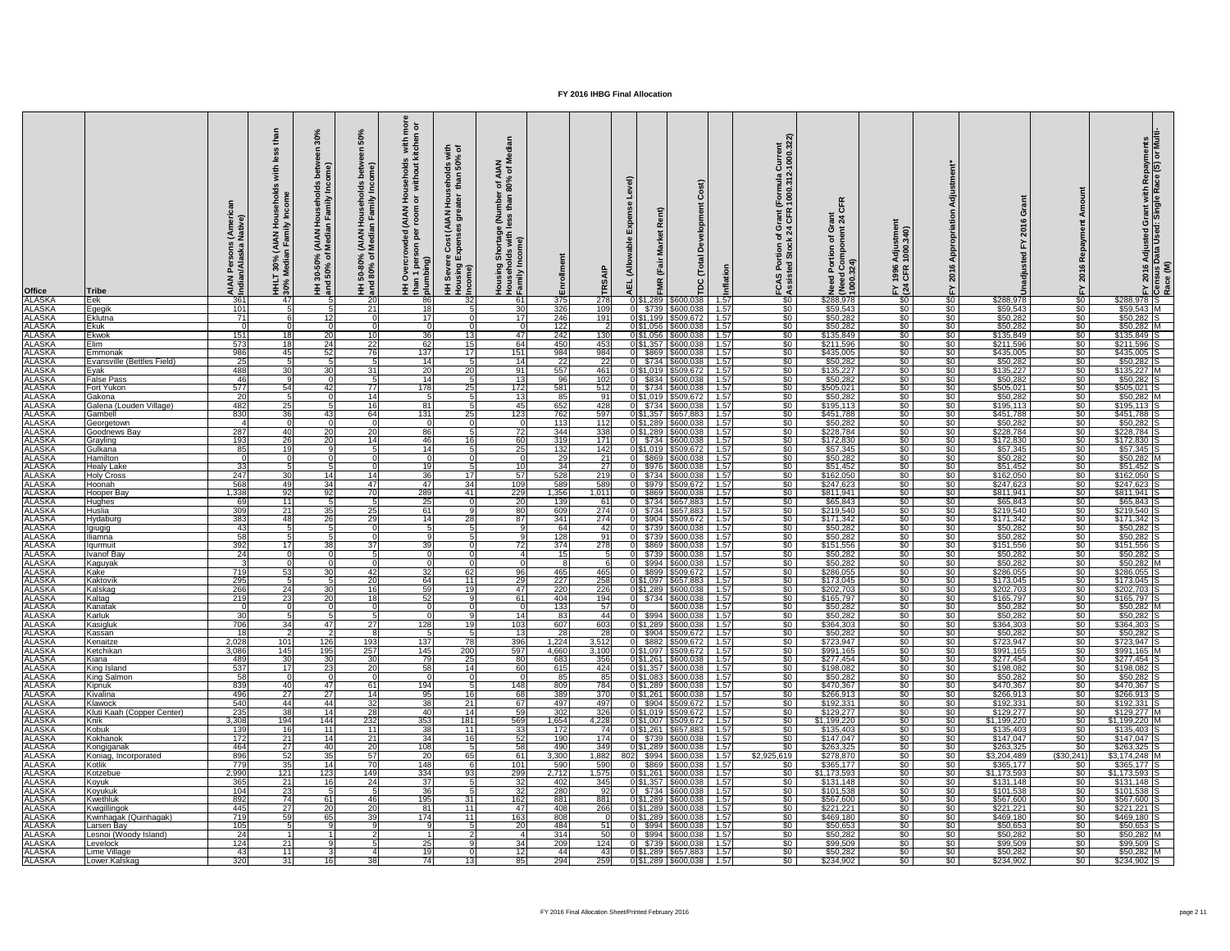| <b>Office</b><br><b>ALASKA</b> | <b>Tribe</b><br>Eek                | ≤ ≗<br><b>AIAN</b><br>Indian<br>361 | ਸ ਵ<br>NA<br>Fam<br><u>र त</u><br>30%<br>Iedia<br>HHL'<br>30%<br>-471 | c<br>Ě<br>mily<br><b>IAN</b><br>edia<br>,<ి ర<br>30-50<br>  50%<br>三<br>王<br>忌 | ន<br>Iseho<br>Imily<br>HH 50-80% (AIAN Hou<br>and 80% of Median Fa<br>-20 | $\overline{9}$ $\overline{6}$<br>s with<br>kitcher<br>usehold:<br>without<br><b>AIAI</b><br>roor<br><u>a</u><br>per<br>HH Overcr<br>than 1 pers<br>plumbing)<br>-86I | $\overline{5}$ $\overline{6}$<br>eholds wi<br>than 50%<br>than<br>$rac{1}{2}$<br>AIAN)<br>Cost<br>HH Sever<br>Housing<br>Income)<br>32 | z ≅<br>$\overline{4}$ ঠ<br>$\frac{80\%}{80\%}$<br>mbel<br>than<br>a<br>Iess<br>tags<br>with I<br>me)<br>$rac{3}{10}$<br>Housin<br>House <del>l</del><br>Family<br>-61 | ollment<br>Ēη<br>375 | 278          | ≤<br>面<br>0 \$1,289 | (Fair<br>\$600,038                         | Õ<br>Developm<br>$\overline{\mathfrak{g}}$<br>$\vec{c}$<br>ヒ<br>pc<br>1.57 | urrent<br>000.322<br>-<br>000.31<br>≝<br>rant<br>ပ္ပ်က္<br>\$0 | $\frac{\alpha}{\mu}$<br><u>ត្ត <math>\alpha</math></u><br>こうこう こうこう<br>Need<br>(Need<br>1000.<br>\$288,978 | $\frac{1}{4}$<br><u>ëš</u><br>1996<br>CFR<br>$E \overline{24}$<br>$\frac{1}{20}$ | $\frac{1}{6}$                   | O<br>ဖ<br>$\overline{20}$<br>$\mathsf{S}$<br>\$288,978 | $\sqrt[6]{30}$                       | ဖ<br>\$288,978                 | Adjusted Grant with Repayments<br>Data Used: Single Race (S) or Multi<br>$\frac{201}{15}$ |
|--------------------------------|------------------------------------|-------------------------------------|-----------------------------------------------------------------------|--------------------------------------------------------------------------------|---------------------------------------------------------------------------|----------------------------------------------------------------------------------------------------------------------------------------------------------------------|----------------------------------------------------------------------------------------------------------------------------------------|-----------------------------------------------------------------------------------------------------------------------------------------------------------------------|----------------------|--------------|---------------------|--------------------------------------------|----------------------------------------------------------------------------|----------------------------------------------------------------|------------------------------------------------------------------------------------------------------------|----------------------------------------------------------------------------------|---------------------------------|--------------------------------------------------------|--------------------------------------|--------------------------------|-------------------------------------------------------------------------------------------|
| <b>ALASKA</b>                  | Egegik                             | 101                                 |                                                                       | 51                                                                             | 21                                                                        | 18                                                                                                                                                                   | Б.                                                                                                                                     | 30                                                                                                                                                                    | 326                  | 109          |                     | 0 \$739 \$600,038                          | 1.57                                                                       | \$0                                                            | \$59,543                                                                                                   | $\sqrt{50}$                                                                      | $\frac{1}{50}$                  | \$59,543                                               | \$0                                  | $$59,543$ M                    |                                                                                           |
| <b>ALASKA</b>                  | Eklutna                            | $\overline{71}$                     |                                                                       | 12                                                                             |                                                                           | 17                                                                                                                                                                   |                                                                                                                                        | 17                                                                                                                                                                    | 246                  | 191          |                     | 0 \$1,199 \$509,672                        | 1.57                                                                       | $\sqrt{50}$                                                    | \$50,282                                                                                                   | $\sqrt{50}$                                                                      | $\frac{1}{6}$                   | \$50,282                                               | $\frac{1}{6}$                        | $$50,282$ S                    |                                                                                           |
| <b>ALASKA</b>                  | <b>Ekuk</b>                        |                                     |                                                                       | $\Omega$                                                                       |                                                                           | $\Omega$                                                                                                                                                             |                                                                                                                                        | - വ                                                                                                                                                                   | 122                  |              |                     | 0 \$1,056 \$600,038                        | 1.57                                                                       | $\sqrt{50}$                                                    | \$50,282                                                                                                   | $\sqrt{50}$                                                                      | $\frac{1}{6}$                   | \$50,282                                               | $rac{1}{\sqrt{2}}$                   | $$50,282$ N                    |                                                                                           |
| <b>ALASKA</b>                  | <b>Ekwok</b>                       | 151                                 | 18I                                                                   | 20 <sup>1</sup>                                                                |                                                                           | 36                                                                                                                                                                   | 13                                                                                                                                     | 47 I                                                                                                                                                                  | 242                  | 130          |                     | 0 \$1,056 \$600,038                        | 1.57                                                                       | $\sqrt{60}$                                                    | \$135,849                                                                                                  | $\sqrt{50}$                                                                      | $\frac{1}{2}$                   | \$135,849                                              | $\sqrt[6]{30}$                       | $$135,849$ S                   |                                                                                           |
|                                | <b>Elim</b>                        | $\overline{573}$                    | <b>18</b>                                                             | 24                                                                             | 22                                                                        | 62                                                                                                                                                                   | 15                                                                                                                                     | 64                                                                                                                                                                    | 450                  | 453          |                     | 0 \$1,357 \$600,038                        | 1.57                                                                       | $\overline{50}$                                                | \$211,596                                                                                                  | $\sqrt{30}$                                                                      | $\frac{1}{6}$                   | \$211,596                                              | $\overline{50}$                      | \$211,596                      |                                                                                           |
| ALASKA<br>ALASKA               | Emmonak                            | 986                                 | 45                                                                    | 52                                                                             | 76                                                                        | 137                                                                                                                                                                  | 17                                                                                                                                     | 151                                                                                                                                                                   | 984                  | 984          |                     | 0 \$869 \$600,038                          | 1.57                                                                       | $\sqrt{50}$                                                    | \$435,005                                                                                                  | $\sqrt{50}$                                                                      | \$0                             | \$435,005                                              | $\frac{1}{2}$                        | \$435,005                      |                                                                                           |
| <u>ALASKA</u><br>ALASKA        | Evansville (Bettles Field)         | $\overline{25}$                     |                                                                       |                                                                                |                                                                           | 14                                                                                                                                                                   |                                                                                                                                        | 14                                                                                                                                                                    | $\overline{22}$      | -22          |                     | 0 \$734 \$600,038                          | 1.57                                                                       | $\sqrt{60}$                                                    | \$50,282                                                                                                   | \$0                                                                              | \$0                             | \$50,282                                               | $rac{1}{\sqrt{2}}$                   | \$50,282                       |                                                                                           |
|                                | Eyak                               | 488                                 | 30                                                                    | 30                                                                             | -31                                                                       | 20                                                                                                                                                                   | 20                                                                                                                                     | 91                                                                                                                                                                    | 557                  | 461          |                     | 0 \$1,019 \$509,672                        | 1.57                                                                       | $\sqrt{50}$                                                    | \$135,227                                                                                                  | \$0                                                                              | \$0                             | \$135,227                                              | $rac{1}{\sqrt{2}}$                   | $$135,227$ M                   |                                                                                           |
| <b>ALASKA</b>                  | <b>False Pass</b>                  | 46                                  |                                                                       |                                                                                |                                                                           | 14                                                                                                                                                                   |                                                                                                                                        | $\overline{13}$                                                                                                                                                       | 96                   | 102          |                     | 0 \$834 \$600,038                          | 1.57                                                                       | $\frac{1}{20}$                                                 | \$50,282                                                                                                   | $\sqrt{50}$                                                                      | \$0                             | \$50,282                                               | $rac{1}{50}$                         | $$50,282$ S                    |                                                                                           |
| <b>ALASKA</b>                  | <b>Fort Yukon</b>                  | 577                                 | 54                                                                    | 42                                                                             | 77                                                                        | 178                                                                                                                                                                  | 25                                                                                                                                     | 172                                                                                                                                                                   | 581                  | 512          |                     | 0 \$734 \$600,038                          | 1.57                                                                       | $\sqrt[6]{30}$                                                 | \$505,021                                                                                                  | $\sqrt{50}$                                                                      | $\frac{1}{6}$                   | \$505,021                                              | $\frac{1}{6}$                        | $$505,021$ S                   |                                                                                           |
| <b>ALASKA</b>                  | Gakona                             | $\overline{20}$                     | Б.                                                                    | - OI                                                                           | 14                                                                        | -51                                                                                                                                                                  | Б.                                                                                                                                     | -13I                                                                                                                                                                  | 85                   | 91           |                     | 0 \$1,019 \$509,672                        | 1.57                                                                       | $\sqrt{50}$                                                    | \$50,282                                                                                                   | $\sqrt{50}$                                                                      | $\frac{1}{50}$                  | \$50,282                                               | \$0 <sub>1</sub>                     | $$50,282$ M                    |                                                                                           |
| <b>ALASKA</b>                  | Galena (Louden Village)<br>Gambell | 482<br>830                          | 25<br>36                                                              | $5 \mid$                                                                       | -16                                                                       | 81<br>$\overline{131}$                                                                                                                                               | 25                                                                                                                                     | 45<br>123                                                                                                                                                             | 652                  | 428<br>597   |                     | 0 \$734 \$600,038                          | 1.57<br>1.57                                                               | $\sqrt[6]{30}$                                                 | \$195,113<br>\$451,788                                                                                     | $\sqrt{50}$<br>$\sqrt{50}$                                                       | $\frac{1}{2}$<br>$\frac{1}{50}$ | \$195,113                                              | $\sqrt[6]{30}$<br>$rac{1}{\sqrt{2}}$ | $$195,113$ S<br>\$451,788      |                                                                                           |
| <b>ALASKA</b><br><b>ALASKA</b> | Georgetown                         |                                     |                                                                       | 43                                                                             | -64                                                                       |                                                                                                                                                                      |                                                                                                                                        |                                                                                                                                                                       | 762<br>113           | 112          |                     | 0 \$1,357 \$657,883<br>0 \$1,289 \$600,038 | 1.57                                                                       | $\frac{1}{20}$<br>$\sqrt{50}$                                  | \$50,282                                                                                                   | \$0                                                                              | \$0                             | \$451,788<br>\$50,282                                  | $rac{1}{50}$                         | \$50,282                       |                                                                                           |
| <b>ALASKA</b>                  | Goodnews Bay                       | 287                                 | 40                                                                    | 20                                                                             | 20                                                                        | 86                                                                                                                                                                   |                                                                                                                                        | <b>72</b>                                                                                                                                                             | 344                  | 338          |                     | 0 \$1,289 \$600,038                        | 1.57                                                                       | $\sqrt{60}$                                                    | \$228,784                                                                                                  | $\sqrt{50}$                                                                      | $\frac{1}{50}$                  | \$228,784                                              | $\sqrt{50}$                          | \$228,784                      |                                                                                           |
| <b>ALASKA</b>                  | Grayling                           | 193                                 | 26                                                                    | 20                                                                             | 14                                                                        | 46                                                                                                                                                                   | 16                                                                                                                                     | 60                                                                                                                                                                    | 319                  | 171          |                     | 0 \$734 \$600,038                          | 1.57                                                                       | $\sqrt{50}$                                                    | \$172,830                                                                                                  | $\sqrt{50}$                                                                      | \$0                             | \$172,830                                              | $\frac{1}{30}$                       | $$172,830$ S                   |                                                                                           |
| <b>ALASKA</b>                  | Gulkana                            | 85                                  | 19                                                                    |                                                                                |                                                                           | 14                                                                                                                                                                   |                                                                                                                                        | 25                                                                                                                                                                    | 132                  | 142          |                     | 0 \$1,019 \$509,672                        | 1.57                                                                       | $\sqrt{50}$                                                    | \$57,345                                                                                                   | $\sqrt{50}$                                                                      | $\frac{1}{6}$                   | \$57,345                                               | $\frac{1}{2}$                        | $$57,345$ S                    |                                                                                           |
| <b>ALASKA</b>                  | Hamilton                           |                                     |                                                                       |                                                                                |                                                                           |                                                                                                                                                                      |                                                                                                                                        |                                                                                                                                                                       | 29                   | 21           |                     | 0 \$869 \$600,038                          | $-1.57$                                                                    | $\sqrt{60}$                                                    | \$50,282                                                                                                   | $\overline{50}$                                                                  | $\frac{1}{2}$                   | \$50,282                                               | \$0 <sub>1</sub>                     | $$50,282$ M                    |                                                                                           |
| <b>ALASKA</b>                  | Healy Lake                         | 331                                 |                                                                       |                                                                                |                                                                           |                                                                                                                                                                      |                                                                                                                                        | 10I                                                                                                                                                                   | 34I                  |              | OL                  | \$976 \$600,038                            | 1.57                                                                       | <b>SO</b>                                                      | \$51,452                                                                                                   | <b>SO</b>                                                                        | <b>SO</b>                       | \$51,452                                               | -SO 1                                | \$51,452                       |                                                                                           |
| <b>ALASKA</b>                  | <b>Holy Cross</b>                  | $\overline{247}$                    | <b>30</b>                                                             | 14                                                                             | 14                                                                        | 36                                                                                                                                                                   | 17 <sup>1</sup>                                                                                                                        | 57                                                                                                                                                                    | 528                  | 219          |                     | 0 \$734 \$600,038                          | 1.57                                                                       | \$0                                                            | \$162,050                                                                                                  | $\sqrt{30}$                                                                      | $\frac{1}{6}$                   | \$162,050                                              | -SO 1                                | $$162,050$ S                   |                                                                                           |
| <b>ALASKA</b>                  | Hoonah                             | 568                                 | 491                                                                   | 34                                                                             | 47                                                                        | 47                                                                                                                                                                   | 34                                                                                                                                     | 109                                                                                                                                                                   | 589                  | 589          | \$979               | \$509,672                                  | 1.57                                                                       | \$0                                                            | \$247,623                                                                                                  | \$0 <sub>1</sub>                                                                 | $\frac{1}{6}$                   | \$247,623                                              | \$0 <sub>1</sub>                     | $$247,623$ S                   |                                                                                           |
| <b>ALASKA</b>                  | Hooper Bay                         | 1,338                               | -92 I                                                                 | 92 <sub>l</sub>                                                                |                                                                           | 289                                                                                                                                                                  | 41                                                                                                                                     | 229                                                                                                                                                                   | 1,356                | 1,011        | \$869               | \$600,038                                  | 1.57                                                                       | \$0                                                            | \$811,941                                                                                                  | $\sqrt{50}$                                                                      | $\frac{1}{2}$                   | \$811,941                                              | \$0 <sub>1</sub>                     | $\overline{$811,941}$          |                                                                                           |
| <b>ALASKA</b>                  | Hughes                             | 69                                  | 11                                                                    |                                                                                |                                                                           | 25                                                                                                                                                                   |                                                                                                                                        | <b>20</b>                                                                                                                                                             | 139                  | 61           | ΩL                  | \$734 \$657,883                            | 1.57                                                                       | \$0                                                            | \$65,843                                                                                                   | \$0 <sub>1</sub>                                                                 | \$0                             | \$65,843                                               | \$0 <sub>1</sub>                     | $$65,843$ S                    |                                                                                           |
| <b>ALASKA</b><br><b>ALASKA</b> | <b>Huslia</b><br>Hydaburg          | 309<br>383                          | 211<br>48                                                             | 35<br><b>26</b>                                                                | 25<br>29                                                                  | 61<br>14                                                                                                                                                             | 28                                                                                                                                     | 80<br>87                                                                                                                                                              | 609<br>341           | 274<br>274   | 0 \$904             | $0$ \$734 \$657,883<br>\$509,672           | 1.57<br>1.57                                                               | \$0<br>\$0                                                     | \$219,540<br>\$171,342                                                                                     | $\sqrt{30}$<br>\$0 <sub>1</sub>                                                  | $rac{1}{50}$<br>$rac{1}{50}$    | \$219,540<br>\$171,342                                 | <b>SO</b><br>\$0 <sub>1</sub>        | $$219,540$ S<br>\$171,342      |                                                                                           |
| <b>ALASKA</b>                  | Igiugig                            | 43                                  |                                                                       |                                                                                |                                                                           |                                                                                                                                                                      |                                                                                                                                        |                                                                                                                                                                       | 64                   |              |                     | 0 \$739 \$600,038                          | 1.57                                                                       | $\sqrt{50}$                                                    | \$50,282                                                                                                   | $\sqrt{30}$                                                                      | $\frac{1}{6}$                   | \$50,282                                               | $rac{1}{50}$                         | $$50,282$ S                    |                                                                                           |
| <b>ALASKA</b>                  | lliamna                            | 58                                  |                                                                       |                                                                                |                                                                           |                                                                                                                                                                      |                                                                                                                                        |                                                                                                                                                                       | 128                  | 91           |                     | 0 \$739 \$600,038                          | 1.57                                                                       | $\sqrt{60}$                                                    | \$50,282                                                                                                   | $\sqrt{50}$                                                                      | \$0 <sub>1</sub>                | \$50,282                                               | \$0 <sub>1</sub>                     | $$50,282$ S                    |                                                                                           |
| <b>ALASKA</b>                  | Iaurmuit                           | 392                                 | 17I                                                                   | 38                                                                             |                                                                           | 39                                                                                                                                                                   |                                                                                                                                        | 72                                                                                                                                                                    | 374                  | 278          |                     | $0$ \$869 \$600,038                        | 1.57                                                                       | $\sqrt{50}$                                                    | \$151,556                                                                                                  | $\sqrt{50}$                                                                      | $\overline{50}$                 | \$151,556                                              | \$0 <sub>1</sub>                     | \$151,556                      |                                                                                           |
| <b>ALASKA</b>                  | <b>Ivanof Bay</b>                  | $\overline{24}$                     |                                                                       |                                                                                |                                                                           |                                                                                                                                                                      |                                                                                                                                        |                                                                                                                                                                       | 15                   |              |                     | 0 \$739 \$600,038                          | 1.57                                                                       | $\sqrt{60}$                                                    | \$50,282                                                                                                   | $\sqrt{50}$                                                                      | \$0                             | \$50,282                                               | $\frac{1}{2}$                        | $$50,282$ S                    |                                                                                           |
| <b>ALASKA</b>                  | Kaguyak                            |                                     |                                                                       |                                                                                |                                                                           |                                                                                                                                                                      |                                                                                                                                        |                                                                                                                                                                       |                      |              |                     | $0$ \$994 \$600,038                        | 1.57                                                                       | $\frac{1}{20}$                                                 | \$50,282                                                                                                   | $\sqrt{50}$                                                                      | $\frac{1}{2}$                   | \$50,282                                               | -SO 1                                | $$50,282$ M                    |                                                                                           |
| <b>ALASKA</b>                  | Kake                               | 719                                 | 53                                                                    | 30 <sup>1</sup>                                                                | $\mathbf{A}$                                                              | 32                                                                                                                                                                   | 62                                                                                                                                     | 96                                                                                                                                                                    | 465                  | 465          |                     | 0 \$899 \$509,672                          | 1.57                                                                       | \$0                                                            | \$286,055                                                                                                  | $\sqrt{30}$                                                                      | $\frac{1}{6}$                   | \$286,055                                              | <b>\$0</b> 1                         | $$286,055$ S                   |                                                                                           |
| <b>ALASKA</b>                  | Kaktovik                           | 295                                 |                                                                       |                                                                                | -20                                                                       | 64                                                                                                                                                                   | 11                                                                                                                                     | <b>29</b>                                                                                                                                                             | 227                  | 258          |                     | 0 \$1,097 \$657,883                        | 1.57                                                                       | \$0                                                            | \$173,045                                                                                                  | $\sqrt{50}$                                                                      | $\frac{1}{6}$                   | \$173,045                                              | <b>\$0</b> 1                         | \$173,045                      |                                                                                           |
| <b>ALASKA</b>                  | Kalskag                            | 266                                 | 24                                                                    | 30 <sup>1</sup>                                                                |                                                                           | 59                                                                                                                                                                   | 19I                                                                                                                                    | 47 I                                                                                                                                                                  | 220                  | 226          |                     | 0 \$1,289 \$600,038                        | 1.57                                                                       | \$0                                                            | \$202,703                                                                                                  | $\sqrt{50}$                                                                      | $rac{1}{2}$                     | \$202,703                                              | \$0 <sub>1</sub>                     | $$202,703$ S                   |                                                                                           |
| <b>ALASKA</b><br><b>ALASKA</b> | Kaltag<br>Kanatak                  | 219                                 | 23                                                                    | 20                                                                             |                                                                           | 52 <sub>l</sub>                                                                                                                                                      |                                                                                                                                        | -61 I                                                                                                                                                                 | 404<br>133           | 194<br>57    |                     | 0 \$734 \$600,038<br>\$600,038             | 1.57<br>1.57                                                               | $\sqrt{60}$<br>$\sqrt{60}$                                     | \$165,797<br>\$50,282                                                                                      | $\sqrt{50}$<br>$\sqrt{50}$                                                       | $\frac{1}{2}$<br>$\frac{1}{2}$  | \$165,797<br>\$50,282                                  | $rac{1}{50}$<br>$rac{1}{50}$         | $$165,797$ S<br>$$50,282$ M    |                                                                                           |
| <b>ALASKA</b>                  | Karluk                             | 30                                  |                                                                       |                                                                                |                                                                           |                                                                                                                                                                      |                                                                                                                                        | 14                                                                                                                                                                    | 83                   | -44          |                     | $0$ \$994 \$600,038                        | 1.57                                                                       | \$0                                                            | \$50,282                                                                                                   | \$0 <sub>1</sub>                                                                 | $rac{1}{50}$                    | \$50,282                                               | <b>SO</b> 1                          | \$50,282                       |                                                                                           |
| <b>ALASKA</b>                  | Kasigluk                           | 706                                 | 34                                                                    | 47 I                                                                           | 27                                                                        | 128                                                                                                                                                                  |                                                                                                                                        | 103                                                                                                                                                                   | 607                  | 603          |                     | 0 \$1,289 \$600,038                        | 1.57                                                                       | $\sqrt{50}$                                                    | \$364,303                                                                                                  | $\sqrt{30}$                                                                      | $\frac{1}{2}$                   | \$364,303                                              | \$0 <sub>1</sub>                     | \$364,303                      |                                                                                           |
| <b>ALASKA</b>                  | Kassan                             | 18                                  |                                                                       |                                                                                |                                                                           |                                                                                                                                                                      |                                                                                                                                        | 13                                                                                                                                                                    | 28                   | -28          |                     | 0 \$904 \$509,672                          | 1.57                                                                       | $\sqrt{60}$                                                    | \$50,282                                                                                                   | $\sqrt{30}$                                                                      | $\frac{1}{2}$                   | \$50,282                                               | \$0 <sub>1</sub>                     | \$50,282                       |                                                                                           |
| <b>ALASKA</b>                  | Kenaitze                           | 2,028                               | 101                                                                   | 126                                                                            | 193                                                                       | 137                                                                                                                                                                  | 78                                                                                                                                     | 396                                                                                                                                                                   | 1,224                | 3,512        |                     | $0$ \$882 \$509,672                        | $-1.57$                                                                    | \$0                                                            | \$723,947                                                                                                  | $\sqrt{30}$                                                                      | \$0                             | \$723,947                                              | $rac{1}{50}$                         | $$723,947$ S                   |                                                                                           |
| <b>ALASKA</b>                  | Ketchikan                          | 3,086                               | 145                                                                   | 195                                                                            | 257                                                                       | 145                                                                                                                                                                  | 200                                                                                                                                    | 597                                                                                                                                                                   | 4,660                | 3,100        |                     | 0 \$1,097 \$509,672                        | $-1.57$                                                                    | $\sqrt{50}$                                                    | \$991,165                                                                                                  | \$0                                                                              | \$0                             | \$991,165                                              | \$0 <sub>1</sub>                     | \$991,165 M                    |                                                                                           |
| <b>ALASKA</b>                  | Kiana                              | 489                                 | 30                                                                    | 30 <sup>1</sup>                                                                | -30                                                                       | 79I                                                                                                                                                                  | 25                                                                                                                                     | $\overline{80}$                                                                                                                                                       | 683                  | 356          |                     | $\overline{0 \$1,261 \$600,038}$           | 1.57                                                                       | \$0                                                            | \$277,454                                                                                                  | $\sqrt{50}$                                                                      | \$0                             | \$277,454                                              | $rac{1}{\sqrt{2}}$                   | $$277,454$ S                   |                                                                                           |
| <b>ALASKA</b>                  | King Island                        | 537                                 | <b>17</b>                                                             | 23                                                                             | -20                                                                       | 58                                                                                                                                                                   | 14                                                                                                                                     | 60                                                                                                                                                                    | 615                  | 424          |                     | 0 \$1,357 \$600,038                        | 1.57                                                                       | $\sqrt[6]{30}$                                                 | \$198,082                                                                                                  | $\sqrt{50}$                                                                      | $\frac{1}{2}$                   | \$198,082                                              | $rac{1}{\sqrt{2}}$                   | $$198,082$ S                   |                                                                                           |
| <b>ALASKA</b><br><b>ALASKA</b> | <b>King Salmon</b><br>Kipnuk       | 58<br>839                           | 40I                                                                   | 47 I                                                                           | -61                                                                       | 194                                                                                                                                                                  |                                                                                                                                        | 148                                                                                                                                                                   | 85<br>809            | -85<br>784   | 0 \$1,289           | 0 \$1,083 \$600,038<br>\$600,038           | 1.57<br>1.57                                                               | \$0<br>\$0                                                     | \$50,282<br>\$470,367                                                                                      | $\sqrt{30}$<br>$\sqrt{30}$                                                       | $\frac{1}{2}$<br>$rac{1}{2}$    | \$50,282<br>\$470,367                                  | -SO 1<br><b>\$0</b> 1                | \$50,282<br>\$470,367          |                                                                                           |
| <b>ALASKA</b>                  | Kivalina                           | 496                                 | 27                                                                    | 27 <sub>l</sub>                                                                |                                                                           | 95                                                                                                                                                                   | 16 <sup>1</sup>                                                                                                                        | 68                                                                                                                                                                    | 389                  | 370          |                     | 0 \$1,261 \$600,038                        | 1.57                                                                       | $\sqrt{50}$                                                    | \$266,913                                                                                                  | $\sqrt{50}$                                                                      | $rac{1}{2}$                     | \$266,913                                              | $rac{1}{50}$                         | $$266,913$ S                   |                                                                                           |
| <b>ALASKA</b>                  | Klawock                            | 540                                 | 44                                                                    | 44                                                                             | -32                                                                       | 38                                                                                                                                                                   | 21                                                                                                                                     | 67                                                                                                                                                                    | 497                  | 497          |                     | 0 \$904 \$509,672                          | $-1.57$                                                                    | \$0                                                            | \$192,331                                                                                                  | $\sqrt{50}$                                                                      | $\frac{1}{2}$                   | \$192,331                                              | \$0 <sub>1</sub>                     | $$192,331$ S                   |                                                                                           |
| <b>ALASKA</b>                  | Kluti Kaah (Copper Center)         | 235                                 | $\overline{38}$                                                       | 14 <sup>1</sup>                                                                | $\overline{28}$                                                           | 40I                                                                                                                                                                  | 14                                                                                                                                     | 59                                                                                                                                                                    | 302                  | 326          |                     | 0 \$1,019 \$509,672                        | 1.57                                                                       | $\sqrt{60}$                                                    | \$129,277                                                                                                  | $\sqrt{30}$                                                                      | $\frac{1}{2}$                   | \$129,277                                              | $\sqrt{50}$                          | $$129,277$ M                   |                                                                                           |
| <b>ALASKA</b>                  | <b>Knik</b>                        | 3,308                               | 194                                                                   | 144                                                                            | 232                                                                       | 353                                                                                                                                                                  | 181                                                                                                                                    | 569                                                                                                                                                                   | 1,654                | 4,228        |                     | 0 \$1,007 \$509,672                        | 1.57                                                                       | $\overline{50}$                                                | \$1,199,220                                                                                                | $\sqrt{50}$                                                                      | $\frac{1}{2}$                   | \$1,199,220                                            | \$0 <sub>1</sub>                     | $$1,199,220$ M                 |                                                                                           |
| <b>ALASKA</b>                  | Kobuk                              | 139                                 | 16                                                                    | 11                                                                             | 11                                                                        | 38                                                                                                                                                                   | 11                                                                                                                                     | 33                                                                                                                                                                    | 172                  |              |                     | 0 \$1,261 \$657,883                        | 1.57                                                                       | \$0.                                                           | \$135,403                                                                                                  | $\overline{50}$                                                                  | $\frac{1}{2}$                   | \$135,403                                              | <b>SO</b>                            | $$135,403$ S                   |                                                                                           |
| <b>ALASKA</b>                  | <b>Kokhanok</b>                    | 172                                 | 21                                                                    | 14                                                                             | $\overline{21}$                                                           | 34                                                                                                                                                                   | 16 <sup>l</sup>                                                                                                                        | 52                                                                                                                                                                    | 190                  | 174          |                     | 0 \$739 \$600,038                          | 1.57                                                                       | \$0                                                            | \$147,047                                                                                                  | \$0 <sub>1</sub>                                                                 | $\frac{1}{2}$                   | \$147,047                                              | <b>SO</b> 1                          | $$147,047$ S                   |                                                                                           |
| <b>ALASKA</b>                  | Kongiganak                         | 464                                 | 27                                                                    | 40                                                                             | -20                                                                       | 108                                                                                                                                                                  |                                                                                                                                        | 58                                                                                                                                                                    | 490                  | 349          |                     | $0 $1,289$ $$600,038$                      | 1.57                                                                       | \$0                                                            | \$263,325                                                                                                  | $\sqrt{50}$                                                                      | $\frac{1}{6}$                   | \$263,325                                              | \$0                                  | $$263,325$ S                   |                                                                                           |
| <b>ALASKA</b>                  | Koniag, Incorporated               | 896                                 | 52                                                                    | 35                                                                             | 57                                                                        | <b>20</b>                                                                                                                                                            | 65                                                                                                                                     | <b>61</b>                                                                                                                                                             | 3,300                | 1,882        |                     | $$994$ $$600,038$                          | 1.57                                                                       | \$2,925,619                                                    | \$278,870                                                                                                  | $\sqrt{50}$                                                                      | $\frac{1}{2}$                   | \$3,204,489                                            | ( \$30, 241                          | $$3,174,248$ M                 |                                                                                           |
| <b>ALASKA</b>                  | Kotlik                             | $\overline{77}$                     | 35                                                                    | 14                                                                             |                                                                           | 148                                                                                                                                                                  |                                                                                                                                        | 101                                                                                                                                                                   | 590                  | 590          |                     | \$869 \$600,038                            | 1.57                                                                       | \$0                                                            | \$365,177                                                                                                  | $\sqrt{50}$                                                                      | $\frac{1}{2}$                   | \$365,177                                              | \$0                                  | $$365,177$ S                   |                                                                                           |
| <b>ALASKA</b><br><b>ALASKA</b> | Kotzebue<br>Koyuk                  | 2,990<br>365                        | 121<br>21                                                             | 123<br>16I                                                                     | 149<br>-24                                                                | 334<br>37 <sup>l</sup>                                                                                                                                               | 93                                                                                                                                     | 299<br>32                                                                                                                                                             | 2,712<br>402         | 1,575<br>345 | 0 \$1,261           | \$600,038<br>0 \$1,357 \$600,038           | 1.57<br>1.57                                                               | \$0<br>\$0                                                     | $\overline{31,173,593}$<br>\$131,148                                                                       | $\sqrt{50}$<br>$\sqrt{30}$                                                       | $\frac{1}{2}$<br>$rac{1}{2}$    | \$1,173,593<br>\$131,148                               | <b>\$0</b><br><b>\$0</b> 1           | $$1,173,593$ S<br>$$131,148$ S |                                                                                           |
| <b>ALASKA</b>                  | Koyukuk                            | 104                                 | $\overline{23}$                                                       | 5 <sup>1</sup>                                                                 |                                                                           | 36                                                                                                                                                                   |                                                                                                                                        | 32                                                                                                                                                                    | 280                  | 92           |                     | 0 \$734 \$600,038                          | 1.57                                                                       | \$0                                                            | \$101,538                                                                                                  | $\sqrt{30}$                                                                      | $\frac{1}{2}$                   | \$101,538                                              | \$0 <sub>1</sub>                     | $$101,538$ S                   |                                                                                           |
| <b>ALASKA</b>                  | Kwethluk                           | 892                                 | 74I                                                                   | 61 I                                                                           | 46                                                                        | 195                                                                                                                                                                  | 31                                                                                                                                     | 162                                                                                                                                                                   | 881                  | 881          |                     | $\overline{0 \$1,289 \$600,038}$           | 1.57                                                                       | $\sqrt{50}$                                                    | \$567,600                                                                                                  | $\sqrt{30}$                                                                      | $\frac{1}{2}$                   | \$567,600                                              | $rac{1}{50}$                         | \$567,600                      |                                                                                           |
| <b>ALASKA</b>                  | Kwiaillinaok                       | 445                                 | 27                                                                    | 20 <sup>1</sup>                                                                | 20                                                                        | 81                                                                                                                                                                   | 11                                                                                                                                     | 47                                                                                                                                                                    | 408                  | 266          |                     | 0 \$1,289 \$600,038                        | 1.57                                                                       | \$0                                                            | \$221,221                                                                                                  | $\sqrt{30}$                                                                      | $\frac{1}{6}$                   | \$221,221                                              | \$0 <sub>1</sub>                     | $$221,221$ S                   |                                                                                           |
| <b>ALASKA</b>                  | Kwinhagak (Quinhagak)              | 719                                 | 59                                                                    | 65                                                                             | 39 <sup>°</sup>                                                           | $\overline{174}$                                                                                                                                                     | 11 <sup>1</sup>                                                                                                                        | 163                                                                                                                                                                   | 808                  |              |                     | 0 \$1,289 \$600,038                        | 1.57                                                                       | \$0                                                            | \$469,180                                                                                                  | \$0 <sub>1</sub>                                                                 | $\frac{1}{2}$                   | \$469,180                                              | \$0 <sub>1</sub>                     | $$469,180$ S                   |                                                                                           |
| <b>ALASKA</b>                  | Larsen Bay                         | 105                                 |                                                                       |                                                                                |                                                                           |                                                                                                                                                                      |                                                                                                                                        | 20                                                                                                                                                                    | 484                  | 51           |                     | $0$ \$994 \$600,038 1.57                   |                                                                            | $\sqrt{50}$                                                    | \$50,653                                                                                                   |                                                                                  |                                 | \$50,653                                               | \$0 <sub>1</sub>                     | $$50,653$ S                    |                                                                                           |
| <b>ALASKA</b>                  | Lesnoi (Woody Island)              | $\overline{24}$                     |                                                                       |                                                                                |                                                                           |                                                                                                                                                                      |                                                                                                                                        |                                                                                                                                                                       | 314                  | 50           |                     | $0$ \$994 \$600,038 1.57                   |                                                                            | $\frac{1}{30}$                                                 | \$50,282                                                                                                   | $rac{$0}{$0}$                                                                    | $rac{$0}{$0}$                   | \$50,282                                               | \$0                                  | $$50,282$ M                    |                                                                                           |
| <b>ALASKA</b>                  | Levelock                           | 124                                 | 21                                                                    |                                                                                |                                                                           | 25                                                                                                                                                                   |                                                                                                                                        | 34                                                                                                                                                                    | 209                  | 124          |                     | $0$ \$739 \$600,038 1.57                   |                                                                            | $\sqrt{50}$                                                    | \$99,509                                                                                                   | $\sqrt{50}$                                                                      | $\frac{1}{50}$                  | \$99,509                                               | $rac{1}{50}$                         | $$99,509$ S                    |                                                                                           |
| <b>ALASKA</b>                  | Lime Village                       | 43                                  | 11                                                                    |                                                                                |                                                                           | 19 <sup>l</sup>                                                                                                                                                      |                                                                                                                                        | 12                                                                                                                                                                    | 44                   | -43          |                     | $0$ \$1,289 \$657,883                      | 1.57                                                                       | $\sqrt{50}$                                                    | \$50,282                                                                                                   | $\sqrt[6]{}$                                                                     | $\frac{1}{30}$                  | \$50,282                                               | $\frac{1}{3}$                        | $$50,282$ M                    |                                                                                           |
| <b>ALASKA</b>                  | Lower.Kalskag                      | 320                                 | 31                                                                    | 16                                                                             | 38                                                                        | 74                                                                                                                                                                   | 13                                                                                                                                     | 85                                                                                                                                                                    | 294                  | 259          |                     | 0 \$1,289 \$600,038]                       | 1.57                                                                       | $\sqrt{50}$                                                    | \$234,902                                                                                                  | $\sqrt{50}$                                                                      | $rac{1}{50}$                    | \$234,902                                              | $\sqrt{50}$                          | $$234,902$ S                   |                                                                                           |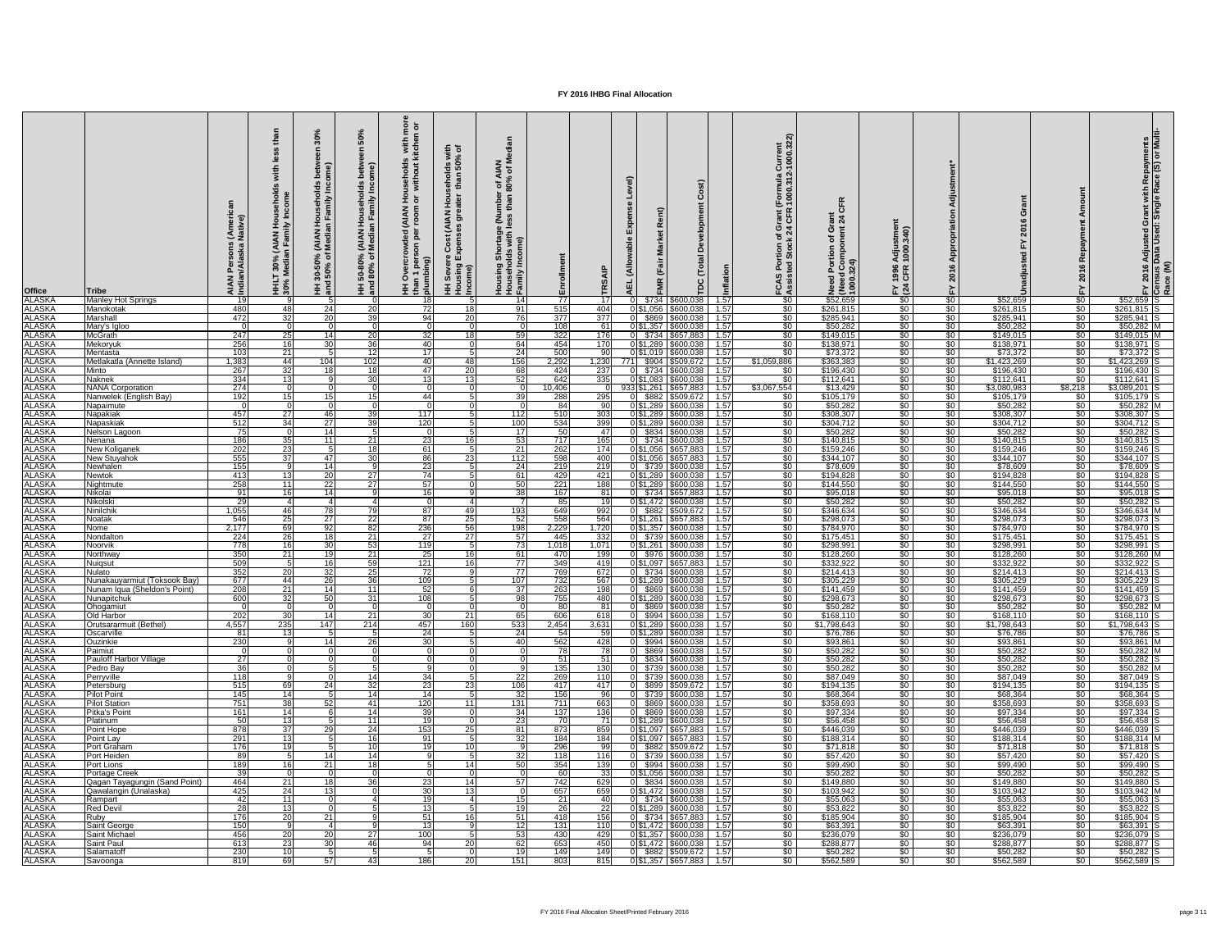| <b>Office</b>                  | Tribe                                                  | (Ameri<br>Native)<br><b>Pe</b><br><b>AIAN</b><br>Indian | with<br>(AIAN)<br>In Fami<br>30%<br>Iedia<br>HHL'<br>30% | ome)<br>Family<br>$\subset$<br><b>IAN</b><br>edia<br>ని స<br>30-50<br>50%<br>$rac{1}{2}$ | <b>SO</b><br>seho<br>mily<br>)% (AIAN Hous<br>of Median Far<br>HH 50-80°,<br>and 80% o | $\overline{9}$ $\overline{5}$<br>s with<br>kitche<br>ਤੋਂ ਛ<br>usehol<br>withou<br>$rac{4}{5}$<br>$\frac{1}{2}$ $\frac{1}{2}$<br>$\delta$<br>than 1<br>plumbi | $\equiv$ $\sigma$<br>$\overline{\mathbf{3}}$ हैं<br><b>8</b><br>50<br>than<br>ō<br>$rac{6}{5}$<br>$\mathbf{z}$<br>$\bar{5}$<br>$\overline{\mathcal{E}}$<br>ပိ<br>ρū<br>Income)<br>$\mathsf{se}\mathsf{v}$<br>手 | $z \ge$<br>ৰ *<br>$\frac{60}{80\%}$<br>⊆<br>$\frac{1}{2}$<br>ssales<br>prtage<br>with<br>me)<br><u>Ids</u><br>Housin<br>Housel<br>Family | 립                       | ≤<br>ш                  |                | $\mathbf C$<br>Developme<br>Total<br>ت<br>pc             |                    | urrent<br>000.32:<br>$\frac{1}{2}$<br>ัormula<br>000.31<br>rant<br>ഗ<br>ةٍ ب | $\alpha$<br>$rac{1}{24}$<br>こうこう こうこう<br>Need<br>(Need<br>1000. | $\frac{340}{3}$<br>$\overline{2}$ 8<br>1996<br>CFR<br>$E \overline{24}$ |                                  | $\circ$<br>$\overline{a}$ |                                    |                              | Grant with Repayments<br>I: Single Race (S) or Multi<br><b>Adjusted</b><br>Data Used<br>$\frac{2016}{15}$ $\frac{1}{2}$ $\frac{1}{2}$ $\frac{1}{2}$ $\frac{1}{2}$ $\frac{1}{2}$ $\frac{1}{2}$ $\frac{1}{2}$ $\frac{1}{2}$ $\frac{1}{2}$ $\frac{1}{2}$ $\frac{1}{2}$ $\frac{1}{2}$ $\frac{1}{2}$ $\frac{1}{2}$ $\frac{1}{2}$ $\frac{1}{2}$ |
|--------------------------------|--------------------------------------------------------|---------------------------------------------------------|----------------------------------------------------------|------------------------------------------------------------------------------------------|----------------------------------------------------------------------------------------|--------------------------------------------------------------------------------------------------------------------------------------------------------------|----------------------------------------------------------------------------------------------------------------------------------------------------------------------------------------------------------------|------------------------------------------------------------------------------------------------------------------------------------------|-------------------------|-------------------------|----------------|----------------------------------------------------------|--------------------|------------------------------------------------------------------------------|-----------------------------------------------------------------|-------------------------------------------------------------------------|----------------------------------|---------------------------|------------------------------------|------------------------------|-------------------------------------------------------------------------------------------------------------------------------------------------------------------------------------------------------------------------------------------------------------------------------------------------------------------------------------------|
| <b>ALASKA</b>                  | <b>Manley Hot Springs</b>                              | 19                                                      | q                                                        |                                                                                          |                                                                                        | 18<br>72                                                                                                                                                     | 18                                                                                                                                                                                                             | -14                                                                                                                                      | $\overline{77}$         |                         | \$734          | \$600,038                                                | 1.57<br>1.57       | $\sqrt{50}$<br>$\sqrt{50}$                                                   | \$52,659                                                        | $\sqrt{50}$                                                             | \$0                              | \$52,659                  | $rac{1}{\sqrt{2}}$<br>$rac{1}{50}$ | $$52,659$ S                  |                                                                                                                                                                                                                                                                                                                                           |
| <b>ALASKA</b><br><b>ALASKA</b> | Manokotak<br>Marshall                                  | 480<br>472                                              | 48I<br>32                                                | 24<br>20                                                                                 | -20<br>-39                                                                             | 94                                                                                                                                                           | $20\overline{)}$                                                                                                                                                                                               | -91 I<br>76                                                                                                                              | 515<br>$\overline{377}$ | 404<br>$\overline{377}$ | $0 \, 3869$    | 0 \$1,056 \$600,038<br>\$600,038                         | 1.57               | $\sqrt[6]{}$                                                                 | \$261,815<br>\$285,941                                          | $\sqrt{50}$<br>$\sqrt{50}$                                              | $\frac{1}{6}$<br>$\frac{1}{6}$   | \$261,815<br>\$285,941    | $rac{1}{50}$                       | $$261,815$ S<br>\$285,941    |                                                                                                                                                                                                                                                                                                                                           |
| <b>ALASKA</b>                  | Mary's Igloo                                           |                                                         |                                                          | $\Omega$                                                                                 |                                                                                        |                                                                                                                                                              |                                                                                                                                                                                                                |                                                                                                                                          | 108                     | 61                      | 0 \$1,357      | \$600,038                                                | 1.57               | $\sqrt{50}$                                                                  | \$50,282                                                        | $\sqrt{50}$                                                             | $\frac{1}{6}$                    | \$50,282                  | $rac{1}{50}$                       | $$50,282$ M                  |                                                                                                                                                                                                                                                                                                                                           |
| <b>ALASKA</b>                  | <b>McGrath</b>                                         | 247                                                     | 25                                                       | 14                                                                                       | 20                                                                                     | 32 <sub>l</sub>                                                                                                                                              | 18 <sup>l</sup>                                                                                                                                                                                                | 59                                                                                                                                       | 322                     | 176                     |                | $0$ $$734$ $$657,883$                                    | 1.57               | $\sqrt{50}$                                                                  | \$149,015                                                       | $\sqrt{50}$                                                             | $\frac{1}{2}$                    | \$149,015                 | —\$0 ∣                             | $$149,015$ M                 |                                                                                                                                                                                                                                                                                                                                           |
| <b>ALASKA</b>                  | Mekoryuk                                               | 256                                                     | 16 <sup>1</sup>                                          | 30 <sub>l</sub>                                                                          | 36                                                                                     | 40                                                                                                                                                           |                                                                                                                                                                                                                | 64                                                                                                                                       | 454                     | 170                     | 0 \$1,289      | \$600,038                                                | 1.57               | \$0                                                                          | \$138,971                                                       | \$0                                                                     | \$0 <sub>1</sub>                 | \$138,971                 | \$0 <sub>1</sub>                   | \$138,971                    |                                                                                                                                                                                                                                                                                                                                           |
| <b>ALASKA</b>                  | Mentasta                                               | 103                                                     | 21                                                       | -5                                                                                       | -12                                                                                    | 17 <sup>1</sup>                                                                                                                                              |                                                                                                                                                                                                                | 24                                                                                                                                       | 500                     |                         | 01\$1,019      | \$600,038                                                | 1.57               | $\sqrt{60}$                                                                  | \$73,372                                                        | $\sqrt{50}$                                                             | $\frac{1}{2}$                    | \$73,372                  | $rac{1}{50}$                       | $$73,372$ S                  |                                                                                                                                                                                                                                                                                                                                           |
| <b>ALASKA</b><br><b>ALASKA</b> | Metlakatla (Annette Island)<br>Minto                   | 1,383<br>267                                            | 44<br>32                                                 | 104<br>18                                                                                | 102 <sub>1</sub><br>-18                                                                | 40<br>47                                                                                                                                                     | 48<br>20                                                                                                                                                                                                       | 156<br>68                                                                                                                                | 2,292<br>424            | 1,230<br>771<br>237     | \$904<br>\$734 | \$509,672<br>\$600,038                                   | 1.57<br>1.57       | \$1,059,886<br>$\sqrt{50}$                                                   | \$363,383<br>\$196,430                                          | $\sqrt{50}$<br>$\sqrt{50}$                                              | $\frac{1}{6}$<br>\$0             | \$1,423,269<br>\$196,430  | \$0<br>\$0                         | \$1,423,269<br>$$196,430$ S  |                                                                                                                                                                                                                                                                                                                                           |
| <b>ALASKA</b>                  | <b>Naknek</b>                                          | 334                                                     | $\overline{13}$                                          |                                                                                          | $\overline{30}$                                                                        | $\overline{13}$                                                                                                                                              | 13                                                                                                                                                                                                             | 52                                                                                                                                       | 642                     | 335                     |                | 0 \$1,083 \$600,038                                      | 1.57               | $\sqrt{60}$                                                                  | \$112,641                                                       | $\sqrt{50}$                                                             | $\frac{1}{6}$                    | \$112,641                 | $\sqrt{50}$                        | \$112,641                    |                                                                                                                                                                                                                                                                                                                                           |
| <b>ALASKA</b>                  | <b>NANA Corporation</b>                                | 274                                                     |                                                          |                                                                                          |                                                                                        |                                                                                                                                                              |                                                                                                                                                                                                                |                                                                                                                                          | 10,406                  |                         |                | 933 \$1,261 \$657,883                                    | 1.57               | \$3,067,554                                                                  | \$13,429                                                        | $\sqrt{50}$                                                             | \$0                              | \$3,080,983               | \$8,218                            | \$3,089,201 S                |                                                                                                                                                                                                                                                                                                                                           |
| <b>ALASKA</b>                  | Nanwelek (English Bay)                                 | 192                                                     | 15 <sup>1</sup>                                          | 15                                                                                       | -15                                                                                    | 44                                                                                                                                                           |                                                                                                                                                                                                                | 39                                                                                                                                       | 288                     | 295                     |                | \$882 \$509,672                                          | 1.57               | $\overline{50}$                                                              | \$105,179                                                       | $\sqrt{50}$                                                             | $\frac{1}{6}$                    | \$105,179                 | $\frac{1}{2}$                      | \$105,179                    |                                                                                                                                                                                                                                                                                                                                           |
| <b>ALASKA</b>                  | Napaimute                                              |                                                         |                                                          |                                                                                          |                                                                                        |                                                                                                                                                              |                                                                                                                                                                                                                |                                                                                                                                          | 84                      | 90                      | 0 \$1,289      | \$600,038                                                | 1.57               | $\sqrt{50}$                                                                  | \$50,282                                                        | $\sqrt{50}$                                                             | $\frac{1}{6}$                    | \$50,282                  | - \$0                              | $$50,282$ M                  |                                                                                                                                                                                                                                                                                                                                           |
| <b>ALASKA</b>                  | Napakiak                                               | 457                                                     | 27                                                       | 46                                                                                       | -39                                                                                    | 117                                                                                                                                                          |                                                                                                                                                                                                                | 112                                                                                                                                      | 510                     | 303                     | 0 \$1,289      | \$600,038                                                | 1.57               | $\sqrt{50}$                                                                  | \$308,307                                                       | $\sqrt{50}$                                                             | $\frac{6}{3}$                    | \$308,307                 | $rac{1}{50}$                       | \$308,307                    |                                                                                                                                                                                                                                                                                                                                           |
| <b>ALASKA</b>                  | Napaskiak                                              | 512                                                     | 34                                                       | 27                                                                                       | -39                                                                                    | 120                                                                                                                                                          |                                                                                                                                                                                                                | 100                                                                                                                                      | 534                     | 399                     | 0 \$1,289      | \$600,038                                                | 1.57               | $\sqrt{50}$                                                                  | \$304,712                                                       | $\sqrt{50}$                                                             | $\frac{1}{6}$                    | \$304,712                 | $rac{1}{50}$                       | $$304,712$ S                 |                                                                                                                                                                                                                                                                                                                                           |
| <b>ALASKA</b><br><b>ALASKA</b> | Nelson Lagoon<br>Nenana                                | 75<br>186                                               | 35                                                       | 14<br>-11 I                                                                              | -21                                                                                    | 23                                                                                                                                                           | 16 <sup>l</sup>                                                                                                                                                                                                | 17 <sup>1</sup><br>53                                                                                                                    | 50<br>717               | 47<br>165               | \$834          | \$600,038<br>0 \$734 \$600,038                           | 1.57<br>1.57       | \$0<br>$\sqrt{50}$                                                           | \$50,282<br>\$140,815                                           | \$0 <sub>1</sub><br>$\sqrt{50}$                                         | \$0<br>$rac{1}{2}$               | \$50,282<br>\$140,815     | \$0<br>$rac{1}{50}$                | $$50,282$ S<br>$$140,815$ S  |                                                                                                                                                                                                                                                                                                                                           |
| <b>ALASKA</b>                  | New Koliganek                                          | $\overline{202}$                                        | 23                                                       | -5                                                                                       | -18                                                                                    | 61                                                                                                                                                           |                                                                                                                                                                                                                | 21                                                                                                                                       | 262                     | 174                     |                | 0 \$1,056 \$657,883                                      | 1.57               | $\overline{50}$                                                              | \$159,246                                                       | \$0 <sub>1</sub>                                                        | $rac{1}{50}$                     | \$159,246                 | <b>SO</b>                          | $$159,246$ S                 |                                                                                                                                                                                                                                                                                                                                           |
| <b>ALASKA</b>                  | New Stuyahok                                           | 555                                                     | 37                                                       | 47I                                                                                      | 30                                                                                     | 86                                                                                                                                                           | 23                                                                                                                                                                                                             | 112                                                                                                                                      | $\overline{598}$        | 400                     |                | 0 \$1,056 \$657,883                                      | 1.57               | $\sqrt{50}$                                                                  | \$344,107                                                       | $\sqrt{30}$                                                             | $\frac{1}{6}$                    | \$344,107                 | \$0                                | $$344,107$ S                 |                                                                                                                                                                                                                                                                                                                                           |
| <b>ALASKA</b>                  | Newhaler                                               | 1551                                                    |                                                          | 14 I                                                                                     |                                                                                        | 231                                                                                                                                                          |                                                                                                                                                                                                                | <b>241</b>                                                                                                                               | 219                     | 219                     |                | 0 \$739 \$600,038                                        | - 1.57             | <b>SO</b> 1                                                                  | \$78,609                                                        | \$0                                                                     | <b>\$0</b>                       | \$78,609                  | -SO 1                              | \$78,609 IS                  |                                                                                                                                                                                                                                                                                                                                           |
| <b>ALASKA</b>                  | <b>Newtok</b>                                          | 413                                                     | 13 <sup>l</sup>                                          | 20 <sup>1</sup>                                                                          | 27                                                                                     | $\overline{74}$                                                                                                                                              |                                                                                                                                                                                                                | 61                                                                                                                                       | 429                     | 421                     |                | 0 \$1,289 \$600,038                                      | 1.57               | \$0.                                                                         | \$194,828                                                       | $\sqrt{50}$                                                             | $\frac{1}{2}$                    | \$194,828                 | \$0 I                              | \$194,828 S                  |                                                                                                                                                                                                                                                                                                                                           |
| <b>ALASKA</b>                  | Nightmute                                              | 258                                                     | 11 I                                                     | $\overline{22}$                                                                          | 27                                                                                     | 57                                                                                                                                                           |                                                                                                                                                                                                                | 50                                                                                                                                       | $\overline{221}$        | 188                     |                | 0 \$1,289 \$600,038                                      | 1.57               | \$0                                                                          | \$144,550                                                       | $\sqrt{30}$                                                             | $\frac{1}{6}$                    | \$144,550                 | \$0 <sub>1</sub>                   | $$144,550$ S                 |                                                                                                                                                                                                                                                                                                                                           |
| <b>ALASKA</b><br><b>ALASKA</b> | Nikolai<br>Nikolski                                    | 91<br>29                                                | 16 <sup>1</sup>                                          | 14 <sup>1</sup>                                                                          |                                                                                        | 16 <sup>1</sup>                                                                                                                                              |                                                                                                                                                                                                                | 38                                                                                                                                       | 167<br>85               | -81<br>1 Q              |                | 0 \$734 \$657,883<br>0 \$1,472 \$600,038                 | 1.57<br>1.57       | $\sqrt{50}$<br>\$0 <sub>1</sub>                                              | \$95,018<br>\$50,282                                            | $\sqrt{50}$<br>$\sqrt{30}$                                              | \$0<br>$rac{1}{50}$              | \$95,018<br>\$50,282      | $\frac{1}{2}$<br>\$0               | $$95,018$ S<br>$$50,282$ S   |                                                                                                                                                                                                                                                                                                                                           |
| <b>ALASKA</b>                  | Ninilchik                                              | 1,055                                                   | 46I                                                      | 78                                                                                       |                                                                                        | 87                                                                                                                                                           | 491                                                                                                                                                                                                            | 193                                                                                                                                      | 649                     | 992                     |                | 0 \$882 \$509,672                                        | 1.57               | $\sqrt{50}$                                                                  | \$346,634                                                       | $\sqrt{50}$                                                             | $rac{1}{2}$                      | \$346,634                 | \$0 <sub>1</sub>                   | $$346,634$ M                 |                                                                                                                                                                                                                                                                                                                                           |
| <b>ALASKA</b>                  | Noatak                                                 | 546                                                     | 25                                                       | 27 <sup>1</sup>                                                                          | -22                                                                                    | 87I                                                                                                                                                          | 25                                                                                                                                                                                                             | -52                                                                                                                                      | 558                     | 564                     | 0 \$1,261      | \$657,883                                                | 1.57               | \$0                                                                          | \$298,073                                                       | \$0 <sub>1</sub>                                                        | $rac{1}{50}$                     | \$298,073                 | \$0 <sub>1</sub>                   | \$298,073                    |                                                                                                                                                                                                                                                                                                                                           |
| <b>ALASKA</b>                  | Nome                                                   | 2,177                                                   | 69                                                       | 92                                                                                       | -82                                                                                    | 236                                                                                                                                                          | 56                                                                                                                                                                                                             | 198                                                                                                                                      | 2,229                   | 1,720                   |                | 0 \$1,357 \$600,038                                      | 1.57               | \$0                                                                          | \$784,970                                                       | $\sqrt{50}$                                                             | $rac{1}{50}$                     | \$784,970                 | <b>\$0</b> 1                       | \$784,970 S                  |                                                                                                                                                                                                                                                                                                                                           |
| <b>ALASKA</b>                  | Nondalton                                              | $\overline{224}$                                        | $\overline{26}$                                          | 18                                                                                       | 21                                                                                     | $\overline{27}$                                                                                                                                              | 27                                                                                                                                                                                                             | 57                                                                                                                                       | 445                     | 332                     |                | 0 \$739 \$600,038                                        | 1.57               | $\sqrt{50}$                                                                  | \$175,451                                                       | $\sqrt{50}$                                                             | $\frac{1}{2}$                    | \$175,451                 | $rac{1}{50}$                       | $$175,451$ S                 |                                                                                                                                                                                                                                                                                                                                           |
| <b>ALASKA</b>                  | Noorvik                                                | 778                                                     | <u>16</u>                                                | 30 <sup>1</sup>                                                                          | -53                                                                                    | 119                                                                                                                                                          |                                                                                                                                                                                                                | 73                                                                                                                                       | 1,018                   | 1,071                   |                | 0 \$1,261 \$600,038                                      | 1.57               | $\sqrt{50}$                                                                  | \$298,991                                                       | $\frac{1}{30}$                                                          | \$0                              | \$298,991                 | $\frac{1}{2}$                      | \$298,991 S                  |                                                                                                                                                                                                                                                                                                                                           |
| <b>ALASKA</b><br><b>ALASKA</b> | Northway<br><b>Nuigsut</b>                             | 350<br>509                                              | 21                                                       | 19 <sup>°</sup><br>16                                                                    | 21<br>59                                                                               | $\overline{25}$<br>$\overline{121}$                                                                                                                          | 16 <sup>l</sup><br>16 <sup>1</sup>                                                                                                                                                                             | 61<br>$\overline{77}$                                                                                                                    | 470<br>349              | 199<br>419              |                | 0 \$976 \$600,038<br>0 \$1,097 \$657,883                 | 1.57<br>$-1.57$    | $\overline{50}$<br>$\overline{50}$                                           | \$128,260<br>\$332,922                                          | $\sqrt{30}$<br>$\sqrt{50}$                                              | $rac{1}{50}$<br>$\frac{1}{2}$    | \$128,260<br>\$332,922    | $\frac{1}{2}$<br>$\frac{1}{20}$    | $$128,260$ M<br>\$332,922 S  |                                                                                                                                                                                                                                                                                                                                           |
| <b>ALASKA</b>                  | <b>Nulato</b>                                          | 352                                                     | $\overline{20}$                                          | 32                                                                                       | 25                                                                                     | $\overline{72}$                                                                                                                                              |                                                                                                                                                                                                                | 77                                                                                                                                       | 769                     | 672                     |                | 0 \$734 \$600,038                                        | 1.57               | $\sqrt{50}$                                                                  | \$214,413                                                       | $\sqrt{50}$                                                             | $\frac{1}{2}$                    | \$214,413                 | $\frac{1}{20}$                     | $$214,413$ S                 |                                                                                                                                                                                                                                                                                                                                           |
| <b>ALASKA</b>                  | Nunakauyarmiut (Toksook Bay)                           | 677                                                     | 44                                                       | 26                                                                                       | -36                                                                                    | 109                                                                                                                                                          |                                                                                                                                                                                                                | 107                                                                                                                                      | 732                     | 567                     |                | 0 \$1,289 \$600,038                                      | 1.57               | $\sqrt{50}$                                                                  | \$305,229                                                       | \$0                                                                     | $\frac{1}{6}$                    | \$305,229                 | $rac{1}{50}$                       | $$305,229$ S                 |                                                                                                                                                                                                                                                                                                                                           |
| <b>ALASKA</b>                  | Nunam Iqua (Sheldon's Point)                           | 208                                                     | 21                                                       | 14                                                                                       | 11                                                                                     | 52                                                                                                                                                           |                                                                                                                                                                                                                | 37                                                                                                                                       | 263                     | 198                     |                | 0 \$869 \$600,038                                        | 1.57               | \$0                                                                          | \$141,459                                                       | \$0                                                                     | \$0                              | \$141,459                 | \$0 l                              | $$141,459$ S                 |                                                                                                                                                                                                                                                                                                                                           |
| <b>ALASKA</b>                  | Nunapitchuk                                            | 600                                                     | 32                                                       | 50                                                                                       | 31                                                                                     | 108                                                                                                                                                          |                                                                                                                                                                                                                | 98                                                                                                                                       | 755                     | 480                     | 0 \$1,289      | \$600,038                                                | 1.57               | $\sqrt{50}$                                                                  | \$298,673                                                       | $\sqrt{50}$                                                             | $\frac{1}{2}$                    | \$298,673                 | $rac{1}{50}$                       | \$298,673 S                  |                                                                                                                                                                                                                                                                                                                                           |
| <b>ALASKA</b><br><b>ALASKA</b> | Ohogamiut<br>Old Harbor                                |                                                         |                                                          | 14 <sup>1</sup>                                                                          | -21                                                                                    | 30 <sup>-</sup>                                                                                                                                              |                                                                                                                                                                                                                | 65                                                                                                                                       | 80<br>606               | -81                     | \$869<br>0L.   | \$600,038<br>\$994 \$600,038                             | 1.57<br>1.57       | $\sqrt{50}$<br>\$0                                                           | \$50,282<br>\$168,110                                           | $\sqrt{50}$<br>$\sqrt{30}$                                              | $\frac{1}{2}$<br>$\frac{1}{2}$   | \$50,282<br>\$168, 110    | $rac{1}{50}$<br>-SO 1              | $$50,282$ M<br>$$168, 110$ S |                                                                                                                                                                                                                                                                                                                                           |
| <b>ALASKA</b>                  | (Bethel)<br>Orutsararmuit                              | 202<br>4,557                                            | 30I<br>235                                               | 147                                                                                      | 214                                                                                    | 457                                                                                                                                                          | 21<br>160                                                                                                                                                                                                      | 533                                                                                                                                      | 2,454                   | 618<br>3,631            | 0 \$1,289      | \$600,038                                                | 1.57               | \$0                                                                          | \$1,798,643                                                     | $\sqrt{30}$                                                             | $rac{1}{50}$                     | \$1,798,643               | <b>\$0</b> 1                       | $$1,798,643$ S               |                                                                                                                                                                                                                                                                                                                                           |
| <b>ALASKA</b>                  | Oscarville                                             | $\overline{81}$                                         | 13 <sup>l</sup>                                          |                                                                                          |                                                                                        | 24                                                                                                                                                           |                                                                                                                                                                                                                | 24                                                                                                                                       | 54                      |                         |                | 0 \$1,289 \$600,038                                      | 1.57               | \$0                                                                          | \$76,786                                                        | $\sqrt{50}$                                                             | $rac{1}{2}$                      | \$76,786                  | $\sqrt{50}$                        | $$76,786$ S                  |                                                                                                                                                                                                                                                                                                                                           |
| <b>ALASKA</b>                  | <b>Ouzinkie</b>                                        | 230                                                     |                                                          | 14                                                                                       | -26                                                                                    | 30 <sup>1</sup>                                                                                                                                              |                                                                                                                                                                                                                | 40                                                                                                                                       | 562                     | 428                     |                | $0$ \$994 \$600,038                                      | $-1.57$            | $\sqrt{50}$                                                                  | \$93,861                                                        | $\sqrt{50}$                                                             | $\frac{1}{2}$                    | \$93,861                  | $rac{1}{50}$                       | \$93,861 M                   |                                                                                                                                                                                                                                                                                                                                           |
| <b>ALASKA</b>                  | Paimiut                                                |                                                         |                                                          |                                                                                          |                                                                                        |                                                                                                                                                              |                                                                                                                                                                                                                |                                                                                                                                          | 78                      |                         |                | \$869 \$600,038                                          | 1.57               | \$0                                                                          | \$50,282                                                        | $\sqrt{50}$                                                             | \$0                              | \$50,282                  | $\frac{1}{2}$                      | $$50,282$ M                  |                                                                                                                                                                                                                                                                                                                                           |
| <b>ALASKA</b>                  | <b>Pauloff Harbor Village</b>                          | 27                                                      |                                                          |                                                                                          |                                                                                        |                                                                                                                                                              |                                                                                                                                                                                                                |                                                                                                                                          | 51                      | 51                      |                | \$834 \$600,038                                          | 1.57               | $\sqrt{50}$                                                                  | \$50,282                                                        | $\sqrt{50}$                                                             | \$0                              | \$50,282                  | $\frac{1}{2}$                      | $$50,282$ S                  |                                                                                                                                                                                                                                                                                                                                           |
| <b>ALASKA</b><br><b>ALASKA</b> | Pedro Bay<br>Perryville                                | 36<br>118                                               |                                                          |                                                                                          | -14                                                                                    | 34                                                                                                                                                           |                                                                                                                                                                                                                | 22                                                                                                                                       | 135<br>269              | 130<br>110              |                | $0$ \$739 \$600,038<br>$0$ \$739 \$600,038               | $-1.57$<br>$-1.57$ | \$0 <sub>1</sub><br>\$0                                                      | \$50,282<br>\$87,049                                            | $\sqrt{50}$<br>$\sqrt{50}$                                              | \$0<br>$\frac{1}{2}$             | \$50,282<br>\$87,049      | <b>SO</b> 1<br><b>SO</b> 1         | $$50,282$ M<br>$$87,049$ S   |                                                                                                                                                                                                                                                                                                                                           |
| <b>ALASKA</b>                  | Petersburg                                             | 515                                                     | 69                                                       | 24                                                                                       | -32                                                                                    | 23                                                                                                                                                           | 23                                                                                                                                                                                                             | 106                                                                                                                                      | 417                     | 417                     |                | \$899   \$509,672                                        | 1.57               | \$0 <sub>1</sub>                                                             | \$194,135                                                       | $\sqrt{30}$                                                             | $\frac{1}{2}$                    | \$194,135                 | -SO 1                              | $$194, 135$ S                |                                                                                                                                                                                                                                                                                                                                           |
| <b>ALASKA</b>                  | <b>Pilot Point</b>                                     | 145                                                     | 14I                                                      |                                                                                          | 14                                                                                     | 14                                                                                                                                                           |                                                                                                                                                                                                                | 32                                                                                                                                       | 156                     | ୍ରନ                     | \$739          | \$600,038                                                | 1.57               | \$0                                                                          | \$68,364                                                        | $\sqrt{30}$                                                             | $\frac{1}{6}$                    | \$68,364                  | \$0 <sub>1</sub>                   | $$68,364$ S                  |                                                                                                                                                                                                                                                                                                                                           |
| <b>ALASKA</b>                  | <b>Pilot Station</b>                                   | $\overline{751}$                                        | 38                                                       | 52                                                                                       | -41                                                                                    | 120                                                                                                                                                          | 11                                                                                                                                                                                                             | 131                                                                                                                                      | 711                     | 663                     | \$869          | \$600,038                                                | 1.57               | $\sqrt{50}$                                                                  | \$358,693                                                       | $\sqrt{50}$                                                             | $\frac{1}{2}$                    | \$358,693                 | \$0 <sub>1</sub>                   | $$358,693$ S                 |                                                                                                                                                                                                                                                                                                                                           |
| <b>ALASKA</b>                  | Pitka's Point                                          | 161                                                     | 14 <sup>1</sup>                                          |                                                                                          | -14                                                                                    | 39                                                                                                                                                           |                                                                                                                                                                                                                | 34                                                                                                                                       | 137                     | 136                     | \$869          | \$600,038                                                | 1.57               | $\sqrt{60}$                                                                  | \$97,334                                                        | $\sqrt{50}$                                                             | $\frac{1}{2}$                    | \$97,334                  | $rac{1}{\sqrt{2}}$                 | $$97,334$ S                  |                                                                                                                                                                                                                                                                                                                                           |
| <b>ALASKA</b><br><b>ALASKA</b> | Platinum<br>Point Hope                                 | 50<br>$\overline{878}$                                  | 13 <sup>1</sup><br>$\overline{37}$                       | 29                                                                                       | - 11<br>24                                                                             | 19<br>153                                                                                                                                                    | $\overline{25}$                                                                                                                                                                                                | 23<br>81                                                                                                                                 | 70<br>873               | 71<br>859               | 0 \$1,289      | \$600,038<br>0 \$1,097 \$657,883                         | 1.57<br>1.57       | $\sqrt{50}$<br>\$0                                                           | \$56,458<br>\$446,039                                           | $\sqrt{30}$<br>$\sqrt{30}$                                              | $\frac{1}{2}$<br>$\frac{1}{2}$   | \$56,458<br>\$446,039     | $\frac{1}{2}$<br>\$0               | $$56,458$ S<br>\$446,039 S   |                                                                                                                                                                                                                                                                                                                                           |
| <b>ALASKA</b>                  | <b>Point Lay</b>                                       | 291                                                     | 13 <sup>l</sup>                                          |                                                                                          |                                                                                        | 91                                                                                                                                                           |                                                                                                                                                                                                                | 32                                                                                                                                       | 184                     | 184                     |                | 0 \$1,097 \$657,883                                      | 1.57               | \$0                                                                          | \$188,314                                                       | $\sqrt{30}$                                                             | $\frac{1}{2}$                    | \$188,314                 | \$0 <sub>1</sub>                   | \$188,314 M                  |                                                                                                                                                                                                                                                                                                                                           |
| <b>ALASKA</b>                  | Port Graham                                            | 176                                                     | 19 <sup>l</sup>                                          |                                                                                          |                                                                                        | 19                                                                                                                                                           | 10                                                                                                                                                                                                             |                                                                                                                                          | 296                     | aa                      |                | 0 \$882 \$509,672                                        | 1.57               | $\sqrt{50}$                                                                  | \$71,818                                                        | $\sqrt{50}$                                                             | $\frac{1}{6}$                    | \$71,818                  | $rac{1}{50}$                       | $\sqrt{371,818}$ S           |                                                                                                                                                                                                                                                                                                                                           |
| <b>ALASKA</b>                  | Port Heiden                                            | 89                                                      |                                                          | 14                                                                                       | -14                                                                                    |                                                                                                                                                              |                                                                                                                                                                                                                | 32                                                                                                                                       | 118                     | 116                     |                | $0$ \$739 \$600,038                                      | 1.57               | \$0 <sub>1</sub>                                                             | \$57,420                                                        | $\sqrt{50}$                                                             | \$0                              | \$57,420                  | \$0 <sub>1</sub>                   | $$57,420$ S                  |                                                                                                                                                                                                                                                                                                                                           |
| <b>ALASKA</b>                  | Port Lions                                             | 189                                                     | 16                                                       | 21                                                                                       |                                                                                        |                                                                                                                                                              | 14                                                                                                                                                                                                             |                                                                                                                                          | 354                     | 139                     |                | $0$ \$994 \$600,038                                      | 1.57               | $\sqrt{50}$                                                                  | \$99,490                                                        | $\sqrt{50}$                                                             | \$0                              | \$99,490                  | $rac{1}{50}$                       | \$99,490 S                   |                                                                                                                                                                                                                                                                                                                                           |
| <b>ALASKA</b>                  | Portage Creek                                          | 39                                                      |                                                          |                                                                                          |                                                                                        |                                                                                                                                                              | 14                                                                                                                                                                                                             | .57                                                                                                                                      | 60                      | -33                     |                | 0 \$1,056 \$600,038                                      | 1.57               | $\sqrt{50}$                                                                  | \$50,282                                                        | $\sqrt{50}$<br>$\sqrt{50}$                                              | \$0                              | \$50,282                  | $\frac{1}{2}$                      | $$50,282$ S                  |                                                                                                                                                                                                                                                                                                                                           |
| <b>ALASKA</b><br><b>ALASKA</b> | Qagan Tayagungin (Sand Point)<br>Qawalangin (Unalaska) | 464<br>425                                              | -211<br>24                                               | 18 <sup>l</sup><br>13 <sup>1</sup>                                                       | -36                                                                                    | <b>231</b><br>30 <sup>l</sup>                                                                                                                                | 13 <sub>l</sub>                                                                                                                                                                                                |                                                                                                                                          | 742<br>657              | 629<br>659              |                | $0$ \$834 \$600,038<br>0 \$1,472 \$600,038               | 1.57<br>1.57       | \$0 <sub>1</sub><br>$\sqrt{50}$                                              | \$149,880<br>\$103,942                                          | $\sqrt{50}$                                                             | $\frac{1}{6}$<br>$rac{1}{2}$     | \$149,880<br>\$103,942    | <b>\$0</b> 1<br>$rac{1}{50}$       | \$149,880 S<br>$$103,942$ M  |                                                                                                                                                                                                                                                                                                                                           |
| <b>ALASKA</b>                  | Rampart                                                | 42                                                      | 11                                                       |                                                                                          |                                                                                        | 19                                                                                                                                                           |                                                                                                                                                                                                                | 15                                                                                                                                       | 21                      |                         |                | 0 \$734 \$600,038                                        | 1.57               | \$0                                                                          | \$55,063                                                        | $\sqrt{30}$                                                             | $rac{1}{2}$                      | \$55,063                  | $rac{1}{50}$                       | $$55,063$ S                  |                                                                                                                                                                                                                                                                                                                                           |
| <b>ALASKA</b>                  | <b>Red Devil</b>                                       | $\overline{28}$                                         | 13I                                                      |                                                                                          |                                                                                        | 13                                                                                                                                                           |                                                                                                                                                                                                                | 19                                                                                                                                       | 26                      |                         | 0 \$1,289      | \$600,038                                                | 1.57               | \$0                                                                          | \$53,822                                                        | $\sqrt{30}$                                                             | $rac{1}{2}$                      | \$53,822                  | <b>\$0</b> 1                       | $$53,822$ S                  |                                                                                                                                                                                                                                                                                                                                           |
| <b>ALASKA</b>                  | <b>Ruby</b>                                            | 176                                                     | <b>20</b>                                                | 21                                                                                       |                                                                                        | 51                                                                                                                                                           |                                                                                                                                                                                                                | 51                                                                                                                                       | 418                     | 156                     |                | $0$ \$734 \$657,883                                      | 1.57               | \$0                                                                          | \$185,904                                                       | \$0 <sub>1</sub>                                                        | $\frac{1}{20}$                   | \$185,904                 | \$0 <sub>1</sub>                   | $$185,904$ S                 |                                                                                                                                                                                                                                                                                                                                           |
| <b>ALASKA</b>                  | Saint George                                           | 150                                                     | -91                                                      |                                                                                          |                                                                                        | 13                                                                                                                                                           | q                                                                                                                                                                                                              | 12 <sup>1</sup>                                                                                                                          | 131                     | 110                     |                | $0$ \$1,472 \$600,038   1.57                             |                    | $\sqrt{50}$                                                                  | \$63,391                                                        | \$0 <sub>1</sub>                                                        | \$0                              | \$63,391                  | $\sqrt{50}$                        | $$63,391$ S                  |                                                                                                                                                                                                                                                                                                                                           |
| <b>ALASKA</b><br><b>ALASKA</b> | <b>Saint Michael</b><br>Saint Paul                     | 456<br>613                                              | 20 <sup>1</sup>                                          | 20                                                                                       | -27<br>-46                                                                             | 100<br>94                                                                                                                                                    |                                                                                                                                                                                                                | 53                                                                                                                                       | 430                     | 429<br>450              |                | $0$ \$1,357 \$600,038   1.57<br>0 \$1,472 \$600,038 1.57 |                    | $\sqrt{30}$<br>$\sqrt{50}$                                                   | \$236,079<br>\$288,877                                          | $\frac{1}{30}$<br>$\sqrt{50}$                                           | $\frac{1}{30}$<br>$\frac{1}{50}$ | \$236,079<br>\$288,877    | $\sqrt{50}$<br>$\sqrt{50}$         | $$236,079$ S<br>$$288,877$ S |                                                                                                                                                                                                                                                                                                                                           |
| <b>ALASKA</b>                  | Salamatoff                                             | 230                                                     | 23<br>10                                                 | 30 <sub>l</sub><br>$\overline{5}$                                                        |                                                                                        |                                                                                                                                                              | 20<br>$\Omega$                                                                                                                                                                                                 | - 62  <br>$\overline{19}$                                                                                                                | 653<br>149              | 149                     |                | 0 \$882 \$509,672 1.57                                   |                    | $\frac{1}{30}$                                                               | \$50,282                                                        | $\sqrt{50}$                                                             | \$0                              | \$50,282                  | $\frac{1}{30}$                     | $$50,282$ S                  |                                                                                                                                                                                                                                                                                                                                           |
| <b>ALASKA</b>                  | Savoonga                                               | 819                                                     | 69                                                       | 57                                                                                       | 43I                                                                                    | 186                                                                                                                                                          | 20                                                                                                                                                                                                             | 151                                                                                                                                      | 803                     | 815                     |                | $0$ \$1,357 \$657,883 1.57                               |                    | $\sqrt{50}$                                                                  | \$562,589                                                       | $\sqrt{50}$                                                             | $\frac{1}{50}$                   | \$562,589                 | $\sqrt{50}$                        | $$562,589$ S                 |                                                                                                                                                                                                                                                                                                                                           |
|                                |                                                        |                                                         |                                                          |                                                                                          |                                                                                        |                                                                                                                                                              |                                                                                                                                                                                                                |                                                                                                                                          |                         |                         |                |                                                          |                    |                                                                              |                                                                 |                                                                         |                                  |                           |                                    |                              |                                                                                                                                                                                                                                                                                                                                           |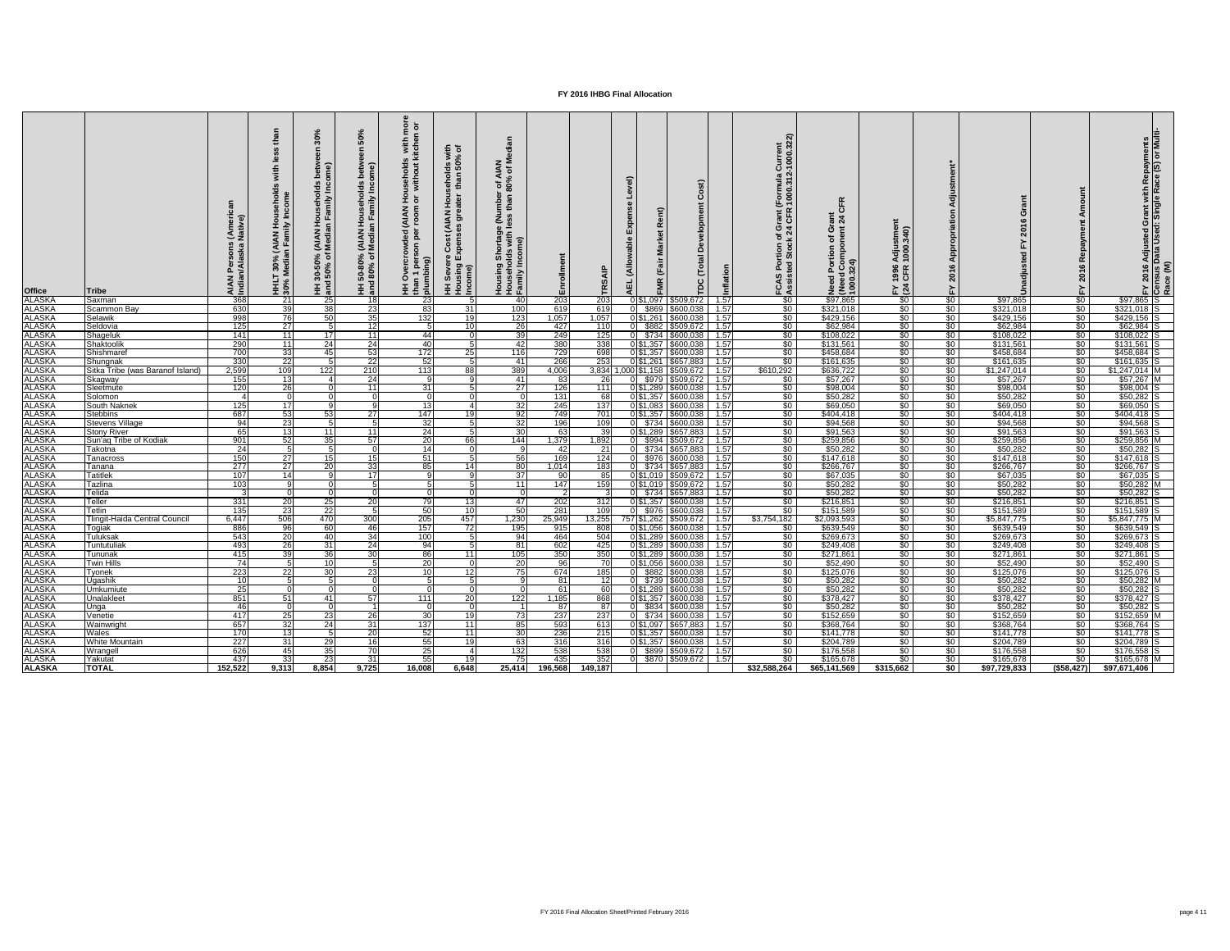| <b>Office</b>                        | <b>Tribe</b>                     |                 | Hous<br>In V <sup>II</sup><br>(AIAN<br>In Fami<br>30%<br>ledia<br><b>HHLT :<br/>30% M</b> | <b>AIAN<br/>Media</b><br>ని స<br><u>ສິດ</u> | HH 50-80% (AIAN Households<br>and 80% of Median Family Inc | $\overline{e}$ $\overline{p}$<br>s with<br>kitche<br>useholds<br>without<br>로 ㅎ<br><b>MAN)</b><br><u>ទី</u><br>គិ<br>$\overline{9}$<br>王 훕 를 | $\frac{4}{5}$<br>$\overline{\mathbf{3}}$ $\overline{\mathbf{3}}$<br>olds<br>In 50<br>$\frac{1}{2}$ $\frac{1}{3}$<br>$rac{1}{4}$ $rac{1}{5}$<br>₹<br>ပိ<br>ுய்<br>(auo.<br>Guisin<br>Guisin<br>$E \nsubseteq E$ | $z \bar{z}$<br>⊴ ზ<br>် စွဲ<br><b>SS</b> | ollment<br>Ēπ |            | ි |                 | ost)<br>Ŏ<br><b>Development</b><br>Total<br><b>PC</b>        |      | $\boldsymbol{\tilde{z}}$ $\boldsymbol{\tilde{z}}$<br>urrei<br>000<br>ပ<br>ത പ<br>ਤ ਲ<br>(Formu)<br>∴1000∴<br>rant<br>CFR<br>י ש<br>$rac{5}{2}$<br>C ä<br>⊢ ∢ | $\mathbf{R}$<br><u>ပ</u><br>$\frac{3}{2}$<br><b>δ έ</b><br>৳<br>Need<br>(Need<br>1000. | stme<br>.340)<br><b>Adju</b><br>1000<br>1996<br>CFR<br>$F \times 24$ |                     | 20                     |                               | Adjusted Grant with Repayments<br>Data Used: Single Race (S) or Multi | $\frac{2016}{n \text{sus}}$ Ce $\frac{(M)}{n}$ |
|--------------------------------------|----------------------------------|-----------------|-------------------------------------------------------------------------------------------|---------------------------------------------|------------------------------------------------------------|----------------------------------------------------------------------------------------------------------------------------------------------|----------------------------------------------------------------------------------------------------------------------------------------------------------------------------------------------------------------|------------------------------------------|---------------|------------|---|-----------------|--------------------------------------------------------------|------|--------------------------------------------------------------------------------------------------------------------------------------------------------------|----------------------------------------------------------------------------------------|----------------------------------------------------------------------|---------------------|------------------------|-------------------------------|-----------------------------------------------------------------------|------------------------------------------------|
|                                      | Saxman                           | 368             | 21                                                                                        | 25                                          | - 18 I                                                     | 23                                                                                                                                           |                                                                                                                                                                                                                | 40                                       | 203           | 203        |   | 051,097         | \$509,672                                                    | 1.57 | $\frac{1}{20}$                                                                                                                                               | \$97,865                                                                               | $\frac{1}{6}$                                                        | \$0                 | \$97,865               | $\frac{1}{6}$                 | $$97,865$ S                                                           |                                                |
| ALASKA<br>ALASKA<br>ALASKA           | Scammon Bay                      | 630             | 39                                                                                        | 38                                          | 23                                                         | 83                                                                                                                                           | 31                                                                                                                                                                                                             | 100                                      | 619           | 619        |   | \$869           | \$600,038                                                    | 1.57 | \$0                                                                                                                                                          | \$321,018                                                                              | $\frac{1}{6}$                                                        | \$0                 | \$321,018              | $\frac{1}{6}$                 | $$321,018$ S                                                          |                                                |
|                                      | Selawik                          | 998             | 76                                                                                        | 50                                          | 35                                                         | 132                                                                                                                                          |                                                                                                                                                                                                                | 123                                      | 1,057         | 1,057      |   | 0 \$1,261       | \$600,038                                                    | 1.57 | \$0                                                                                                                                                          | \$429,156                                                                              | $\frac{1}{6}$                                                        | \$0                 | \$429,156              | \$0                           | $$429,156$ S                                                          |                                                |
|                                      | Seldovia                         | 125             | $\overline{27}$                                                                           | 5                                           | 12                                                         |                                                                                                                                              | 10                                                                                                                                                                                                             | $\overline{26}$                          | 427           | 110        |   |                 | \$882 \$509,672                                              | 1.57 | \$0                                                                                                                                                          | \$62,984                                                                               | \$0                                                                  | \$0                 | \$62,984               | $\frac{1}{30}$                | \$62,984                                                              |                                                |
| <b>ALASKA</b><br>ALASKA              | Shageluk                         | 141             | 11                                                                                        | 17 <sup>1</sup>                             | -11                                                        | 44                                                                                                                                           |                                                                                                                                                                                                                | 39                                       | 249           | 125        |   |                 | \$734 \$600,038                                              | 1.57 | \$0                                                                                                                                                          | \$108,022                                                                              | $\frac{1}{6}$                                                        | \$0                 | \$108,022              | \$0                           | \$108,022                                                             |                                                |
| ALASKA<br>ALASKA<br>ALASKA<br>ALASKA | Shaktoolik                       | 290             | $\overline{11}$                                                                           | 24                                          | 24                                                         | 40                                                                                                                                           |                                                                                                                                                                                                                | 42                                       | 380           | 338        |   |                 | \$1,357 \$600,038                                            | 1.57 | $\sqrt{50}$                                                                                                                                                  | \$131,561                                                                              | $\frac{1}{6}$                                                        | $\frac{1}{20}$      | \$131,561              | $rac{1}{\sqrt{2}}$            | \$131,561                                                             |                                                |
|                                      | Shishmaref                       | 700             | 33                                                                                        | 45 <sup>1</sup>                             | -531                                                       | 172                                                                                                                                          | 25                                                                                                                                                                                                             | 116                                      | 729           | 698        |   |                 | 0 \$1,357 \$600,038                                          | 1.57 | \$0                                                                                                                                                          | \$458,684                                                                              | \$0                                                                  | \$0                 | \$458,684              | $\frac{1}{2}$                 | $$458,684$ S                                                          |                                                |
|                                      | Shungnak                         | 330             | 22                                                                                        |                                             | 22                                                         | 52                                                                                                                                           |                                                                                                                                                                                                                | 41                                       | 266           | 253        |   | $\sqrt{51,261}$ | \$657,883                                                    | 1.57 | $\sqrt{50}$                                                                                                                                                  | \$161,635                                                                              | $\frac{1}{6}$                                                        | \$0                 | \$161,635              | $\overline{50}$               | $$161,635$ S                                                          |                                                |
|                                      | Sitka Tribe (was Baranof Island) | 2,599           | 109                                                                                       | 122                                         | 210                                                        | 113                                                                                                                                          | 88                                                                                                                                                                                                             | 389                                      | 4,006         | 3,834      |   |                 | ,000 \$1,158 \$509,672                                       | 1.57 | \$610,292                                                                                                                                                    | \$636,722                                                                              | \$0                                                                  | \$0                 | \$1,247,014            | \$0 <sub>1</sub>              | $$1,247,014$ M                                                        |                                                |
| ALASKA<br>ALASKA                     | Skagway                          | 155             | 13                                                                                        |                                             | 24                                                         | __                                                                                                                                           |                                                                                                                                                                                                                | 41                                       | 83            | <b>26</b>  |   |                 | $$979$ $$509,672$                                            | 1.57 | \$0                                                                                                                                                          | \$57,267                                                                               | $\frac{1}{6}$                                                        | $\frac{1}{20}$      | \$57,267               | \$0                           | $$57,267$ M                                                           |                                                |
|                                      | Sleetmute                        | 120             | 26                                                                                        |                                             | 11                                                         | 31                                                                                                                                           |                                                                                                                                                                                                                | $\overline{27}$                          | 126           | 111        |   |                 | 0 \$1,289 \$600,038                                          | 1.57 | \$0                                                                                                                                                          | \$98,004                                                                               | \$0                                                                  | \$0                 | \$98,004               | $\frac{1}{2}$                 | \$98,004                                                              |                                                |
| <b>ALASKA</b>                        | Solomon                          |                 |                                                                                           |                                             |                                                            | $\Omega$                                                                                                                                     |                                                                                                                                                                                                                |                                          | 131           |            |   |                 | 0 \$1,357 \$600,038                                          | 1.57 | \$0                                                                                                                                                          | \$50,282                                                                               | $\sqrt{50}$                                                          | $\sqrt{60}$         | \$50,282               | \$0                           | \$50,282                                                              |                                                |
| <b>ALASKA</b>                        | <b>South Naknek</b>              | 125             | 17 <sup>1</sup>                                                                           |                                             |                                                            | 13                                                                                                                                           |                                                                                                                                                                                                                | 32                                       | 245           | 137        |   |                 | 051,083 5600,038                                             | 1.57 | \$0                                                                                                                                                          | \$69,050                                                                               | $\frac{1}{6}$                                                        | $\frac{1}{20}$      | \$69,050               | $\frac{1}{2}$                 | \$69,050                                                              |                                                |
| ALASKA<br>ALASKA                     | <b>Stebbins</b>                  | 687             | 53                                                                                        | 53 <sub>l</sub>                             | <b>271</b>                                                 | 147                                                                                                                                          |                                                                                                                                                                                                                | 92                                       | 749           | 701        |   |                 | 0 \$1,357 \$600,038                                          | 1.57 | $\sqrt{50}$                                                                                                                                                  | \$404,418                                                                              | $rac{1}{\sqrt{2}}$                                                   | \$0                 | \$404,418              | $\sqrt{50}$                   | $$404,418$ S                                                          |                                                |
|                                      | <b>Stevens Village</b>           | 94              | 23                                                                                        |                                             |                                                            | 32                                                                                                                                           |                                                                                                                                                                                                                | 32                                       | 196           | 109        |   |                 | \$734 \$600,038                                              | 1.57 | \$0                                                                                                                                                          | \$94,568                                                                               | \$0                                                                  | \$0                 | \$94,568               | $\frac{1}{2}$                 | $$94,568$ S                                                           |                                                |
|                                      | <b>Stony River</b>               | 65              | $\overline{13}$                                                                           | $111$                                       | 11                                                         | $\overline{24}$                                                                                                                              |                                                                                                                                                                                                                | 30                                       | 63            | 39         |   |                 | 0 \$1,289 \$657,883                                          | 1.57 | \$0                                                                                                                                                          | \$91,563                                                                               | $\frac{1}{30}$                                                       | $\frac{1}{20}$      | \$91,563               | $\frac{1}{30}$                | $$91,563$ S                                                           |                                                |
| ALASKA<br>ALASKA                     | Sun'ag Tribe of Kodiak           | 901             | 52                                                                                        | 35 <sub>l</sub>                             | 57                                                         | 20                                                                                                                                           | 66                                                                                                                                                                                                             | 144                                      | 1,379         | 1,892      |   |                 | 0 \$994 \$509,672                                            | 1.57 | \$0                                                                                                                                                          | \$259,856                                                                              | $\frac{1}{30}$                                                       | \$0                 | \$259,856              | $\frac{1}{2}$                 | $$259,856$ M                                                          |                                                |
| <b>ALASKA</b>                        | Takotna                          | 24              |                                                                                           |                                             |                                                            | 14I                                                                                                                                          |                                                                                                                                                                                                                |                                          | 42            |            |   |                 | $$734$ $$657,883$                                            | 1.57 | \$0                                                                                                                                                          | \$50,282                                                                               | $rac{1}{\sqrt{2}}$                                                   | $\frac{1}{6}$       | \$50,282               | \$0 <sub>1</sub>              | \$50,282                                                              |                                                |
| <u>ALASKA</u><br>ALASKA              | <b>Tanacross</b>                 | 150             | 27                                                                                        |                                             |                                                            | 51                                                                                                                                           |                                                                                                                                                                                                                | 56                                       | 169           | 124        |   |                 | 0 \$976 \$600,038                                            | 1.57 | \$0                                                                                                                                                          | \$147,618                                                                              | $\frac{1}{6}$                                                        | \$0                 | \$147,618              | \$0 <sub>1</sub>              | $$147,618$ S                                                          |                                                |
|                                      | I anana                          | 277             | 27                                                                                        | <b>201</b>                                  | -331                                                       | 85                                                                                                                                           |                                                                                                                                                                                                                | 80 J                                     | 1,014         | 183        |   |                 | 0 \$734 \$657,883 1.57                                       |      | $\frac{1}{20}$                                                                                                                                               | \$266,767                                                                              | -\$0                                                                 | $\frac{1}{20}$      | \$266,767              | $\frac{1}{20}$                | \$266,767 S                                                           |                                                |
| ALASKA<br>ALASKA                     | <b>Tatitlek</b>                  | 107             | 14                                                                                        |                                             | 17 <sup>1</sup>                                            |                                                                                                                                              |                                                                                                                                                                                                                | 37                                       | 90            |            |   |                 | $0 $1,019$   \$509,672   1.57                                |      | $\frac{1}{20}$                                                                                                                                               | \$67,035                                                                               | \$0                                                                  | \$0                 | \$67,035               | $\sqrt{50}$                   | $$67,035$ S                                                           |                                                |
|                                      | Tazlina                          | 103             |                                                                                           |                                             |                                                            |                                                                                                                                              |                                                                                                                                                                                                                | 11                                       | 147           | 159        |   |                 | 0 \$1,019   \$509,672                                        | 1.57 | \$0                                                                                                                                                          | \$50,282                                                                               | $\sqrt{50}$                                                          | $\sqrt{50}$         | \$50,282               | $$0$                          | $$50,282$ M                                                           |                                                |
| <b>ALASKA</b>                        | Telida                           |                 |                                                                                           |                                             |                                                            |                                                                                                                                              |                                                                                                                                                                                                                |                                          | -2            |            |   |                 | $0$ $$734$ $$657,883$                                        | 1.57 | \$0 <sub>1</sub>                                                                                                                                             | \$50,282                                                                               | $\sqrt{50}$                                                          | $\sqrt{50}$         | \$50,282               | $\sqrt{50}$                   | $$50,282$ S                                                           |                                                |
| <b>ALASKA</b>                        | Teller                           | 331             | 20 <sup>1</sup>                                                                           | 25                                          | -201                                                       | 79                                                                                                                                           | 13 <sub>l</sub>                                                                                                                                                                                                | 47                                       | 202           | 312        |   |                 | 0 \$1,357 \$600,038]                                         | 1.57 | \$0 <sub>1</sub>                                                                                                                                             | \$216,851                                                                              | \$0                                                                  | \$0 <sub>1</sub>    | \$216,851              | \$0                           | \$216,851 S                                                           |                                                |
| <b>ALASKA</b>                        | Tetlin                           | 135             | $\overline{23}$                                                                           | 22                                          |                                                            | 50                                                                                                                                           | 10                                                                                                                                                                                                             | 50                                       | 281           | 109        |   |                 | $0$ \$976 \$600,038                                          | 1.57 | \$0 <sub>1</sub>                                                                                                                                             | \$151,589                                                                              | \$0                                                                  | $\sqrt{50}$         | \$151,589              | $\frac{1}{2}$                 | $$151,589$ S                                                          |                                                |
| <b>ALASKA</b>                        | Tlingit-Haida Central Council    | 6,447           | 506                                                                                       | 470                                         | 300                                                        | 205                                                                                                                                          | 457                                                                                                                                                                                                            | 1,230                                    | 25,949        | 13,255     |   |                 | 757 \$1,262 \$509,672                                        | 1.57 | \$3,754,182                                                                                                                                                  | \$2,093,593                                                                            | \$0                                                                  | \$0                 | \$5,847,775            | $$0$                          | $$5,847,775$ M                                                        |                                                |
| ALASKA<br>ALASKA                     | Togiak<br><b>Tuluksak</b>        | 886             | 96<br><b>20</b>                                                                           | 60                                          | -46                                                        | 157                                                                                                                                          | 72                                                                                                                                                                                                             | 195                                      | 915           | 808        |   |                 | 0 \$1,056 \$600,038 \$1.57                                   |      | \$0                                                                                                                                                          | \$639,549                                                                              | \$0                                                                  | \$0                 | \$639,549              | \$0                           | $$639,549$ S<br>$$269,673$ S                                          |                                                |
| <b>ALASKA</b>                        |                                  | 543             | $\overline{26}$                                                                           | $-40$<br>31                                 | 34                                                         | 100<br>94                                                                                                                                    |                                                                                                                                                                                                                | 94                                       | 464<br>602    | 504<br>425 |   |                 | $0 $1,289$ \\$600,038 \cdot 1.57<br>0 \$1,289 \$600,038 1.57 |      | $\sqrt{50}$                                                                                                                                                  | \$269,673                                                                              | \$0                                                                  | \$0                 | \$269,673              | $\frac{1}{20}$<br>$\sqrt{50}$ |                                                                       |                                                |
| <b>ALASKA</b>                        | Tuntutuliak<br>Tununak           | 493<br>415      | 39                                                                                        | 36                                          | 24<br>$\overline{30}$                                      | 86                                                                                                                                           | 11                                                                                                                                                                                                             | 81<br>105                                | 350           | 350        |   |                 | $0 $1,289$ $$600,038$ 1.57                                   |      | \$0<br>\$0 <sub>1</sub>                                                                                                                                      | \$249,408<br>\$271,861                                                                 | $\frac{1}{6}$<br>\$0                                                 | \$0<br>\$0          | \$249,408<br>\$271,861 | $\sqrt{50}$                   | $$249,408$ S<br>$$271,861$ S                                          |                                                |
| <b>ALASKA</b>                        | <b>Twin Hills</b>                | $\overline{74}$ |                                                                                           | 10I                                         |                                                            | <b>20</b>                                                                                                                                    |                                                                                                                                                                                                                | 20                                       | 96            | -70        |   |                 | 0 \$1,056 \$600,038 1.57                                     |      | \$0 <sub>1</sub>                                                                                                                                             | \$52,490                                                                               | $\frac{1}{20}$                                                       | \$0                 | \$52,490               | $\sqrt{50}$                   | $$52,490$ S                                                           |                                                |
| <b>ALASKA</b>                        | <b>Tyonek</b>                    | 223             | 22                                                                                        | 30 <sub>l</sub>                             | <b>23</b>                                                  | <u>10</u>                                                                                                                                    | 12I                                                                                                                                                                                                            | 75                                       | 674           | 185        |   |                 | 0 \$882 \$600,038                                            | 1.57 | \$0 <sub>1</sub>                                                                                                                                             | \$125,076                                                                              | \$0                                                                  | \$0                 | \$125,076              | $\sqrt{50}$                   | $$125,076$ S                                                          |                                                |
| <b>ALASKA</b>                        | <b>Ugashik</b>                   | 10              |                                                                                           |                                             |                                                            |                                                                                                                                              |                                                                                                                                                                                                                |                                          | 81            | 12         |   |                 | $0$ \$739 \$600,038                                          | 1.57 | $\sqrt{50}$                                                                                                                                                  | \$50,282                                                                               | \$0                                                                  | \$0                 | \$50,282               | $\sqrt{50}$                   | $$50,282$ M                                                           |                                                |
| <b>ALASKA</b>                        | Umkumiute                        | 25              |                                                                                           |                                             |                                                            |                                                                                                                                              |                                                                                                                                                                                                                |                                          | 61            |            |   |                 | 0 \$1,289 \$600,038                                          | 1.57 | \$0                                                                                                                                                          | \$50,282                                                                               | $\frac{1}{20}$                                                       | \$0                 | \$50,282               | $\frac{1}{2}$                 | $$50,282$ S                                                           |                                                |
| <b>ALASKA</b>                        | Unalakleet                       | 851             | 51                                                                                        | 411                                         | 57                                                         | 111                                                                                                                                          | 20                                                                                                                                                                                                             | 122                                      | 1,185         | 868        |   |                 | 0 \$1,357 \$600,038]                                         | 1.57 | $\sqrt{50}$                                                                                                                                                  | \$378,427                                                                              | $\frac{1}{30}$                                                       | \$0                 | \$378,427              | $\sqrt{50}$                   | $$378,427$ S                                                          |                                                |
| <b>ALASKA</b>                        | Unga                             | -46             |                                                                                           |                                             |                                                            |                                                                                                                                              |                                                                                                                                                                                                                |                                          | 87            | -871       |   |                 | $0$ \$834 \$600,038                                          | 1.57 | $\sqrt{50}$                                                                                                                                                  | \$50,282                                                                               | \$0                                                                  | $\sqrt{50}$         | \$50,282               | $\sqrt{50}$                   | $$50,282$ S                                                           |                                                |
| <b>ALASKA</b>                        | Venetie                          | 417             | 25                                                                                        | 23                                          | $\overline{26}$                                            | $\overline{30}$                                                                                                                              | 19                                                                                                                                                                                                             | $\overline{73}$                          | 237           | 237        |   |                 | $\overline{0}$ \$734 \$600,038 1.57                          |      | $\sqrt{30}$                                                                                                                                                  | \$152,659                                                                              | $\frac{1}{30}$                                                       | \$0                 | \$152,659              | \$0 <sub>1</sub>              | $$152,659$ M                                                          |                                                |
| <b>ALASKA</b>                        | Wainwright                       | 657             | 32                                                                                        | 24                                          | 31                                                         | 137                                                                                                                                          | 11                                                                                                                                                                                                             | 85                                       | 593           | 613        |   |                 | 0 \$1,097 \$657,883 1.57                                     |      | \$0                                                                                                                                                          | \$368,764                                                                              | $\frac{1}{6}$                                                        | \$0                 | \$368,764              | $\sqrt{50}$                   | $$368,764$ S                                                          |                                                |
| <b>ALASKA</b>                        | Wales                            | 170             | 13                                                                                        |                                             | $\overline{20}$                                            | 52                                                                                                                                           | -11 I                                                                                                                                                                                                          | 30                                       | 236           | 215        |   |                 | 0 \$1,357 \$600,038 1.57                                     |      | \$0 <sub>1</sub>                                                                                                                                             | \$141,778                                                                              | $\frac{1}{6}$                                                        | \$0                 | \$141,778              | $\sqrt{50}$                   | $$141,778$ S                                                          |                                                |
| <b>ALASKA</b>                        | <b>White Mountain</b>            | 227             | 31                                                                                        | 29                                          | <b>16</b>                                                  | 55                                                                                                                                           | 19                                                                                                                                                                                                             | 63                                       | 316           | 316        |   |                 | $0$ \$1,357 \$600,038 1.57                                   |      | \$0                                                                                                                                                          | \$204,789                                                                              | $\frac{1}{6}$                                                        | \$0                 | \$204,789              | $\sqrt{50}$                   | $$204,789$ S                                                          |                                                |
| <b>ALASKA</b>                        | Wrangell                         | 626             | 45                                                                                        | 35                                          | 70                                                         | 25                                                                                                                                           |                                                                                                                                                                                                                | 132                                      | 538           | 538        |   |                 | 0 \$899 \$509,672 1.57                                       |      | \$0 <sub>1</sub>                                                                                                                                             | \$176,558                                                                              | \$0                                                                  | $\degree$ $\degree$ | \$176,558              | $\sqrt{50}$                   | $$176,558$ S                                                          |                                                |
| <b>ALASKA</b>                        | Yakutat                          | 437             | 33                                                                                        | 23                                          | 31                                                         | 55                                                                                                                                           |                                                                                                                                                                                                                | <b>75</b>                                | 435           | 352        |   |                 | $0$ \$870 \$509,672                                          | 1.57 | \$0 <sub>1</sub>                                                                                                                                             | \$165,678                                                                              | \$0 <sub>1</sub>                                                     | $\sqrt{50}$         | \$165,678              | \$0 <sub>1</sub>              | \$165,678 M                                                           |                                                |
| <b>ALASKA</b>                        | <b>TOTAL</b>                     | 152,522         | 9,313                                                                                     | 8,854                                       | 9,725                                                      | 16,008                                                                                                                                       | 6,648                                                                                                                                                                                                          | 25,414                                   | 196,568       | 149,187    |   |                 |                                                              |      | \$32,588,264                                                                                                                                                 | \$65,141,569                                                                           | \$315,662                                                            | \$0 <sub>1</sub>    | \$97,729,833           | $($ \$58,427) $ $             | \$97,671,406                                                          |                                                |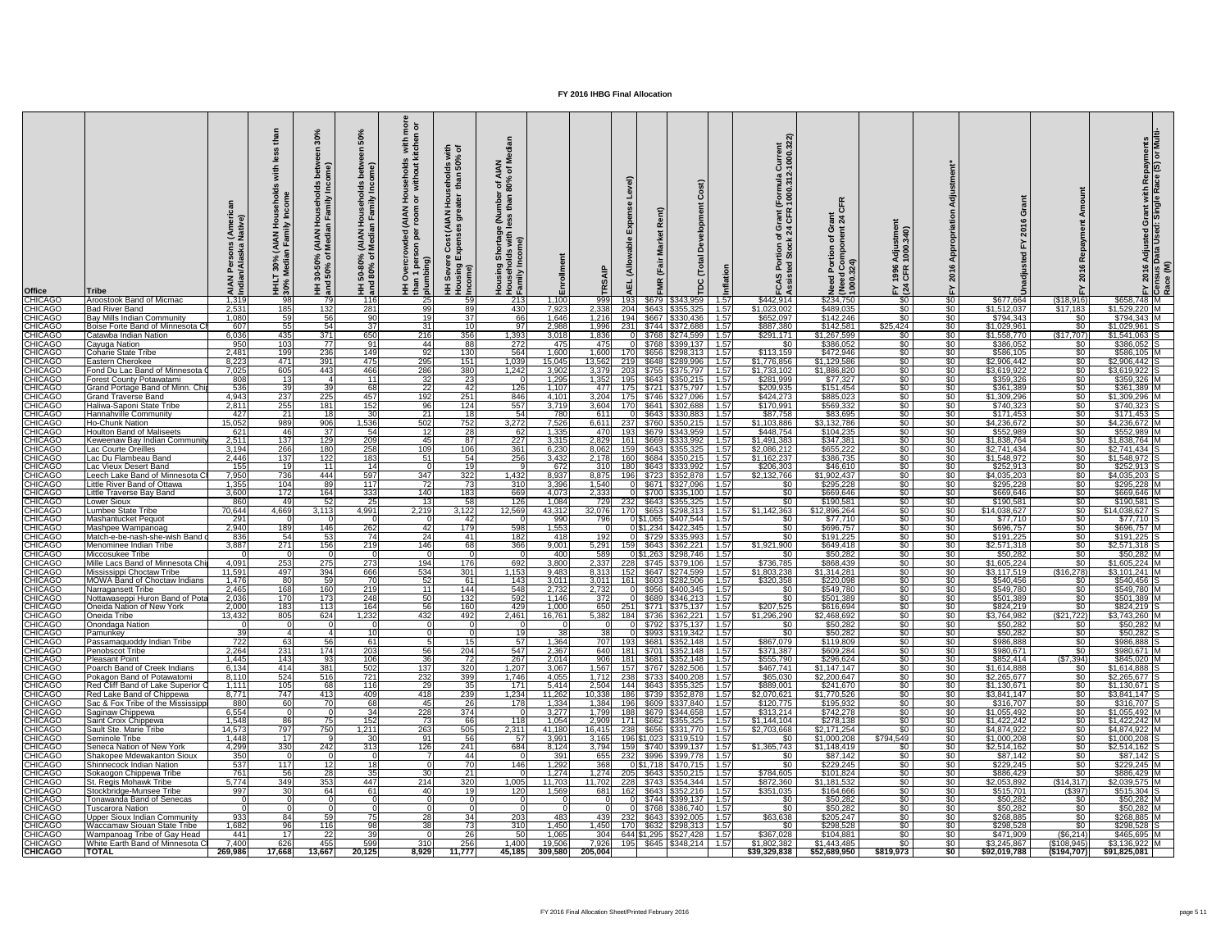| <b>Office</b>                    | ∣Tribe                                                                |                  | (AIAN<br>In Fami<br>30%<br>Iedia<br>Ξ Ş | ని స<br>ခွဲ အ   | នី<br>seho<br>mily l<br>(AIAN Hou)<br>Median Fa<br>್ದಿ ಕ<br>HH 50-80°<br>and 80% | $\overline{e}$ $\overline{p}$<br>with<br>itcheı<br>usehold:<br>without<br><b>AIAN</b><br>room<br><u>ted</u><br>per<br>$\frac{3}{5}$ $\frac{3}{5}$ | - 돌 호<br>$\overline{\mathbf{5}}$<br>sholds<br>han 50°<br>$rac{1}{2}$ $rac{1}{2}$<br>$\zeta$<br>$\overline{a}$<br>$\overline{\mathcal{E}}$<br>ပိ<br><b>Pa</b><br>Sever<br>Income)<br>$\overline{\pm}$ | $z \ge$<br>⊻ ≥<br>r of A<br>80%<br>្ល<br>ទី និ<br>vith<br>95<br>Housel<br>Family |                 |                 | ш                              |                | ပ<br>elopment<br>Ă<br>Total<br>TDC                   |                 | urrent<br>000.32:<br>$\sim$<br>ัormula<br>000.31<br>ဇ ပ | $\frac{1}{24}$<br><b>σ ε</b><br>$\frac{1}{2}$ | $\widehat{\mathbf{C}}$<br>1996<br>CFR<br>$E \overline{a}$ |                                  | ဖ<br>$\overline{\mathbf{S}}$           |                                    | ဖ<br>201                              | rant with Repayments<br>Single Race (S) or Mul<br>ত ⊡<br><b>Adjusted<br/>Data Used</b> |
|----------------------------------|-----------------------------------------------------------------------|------------------|-----------------------------------------|-----------------|----------------------------------------------------------------------------------|---------------------------------------------------------------------------------------------------------------------------------------------------|------------------------------------------------------------------------------------------------------------------------------------------------------------------------------------------------------|----------------------------------------------------------------------------------|-----------------|-----------------|--------------------------------|----------------|------------------------------------------------------|-----------------|---------------------------------------------------------|-----------------------------------------------|-----------------------------------------------------------|----------------------------------|----------------------------------------|------------------------------------|---------------------------------------|----------------------------------------------------------------------------------------|
| <b>CHICAGO</b><br><b>CHICAGO</b> | Aroostook Band of Micmac<br><b>Bad River Band</b>                     | 1,319<br>2,531   | 98<br>185                               | 132             | 116<br>281                                                                       | 25<br>-99                                                                                                                                         | 59<br>89                                                                                                                                                                                             | 213<br>430                                                                       | 1,100<br>7,923  | 999<br>2,338    | 204                            | \$679<br>\$643 | \$343,959<br>\$355,325                               | 1.57<br>1.57    | \$442,914<br>\$1,023,002                                | \$234,750<br>\$489,035                        | $\sqrt{50}$<br>$\sqrt{50}$                                | \$0<br>$\sqrt{60}$               | \$677,664<br>\$1,512,037               | (\$18,916<br>\$17,183              | $$658,748$ M<br>$$1,529,220$ M        |                                                                                        |
| <b>CHICAGO</b>                   | <b>Bay Mills Indian Community</b>                                     | 1,080            | 59                                      | 56              | 90                                                                               | <u>19</u>                                                                                                                                         | 37                                                                                                                                                                                                   | 66                                                                               | 1,646           | 1,216           | 194                            |                | $$667$ $$330,436$                                    | 1.57            | \$652,097                                               | \$142,246                                     | $\sqrt{50}$                                               | \$0                              | \$794,343                              | \$0                                | $$794,343$ M                          |                                                                                        |
| <b>CHICAGO</b><br><b>CHICAGO</b> | Boise Forte Band of Minnesota C<br>Catawba Indian Nation              | 607<br>6,036     | 55<br>435                               | 54<br>371       | 37<br>650                                                                        | 31<br>216                                                                                                                                         | 10 <sup>1</sup><br>356                                                                                                                                                                               | 97<br>1,393                                                                      | 2,988<br>3,018  | 1,996<br>1,836  | 231                            |                | $$744$ $$372,688$                                    | 1.57<br>1.57    | \$887,380<br>\$291,171                                  | \$142,581<br>\$1,267,599                      | \$25,424<br>$\sqrt{50}$                                   | $\sqrt{6}$<br>\$0                | \$1,029,961<br>\$1,558,770             | $\overline{50}$<br>(\$17,707       | $$1,029,961$ S<br>$$1,541,063$ S      |                                                                                        |
| <b>CHICAGO</b>                   | Cayuga Nation                                                         | 950              | 103                                     | - 77 I          | -91                                                                              | 44                                                                                                                                                | 88                                                                                                                                                                                                   | 272                                                                              | 475             | 475             |                                | \$768          | \$399,137                                            | 1.57            | \$0                                                     | \$386,052                                     | \$0                                                       | $\sqrt{60}$                      | \$386,052                              | <b>\$0</b>                         | $$386,052$ S                          |                                                                                        |
| <b>CHICAGO</b><br><b>CHICAGO</b> | <b>Coharie State Tribe</b><br>Eastern Cherokee                        | 2,481<br>8,223   | 199<br>471                              | 236<br>391      | 149<br>475                                                                       | 92<br>295                                                                                                                                         | 130<br>151                                                                                                                                                                                           | 564<br>1,039                                                                     | 1,600<br>15,045 | 1,600<br>13,562 | -219I                          | \$656<br>\$648 | \$298,313<br>\$289,996                               | 1.57<br>1.57    | \$113,159<br>\$1,776,856                                | \$472,946<br>\$1,129,586                      | $\sqrt[6]{}$<br>$\sqrt{30}$                               | \$0<br>$\sqrt{60}$               | \$586,105<br>\$2,906,442               | $\sqrt[6]{30}$<br>\$0              | \$586,105 M<br>\$2,906,442            |                                                                                        |
| <b>CHICAGO</b>                   | Fond Du Lac Band of Minnesota                                         | 7,025            | 605                                     | 443             | 466                                                                              | 286                                                                                                                                               | 380                                                                                                                                                                                                  | 1,242                                                                            | 3,902           | 3,379           | 203                            | \$755          | \$375,797                                            | 1.57            | \$1,733,102                                             | \$1,886,820                                   | $\sqrt{50}$                                               | $\sqrt[6]{30}$                   | \$3,619,922                            | \$0                                | $$3,619,922$ S                        |                                                                                        |
| <b>CHICAGO</b><br><b>CHICAGO</b> | <b>Forest County Potawatam</b><br>Grand Portage Band of Minn. Chi     | 808<br>536       | 13<br>39                                | 39 <sup>1</sup> | 11<br>68                                                                         | $\overline{32}$<br>$\overline{22}$                                                                                                                | $\overline{23}$<br>42                                                                                                                                                                                | - റ<br>126                                                                       | 1,295<br>1,107  | 1,352<br>477    | 195<br>175                     |                | $$643$ $$350,215$<br>$$721$ $$375,797$               | 1.57<br>1.57    | \$281,999<br>\$209,935                                  | \$77,327<br>\$151,454                         | $\sqrt{50}$<br>$\sqrt{50}$                                | $\sqrt{50}$<br>\$0               | \$359,326<br>\$361,389                 | $\sqrt{50}$<br><b>SO</b>           | \$359,326 M<br>$$361,389$ M           |                                                                                        |
| <b>CHICAGO</b>                   | <b>Grand Traverse Band</b>                                            | 4,943            | 237                                     | 225             | 457                                                                              | 192                                                                                                                                               | 251                                                                                                                                                                                                  | 846                                                                              | 4,101           | 3,204           |                                |                | $$746$ $$327,096$                                    | 1.57            | \$424,273                                               | \$885,023                                     | $\sqrt{50}$                                               | $\sqrt{30}$                      | \$1,309,296                            | \$0                                | \$1,309,296                           |                                                                                        |
| <b>CHICAGO</b><br><b>CHICAGO</b> | Haliwa-Saponi State Tribe<br>Hannahville Community                    | 2,811<br>427     | 255<br>21                               | 181<br>18I      | 152<br>30                                                                        | 96<br>21                                                                                                                                          | 124<br>18I                                                                                                                                                                                           | 557<br>54                                                                        | 3,719<br>780    | 3,604<br>611    |                                | \$643          | \$641 \$302,688<br>\$330,883                         | $-1.57$<br>1.57 | \$170,991<br>\$87,758                                   | \$569,332<br>\$83,695                         | $\sqrt{50}$<br>$\sqrt{50}$                                | \$0<br>\$0                       | \$740,323<br>\$171,453                 | $\sqrt{50}$<br>\$0                 | $$740,323$ S<br>\$171,453             |                                                                                        |
| <b>CHICAGO</b>                   | <b>Ho-Chunk Nation</b>                                                | 15,052           | 989                                     | 906             | 1,536                                                                            | 502                                                                                                                                               | 752                                                                                                                                                                                                  | 3,272                                                                            | 7,526           | 6,611           |                                | \$760          | \$350,215                                            | $-1.57$         | \$1,103,886                                             | \$3,132,786                                   | $\sqrt{50}$                                               | \$0                              | \$4,236,672                            | \$0                                | $$4,236,672$ M                        |                                                                                        |
| <b>CHICAGO</b><br><b>CHICAGO</b> | <b>Houlton Band of Maliseets</b><br>Keweenaw Bay Indian Communit      | 621<br>2,511     | 46<br>137                               | 37<br>129       | 54<br>209                                                                        | 12<br>45                                                                                                                                          | 28<br>87                                                                                                                                                                                             | -62<br>227                                                                       | 1,335<br>3,315  | 470<br>2,829    | 161l                           | \$679<br>\$669 | \$343,959<br>\$333,992                               | 1.57<br>1.57    | \$448,754<br>\$1,491,383                                | \$104,235<br>\$347,381                        | $\frac{1}{20}$<br>$\sqrt{50}$                             | \$0<br>$\sqrt[6]{}$              | \$552,989<br>\$1,838,764               | $\sqrt{50}$<br>\$0                 | \$552,989 M<br>$$1,838,764$ M         |                                                                                        |
| <b>CHICAGO</b>                   | Lac Courte Oreilles                                                   | 3,194            | 266                                     | 180             | 258                                                                              | 109                                                                                                                                               | 106                                                                                                                                                                                                  | 361                                                                              | 6,230           | 8,062           | 1591                           | \$643          | \$355,325                                            | 1.57            | $\sqrt{$2,086,212}$                                     | \$655,222                                     | \$0 <sub>1</sub>                                          | $\sqrt{50}$                      | \$2,741,434                            | \$0                                | $$2,741,434$ S                        |                                                                                        |
| <b>CHICAGO</b><br><b>CHICAGO</b> | Lac Du Flambeau Band<br>Lac Vieux Desert Banc                         | 2,446<br>155     | 137                                     | 122             | 183                                                                              | 51                                                                                                                                                | 54                                                                                                                                                                                                   | 256                                                                              | 3,432<br>67ZI   | 2,178<br>3101   | 1801                           | \$684          | \$350,215<br>\$643   \$333,992                       | 1.57<br>- 1.57  | \$1,162,237<br>\$206,303                                | \$386,735<br>\$46,610                         | $\sqrt{30}$<br>\$0.                                       | $\frac{1}{50}$<br>-\$0           | \$1,548,972<br>\$252,913               | \$0<br><b>SO</b>                   | $$1,548,972$ S<br>\$252,913 IS        |                                                                                        |
| <b>CHICAGO</b>                   | Leech Lake Band of Minnesota C                                        | 7,950            | 736                                     | 444             | 597                                                                              | $\overline{347}$                                                                                                                                  | $\overline{322}$                                                                                                                                                                                     | 1,432                                                                            | 8,937           | 8,875           |                                |                | \$723 \$352,878                                      | $-1.57$         | \$2,132,766                                             | \$1,902,437                                   | \$0 I                                                     | \$0                              | \$4,035,203                            | \$0                                | $$4,035,203$ S                        |                                                                                        |
| <b>CHICAGO</b><br><b>CHICAGO</b> | Little River Band of Ottawa<br>Little Traverse Bay Band               | 1,355<br>3,600   | 104<br>172                              | 164             | 117<br>333                                                                       | 72<br>140                                                                                                                                         | 731<br>183                                                                                                                                                                                           | 310<br>669                                                                       | 3,396<br>4,073  | 1,540<br>2,333  |                                | \$671          | \$327,096<br>0 \$700 \$335,100 1.57                  | 1.57            | \$0<br>\$0                                              | \$295,228<br>\$669,646                        | \$0 <sub>1</sub><br><b>SO</b> 1                           | $\sqrt{30}$<br>$\sqrt{30}$       | \$295,228<br>\$669,646                 | \$0<br>\$0 <sub>1</sub>            | $$295,228$ M<br>\$669,646 M           |                                                                                        |
| <b>CHICAGO</b>                   | Lower Sioux                                                           | 860              | 49                                      |                 | $\overline{25}$                                                                  | 13                                                                                                                                                | 58 <sup>1</sup>                                                                                                                                                                                      | 126                                                                              | 1,084           | 729             |                                |                | 232 \$643 \$355,325 1.57                             |                 | \$0                                                     | \$190,581                                     | $\sqrt{30}$                                               | $\sqrt{30}$                      | \$190,581                              | .ፍስ                                | $$190,581$ S                          |                                                                                        |
| <b>CHICAGO</b><br><b>CHICAGO</b> | Lumbee State Tribe<br><b>Mashantucket Pequot</b>                      | 70.644<br>291    | 4,669                                   | 3,113           | 4,991                                                                            | 2,219                                                                                                                                             | 3,122<br>42                                                                                                                                                                                          | 12,569                                                                           | 43,312<br>990   | 32,076<br>796   |                                |                | 170 \$653 \$298,313 1.57<br>0 \$1,065 \$407,544 1.57 |                 | \$1,142,363<br><b>SO</b>                                | \$12,896,264<br>\$77,710                      | \$0 <sub>1</sub><br>$\sqrt{30}$                           | $\sqrt{30}$<br>$\sqrt{6}$        | \$14,038,627<br>\$77,710               | -SO 1<br>\$0                       | $$14,038,627$ S<br>$\sqrt{$77,710}$ S |                                                                                        |
| <b>CHICAGO</b>                   | Mashpee Wampanoag                                                     | 2,940            | 189                                     | 146I            | 262                                                                              | -42                                                                                                                                               | 179                                                                                                                                                                                                  | 598                                                                              | 1,553           |                 |                                |                | 0 \$1,234 \$422,345 1.57                             |                 | -SO 1                                                   | \$696,757                                     | $\sqrt{30}$                                               | \$0                              | \$696,757                              | -SO 1                              | \$696,757 M                           |                                                                                        |
| <b>CHICAGO</b><br><b>CHICAGO</b> | Match-e-be-nash-she-wish Band<br>Menominee Indian Tribe               | 836<br>3,887     | 54<br>271                               | 156             | 74<br>219                                                                        | 24<br>146                                                                                                                                         | 411<br>68                                                                                                                                                                                            | 182<br>366                                                                       | 418<br>9,001    | 192<br>5,291    | 159I                           |                | 0 \$729 \$335,993 1.57<br>$$643 \mid $362,221$       | 1.57            | \$0<br>\$1,921,900                                      | \$191,225<br>\$649,418                        | $\sqrt{50}$<br>$\sqrt{50}$                                | $\sqrt{50}$<br>$\sqrt{50}$       | \$191,225<br>\$2,571,318               | $rac{1}{50}$<br>\$0                | $$191,225$ S<br>$$2,571,318$ S        |                                                                                        |
| <b>CHICAGO</b>                   | Miccosukee Tribe                                                      |                  |                                         |                 |                                                                                  |                                                                                                                                                   |                                                                                                                                                                                                      |                                                                                  | 400             | 589             |                                |                | 0 \$1,263 \$298,746                                  | 1.57            | <b>SO</b>                                               | \$50,282                                      | $\sqrt{30}$                                               | $\sqrt{30}$                      | \$50,282                               | <b>\$0</b> 1                       | $$50,282$ M                           |                                                                                        |
| <b>CHICAGO</b><br><b>CHICAGO</b> | Mille Lacs Band of Minnesota Chi<br>Mississippi Choctaw Tribe         | 4,091<br>11,591  | 253<br>497                              | 275<br>394      | 273<br>666                                                                       | 194<br>534                                                                                                                                        | 176<br>301                                                                                                                                                                                           | 692<br>1,153                                                                     | 3,800<br>9,483  | 2,337<br>8,313  | 228<br>152I                    |                | $$745$ $$379,106$<br>$$647$ $$274,599$               | 1.57<br>1.57    | \$736,785<br>\$1,803,238                                | \$868,439<br>\$1,314,281                      | $\sqrt{50}$<br>$\sqrt{30}$                                | \$0<br>$\sqrt{30}$               | \$1,605,224<br>$\overline{33,117,519}$ | \$0<br>(\$16,278)                  | $$1,605,224$ M<br>$$3,101,241$ M      |                                                                                        |
| <b>CHICAGO</b>                   | <b>MOWA Band of Choctaw Indians</b>                                   | 1.476            | $\overline{80}$                         |                 | 70                                                                               | 52                                                                                                                                                | 61                                                                                                                                                                                                   | 143                                                                              | 3,011           | 3,011           | 161I                           |                | \$603 \$282,506                                      | $-1.57$         | \$320,358                                               | \$220,098                                     | $\sqrt{30}$                                               | $\sqrt{30}$                      | \$540,456                              | SO.                                | \$540,456 S                           |                                                                                        |
| <b>CHICAGO</b>                   | Narragansett Tribe                                                    | 2,465<br>2,036   | 168<br>170                              | 160             | 219<br>248                                                                       | $\overline{11}$<br>50                                                                                                                             | 144<br>132                                                                                                                                                                                           | 548<br>592                                                                       | 2,732<br>1,146  | 2,732<br>372    |                                |                | $$956$ $$400,345$ 1.57                               |                 | \$0                                                     | \$549,780<br>\$501,389                        | $\sqrt{50}$<br>$\sqrt{50}$                                | \$0<br>\$0                       | \$549,780<br>\$501,389                 | \$0 <sub>1</sub><br>$\frac{1}{20}$ | \$549,780 M<br>\$501,389 M            |                                                                                        |
| <b>CHICAGO</b><br><b>CHICAGO</b> | Nottawaseppi Huron Band of Pota<br>Oneida Nation of New York          | 2,000            | 183                                     | 173<br>113      | 164                                                                              | 56                                                                                                                                                | 160                                                                                                                                                                                                  | 429                                                                              | 1,000           | 650             |                                |                | 0 \$689 \$346,213 1.57<br>251 \$771 \$375,137 1.57   |                 | <b>SO</b><br>\$207,525                                  | \$616,694                                     | $\sqrt{30}$                                               | $\sqrt{50}$                      | \$824,219                              | \$0                                | $$824,219$ S                          |                                                                                        |
| <b>CHICAGO</b>                   | Oneida Tribe                                                          | 13,432           | 805                                     | 624             | 1,232                                                                            | 432                                                                                                                                               | 492                                                                                                                                                                                                  | 2,461                                                                            | 16,761          | 5,382           |                                |                | 184 \$736 \$362,221                                  | 1.57            | \$1,296,290                                             | \$2,468,692                                   | $\overline{50}$                                           | \$0                              | \$3,764,982                            | $(\sqrt{21,722})$                  | $$3,743,260$ M                        |                                                                                        |
| <b>CHICAGO</b><br><b>CHICAGO</b> | Onondaga Nation<br>Pamunkey                                           | 39               |                                         |                 |                                                                                  |                                                                                                                                                   |                                                                                                                                                                                                      | 19 I                                                                             | 38              | 38 I            |                                |                | \$792   \$375,137   1.57<br>\$993   \$319,342        | 1.57            | -SO 1<br>\$0                                            | \$50,282<br>\$50,282                          | $\sqrt{30}$<br>$\sqrt{50}$                                | $\sqrt[6]{}$<br>$\sqrt[6]{}$     | \$50,282<br>\$50,282                   | -SO 1<br>$rac{1}{50}$              | \$50,282 M<br>$$50,282$ S             |                                                                                        |
| <b>CHICAGO</b>                   | Passamaquoddy Indian Tribe                                            | $\overline{722}$ | 63                                      |                 | -61                                                                              |                                                                                                                                                   |                                                                                                                                                                                                      | 57                                                                               | 1,364           | 707             | 193I                           |                | \$681   \$352,148                                    | 1.57            | \$867,079                                               | \$119,809                                     | $\sqrt{30}$                                               | \$0                              | \$986,888                              | -SO 1                              | \$986,888 S                           |                                                                                        |
| CHICAGO<br><b>CHICAGO</b>        | <b>Penobscot Tribe</b><br><b>Pleasant Point</b>                       | 2,264<br>1,445   | 231<br>143                              | 174l<br>୍ରସା    | 203<br>106                                                                       | 56<br>-36l                                                                                                                                        | 204<br>72                                                                                                                                                                                            | 547<br>267                                                                       | 2,367<br>2,014  | 640<br>906      | 181I<br>181                    |                | \$701   \$352,148<br>$$681$ $$352,148$               | 1.57<br>1.57    | \$371,387<br>\$555,790                                  | \$609,284<br>\$296,624                        | $\sqrt{50}$<br>$\frac{1}{20}$                             | $\sqrt{30}$<br>\$0 <sub>1</sub>  | \$980,671<br>\$852,414                 | <b>\$0</b><br>(\$7,394)            | \$980,671 M<br>\$845,020 M            |                                                                                        |
| <b>CHICAGO</b>                   | Poarch Band of Creek Indians                                          | 6,134            | 414                                     | 381             | 502                                                                              | 137                                                                                                                                               | 320                                                                                                                                                                                                  | 1,207                                                                            | 3,067           | 1,567           | 157                            |                | $$767$ $$282,506$                                    | 1.57            | \$467,741                                               | \$1,147,147                                   | $\overline{50}$                                           | \$0                              | \$1,614,888                            | .so i                              | $$1,614,888$ S                        |                                                                                        |
| <b>CHICAGO</b><br><b>CHICAGO</b> | Pokagon Band of Potawatom<br><b>Red Cliff Band of Lake Superior (</b> | 8,110<br>1,111   | 524<br>105                              | 516<br>68       | $\overline{721}$<br>$\overline{116}$                                             | 232<br>29                                                                                                                                         | 399<br>35                                                                                                                                                                                            | 1,746<br>171                                                                     | 4,055<br>5,414  | 1,712<br>2,504  | 238                            |                | \$733 \$400,208<br>144 \$643 \$355,325 1.57          | 1.57            | \$65,030<br>\$889,001                                   | \$2,200,647<br>\$241,670                      | \$0 <sub>1</sub><br>$\sqrt{30}$                           | $\sqrt{30}$<br>\$0               | \$2,265,677<br>\$1,130,671             | <b>SO</b><br>\$0                   | $$2,265,677$ S<br>$$1,130,671$ S      |                                                                                        |
| <b>CHICAGO</b>                   | <b>Red Lake Band of Chippewa</b>                                      | 8,771            | 747                                     | 413             | 409                                                                              | 418                                                                                                                                               | 239                                                                                                                                                                                                  | 1,234                                                                            | 11,262          | 10,338          | 186                            |                |                                                      |                 | \$2,070,621                                             | \$1,770,526                                   | \$0                                                       | $\frac{1}{20}$                   | \$3,841,147                            | <b>SO</b>                          | $$3,841,147$ S                        |                                                                                        |
| <b>CHICAGO</b><br><b>CHICAGO</b> | Sac & Fox Tribe of the Mississipp<br>Saginaw Chippewa                 | 880<br>6,554     | 60                                      |                 | 68<br>34                                                                         | 45<br>228                                                                                                                                         | 26<br>374                                                                                                                                                                                            | 178                                                                              | 1,334<br>3,277  | 1,384<br>1,799  | 196L<br>188I                   |                | $$609$ $$337,840$ 1.57                               | $\vert$ 1.57    | \$120,775<br>\$313,214                                  | \$195,932<br>\$742,278                        | $\sqrt{50}$<br>$\sqrt{50}$                                | \$0<br>\$0                       | \$316,707<br>\$1,055,492               | . የአ<br>\$0                        | $$316,707$ S<br>$$1,055,492$ M        |                                                                                        |
| <b>CHICAGO</b>                   | Saint Croix Chippewa                                                  | 1,548            | 86                                      | 75I             | 152                                                                              | -73                                                                                                                                               | 66                                                                                                                                                                                                   | 118                                                                              | 1,054           | 2,909           | 171 I                          |                | $$662$ $$355,325$                                    | 1.57            | \$1,144,104                                             | \$278,138                                     | $\sqrt{30}$                                               | $\sqrt{30}$                      | \$1,422,242                            | <b>SO</b>                          | $$1,422,242$ M                        |                                                                                        |
| <b>CHICAGO</b><br><b>CHICAGO</b> | Sault Ste. Marie Tribe<br>lSeminole Tribe                             | 14,573<br>1,448  | 797<br>17I                              | 750             | 1,211<br>-30                                                                     | 263<br>-91                                                                                                                                        | 505<br>56 <sup>I</sup>                                                                                                                                                                               | 2,311<br>-571                                                                    | 41,180<br>3,991 | 16,415<br>3,165 | 238                            |                | \$656 \$331,770                                      | 1.57<br>- 1.57  | \$2,703,668<br>-SO                                      | \$2,171,254<br>\$1,000,208                    | \$0 I<br>\$794,549                                        | $\sqrt{30}$<br>$\sqrt{30}$       | \$4,874,922<br>\$1,000,208             | -SO 1<br><b>SO</b>                 | \$4,874,922 M<br>\$1,000,208          |                                                                                        |
| <b>CHICAGO</b>                   | Seneca Nation of New York                                             | 4,299            | 330                                     | <b>2421</b>     | 313                                                                              | 126                                                                                                                                               | 241                                                                                                                                                                                                  | 684                                                                              | 8,124           | 3,794           | 159                            |                |                                                      | 1.57            | \$1,365,743                                             | \$1,148,419                                   | \$0                                                       | $\sqrt{30}$                      | \$2,514,162                            | -SO 1                              | $$2,514,162$ S                        |                                                                                        |
| <b>CHICAGO</b><br><b>CHICAGO</b> | <b>Shakopee Mdewakanton Sioux</b><br>Shinnecock Indian Nation         | 350<br>537       | 117                                     |                 |                                                                                  |                                                                                                                                                   | 44<br>70I                                                                                                                                                                                            | 146                                                                              | 391<br>1,292    | 655<br>368      | 232                            |                | \$996 \$399,778<br>0 \$1,718 \$470,715               | 1.57<br>1.57    | <b>SO</b><br>\$0                                        | \$87,142<br>\$229,245                         | $\sqrt{50}$<br>$\sqrt{50}$                                | \$0<br>\$0                       | \$87,142<br>\$229,245                  | \$0 <sub>1</sub><br>$\frac{1}{2}$  | $$87,142$ S<br>$$229,245$ M           |                                                                                        |
| <b>CHICAGO</b>                   | Sokaogon Chippewa Tribe                                               | 761              | 56                                      | 281             | -35 I                                                                            | .30I                                                                                                                                              | 21                                                                                                                                                                                                   |                                                                                  | 1,274           | 1,274           | 205                            |                | \$643 \$350,215                                      | $-1.57$         | \$784,605                                               | \$101,824                                     | $\overline{50}$                                           | \$0                              | \$886,429                              | \$0                                | \$886,429 M                           |                                                                                        |
| <b>CHICAGO</b><br><b>CHICAGO</b> | <b>St. Regis Mohawk Tribe</b><br>Stockbridge-Munsee Tribe             | 5,774<br>997     | 349<br>30                               | 353<br>64I      | 447<br>-61                                                                       | 214<br>40                                                                                                                                         | 320                                                                                                                                                                                                  | 1,005<br>120                                                                     | 11,703<br>1,569 | 11,702<br>6811  |                                |                | 228 \$743 \$354,344<br>162 \$643 \$352,216 1.57      | $\sqrt{1.57}$   | \$872,360<br>\$351,035                                  | \$1,181,532<br>\$164,666                      | $\overline{50}$<br>\$0 <sub>1</sub>                       | $\sqrt{50}$<br>\$0               | \$2,053,892<br>\$515,701               | (\$14,317<br>$($ \$397)            | \$2.039.575 M<br>$$515,304$ S         |                                                                                        |
| <b>CHICAGO</b>                   | Tonawanda Band of Senecas                                             |                  |                                         |                 |                                                                                  |                                                                                                                                                   |                                                                                                                                                                                                      |                                                                                  |                 |                 |                                |                | $$744$ $$399,137$   1.57                             |                 | <b>SO</b>                                               | \$50,282                                      | $\sqrt{30}$                                               | $\frac{1}{20}$                   | \$50,282                               | $\sqrt{50}$                        | \$50,282 M                            |                                                                                        |
| <b>CHICAGO</b><br><b>CHICAGO</b> | Tuscarora Nation<br>Upper Sioux Indian Community                      | 933              | 84                                      |                 |                                                                                  | <b>28</b>                                                                                                                                         | 34                                                                                                                                                                                                   | <b>2031</b>                                                                      | 4831            | 4391            |                                |                | \$768   \$386,740<br>232 \$643 \$392,005 1.57        | 1.57            | <b>SO</b><br>\$63,638                                   | \$50,282<br>\$205,247                         | \$0  <br>\$0 <sub>1</sub>                                 | $\sqrt[6]{}$<br>\$0 <sub>1</sub> | \$50,282<br>\$268,885                  | -SO 1<br>\$0 I                     | \$50,282 M<br>\$268,885 M             |                                                                                        |
| <b>CHICAGO</b><br>CHICAGO        | <b>Waccamaw Siouan State Tribe</b>                                    | 1,682            | 96                                      | 116             | 98                                                                               | 38                                                                                                                                                | 73                                                                                                                                                                                                   | 310                                                                              | 1,450           |                 | 1,450 170 \$632 \$298,313 1.57 |                |                                                      |                 | \$0                                                     | \$298,528                                     | \$0                                                       | $\sqrt{50}$                      | \$298,528                              | \$0                                | $$298,528$ S                          |                                                                                        |
| <b>CHICAGO</b>                   | Wampanoag Tribe of Gay Head<br>White Earth Band of Minnesota C        | 441<br>7,400     | 17 <sup>1</sup><br>626                  | -22 I<br>455    | 39<br>599                                                                        | 310                                                                                                                                               | 26<br>256                                                                                                                                                                                            | -501<br>1,400                                                                    | 1,065<br>19,506 | 304<br>7,926    | 644 \$1,295   \$527,428   1.57 |                |                                                      |                 | \$367,028<br>\$1,802,382                                | \$104,881<br>\$1,443,485                      | $\sqrt{50}$<br>\$0 <sub>1</sub>                           | $\sqrt{50}$<br>\$0 <sub>1</sub>  | \$471,909<br>\$3,245,867               | $($ \$6,214)<br>(\$108,945)        | \$465,695 M<br>$$3,136,922$ M         |                                                                                        |
| <b>CHICAGO</b>                   | <b>TOTAL</b>                                                          | 269,986          | 17,668                                  | 13,667          | 20,125                                                                           | 8,929                                                                                                                                             | 11,777                                                                                                                                                                                               | 45,185                                                                           | 309,580         | 205,004         |                                |                |                                                      |                 |                                                         | $$39,329,838$ $$52,689,950$                   | \$819,973                                                 | \$0                              | \$92,019,788                           | (\$194,707)                        | \$91,825,081                          |                                                                                        |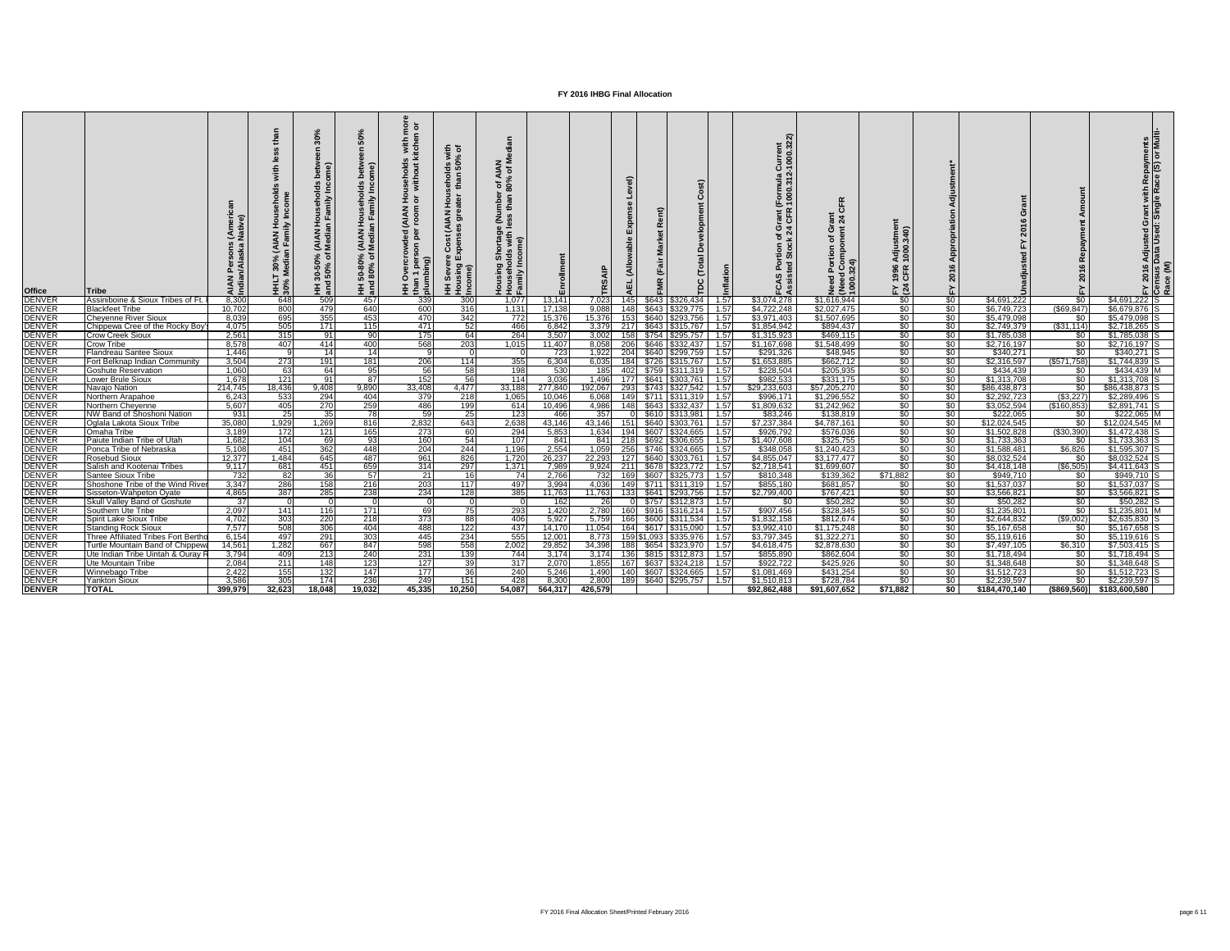| <b>Office</b>                  | AIA<br>Indi<br>lTribe                                                          | ≚ ≧<br>(AIAN<br>In Fami<br>30%<br>ledia<br>$\frac{1}{2}$ $\frac{1}{2}$ | <b>AIA</b><br>Med<br>$150\%$ | င္တ<br>lseho<br>Imily<br>)% (AIAN Hous<br>of Median Far<br>HH 50-80°<br>and 80% | 호 희<br>s with<br>kitche<br>usehold:<br>without<br><b>MAN)</b><br>$\frac{1}{2}$ $\frac{1}{2}$<br>$\frac{3}{5}$ $\frac{3}{5}$ | $\overline{z}$ $\overline{z}$<br>olds wi<br>an 50%<br>$\frac{1}{2}$<br>$rac{5}{46}$<br>$rac{1}{4}$ is not<br>ड<br>Cost<br>Sever<br>Ising<br>ome)<br><b>토 훈</b> | z ≅<br>ৰ চ<br>1 of A<br>80%<br><b>S</b> 32 | ollment          |                |            |       | $\mathbf C$<br>elopment<br>$\mathsf{P}\mathsf{S}$<br>Total<br><b>DC</b> |              | urrent<br>000.32:<br>$\overline{R}$<br>ัormula<br>000.31<br>ر ھ | $\mathbb{R}$<br>O<br>$\frac{1}{2}$<br>ចិ ដ<br>$\bar{\bullet}$ | 340)<br>1996<br>CFR<br>$\geq \frac{24}{2}$ |                       | ෆ                          |                            | Adjusted Grant with Repayments<br>Data Used: Single Race (S) or Multi- | $\frac{2016}{\text{N} \cdot \text{N}}$ |
|--------------------------------|--------------------------------------------------------------------------------|------------------------------------------------------------------------|------------------------------|---------------------------------------------------------------------------------|-----------------------------------------------------------------------------------------------------------------------------|----------------------------------------------------------------------------------------------------------------------------------------------------------------|--------------------------------------------|------------------|----------------|------------|-------|-------------------------------------------------------------------------|--------------|-----------------------------------------------------------------|---------------------------------------------------------------|--------------------------------------------|-----------------------|----------------------------|----------------------------|------------------------------------------------------------------------|----------------------------------------|
| <b>DENVER</b><br><b>DENVER</b> | 8,300<br>Assiniboine & Sioux Tribes of Ft.<br>10,702<br><b>Blackfeet Tribe</b> | 648<br>800                                                             | 509<br>479                   | 457<br>640                                                                      | 339<br>600                                                                                                                  | 300<br>316                                                                                                                                                     | 1,077<br>1,131                             | 13,141<br>17,138 | 7,023<br>9,088 | 145<br>148 | \$643 | \$326,434<br>$$643$ $$329,775$                                          | 1.57<br>1.57 | \$3,074,278<br>\$4,722,248                                      | \$1,616,944<br>\$2,027,475                                    | $\frac{1}{20}$<br>$\sqrt{50}$              | \$0<br>\$0            | \$4,691,222<br>\$6,749,723 | \$0<br>(\$69, 847          | $$4,691,222$ S<br>\$6,679,876 S                                        |                                        |
| <b>DENVER</b>                  | <b>Cheyenne River Sioux</b><br>8,039                                           | 695                                                                    | 355                          | 453                                                                             | 470                                                                                                                         | 342                                                                                                                                                            | 772                                        | 15,376           | 15,376         |            |       | \$640   \$293,756                                                       | 1.57         | \$3,971,403                                                     | \$1,507,695                                                   | $\frac{1}{2}$                              | \$0                   | \$5,479,098                | \$0                        | \$5,479,098                                                            |                                        |
| <b>DENVER</b>                  | Chippewa Cree of the Rocky Boy'<br>4,075                                       | 505                                                                    | 171                          | 115                                                                             | 471                                                                                                                         | 52                                                                                                                                                             | 466                                        | 6,842            | 3,379          | 217        | \$643 | \$315,767                                                               | 1.57         | \$1,854,942                                                     | \$894,437                                                     | $\sqrt{50}$                                | \$0                   | \$2,749,379                | $($ \$31,114)              | $$2,718,265$ S                                                         |                                        |
| <b>DENVER</b>                  | 2,561<br><b>Crow Creek Sioux</b>                                               | 315                                                                    | -911                         | .90                                                                             | 175                                                                                                                         | 64                                                                                                                                                             | 264                                        | 3,507            | 3,002          |            |       | \$754   \$295,757                                                       | 1.57         | \$1,315,923                                                     | \$469,115                                                     | $\frac{1}{30}$                             | \$0                   | \$1,785,038                | <b>SO</b>                  | $$1,785,038$ S                                                         |                                        |
| <b>DENVER</b>                  | 8,578<br>Crow Tribe                                                            | 407                                                                    | 414                          | 400                                                                             | 568                                                                                                                         | 203                                                                                                                                                            | 1,015                                      | 11,407           | 8,058          |            | \$646 | \$332,437                                                               | 1.57         | \$1,167,698                                                     | \$1,548,499                                                   | \$0 <sub>1</sub>                           | $\sqrt{50}$           | $\sqrt{$2,716,197}$        | \$0                        | $$2,716,197$ S                                                         |                                        |
| <b>DENVER</b>                  | Flandreau Santee Sioux<br>1,446                                                |                                                                        | 14                           | -14                                                                             |                                                                                                                             |                                                                                                                                                                |                                            | 723              | 1,922          |            |       | \$640   \$299,759                                                       | 1.57         | \$291,326                                                       | \$48,945                                                      | $\frac{1}{20}$                             | \$0                   | \$340,271                  | \$0                        | $$340,271$ S                                                           |                                        |
| <b>DENVER</b>                  | 3,504<br>Fort Belknap Indian Community                                         | 273                                                                    | 191                          | 181                                                                             | 206                                                                                                                         | 114                                                                                                                                                            | 355                                        | 6,304            | 6,035          |            |       | \$726 \$315,767                                                         | 1.57         | \$1,653,885                                                     | \$662,712                                                     | $\sqrt{50}$                                | $\sqrt{50}$           | \$2,316,597                | (\$571,758)                | $$1,744,839$ S                                                         |                                        |
| <b>DENVER</b>                  | 1,060<br><b>Goshute Reservation</b>                                            | 63                                                                     | 64                           | 95                                                                              | 56                                                                                                                          | 58                                                                                                                                                             | 198                                        | 530              | 185            |            |       | $$759$ $$311,319$                                                       | $-1.57$      | \$228,504                                                       | \$205,935                                                     | \$0                                        | \$0                   | \$434,439                  | \$0                        | \$434,439 M                                                            |                                        |
| <b>DENVER</b>                  | 1,678<br><b>Lower Brule Sioux</b>                                              | 121                                                                    | 91                           | $\overline{87}$                                                                 | 152                                                                                                                         | $\overline{56}$                                                                                                                                                | $\overline{114}$                           | 3,036            | 1,496          | 177        |       | \$641 \$303,761                                                         | 1.57         | \$982,533                                                       | \$331,175                                                     | $\sqrt{50}$                                | \$0                   | \$1,313,708                | $\sqrt{50}$                | $$1,313,708$ S                                                         |                                        |
| <b>DENVER</b>                  | 214,745<br>Navajo Nation                                                       | 18,436                                                                 | 9,408                        | 9,890                                                                           | 33,408                                                                                                                      | 4,477                                                                                                                                                          | 33,188                                     | 277,840          | 192,067        | 293        |       | $$743 \mid $327,542 \mid 1.57$                                          |              | \$29,233,603                                                    | \$57,205,270                                                  | \$0                                        | \$0                   | \$86,438,873               | \$0                        | \$86,438,873 S                                                         |                                        |
| <b>DENVER</b>                  | 6,243<br>Northern Arapahoe                                                     | 533                                                                    | 294                          | 404                                                                             | 379                                                                                                                         | 218                                                                                                                                                            | 1,065                                      | 10,046           | 6,068          | 149        |       | $$711$ $$311,319$                                                       | 1.57         | \$996,171                                                       | \$1,296,552                                                   | $\sqrt{50}$                                | $\sqrt{50}$           | \$2,292,723                | (\$3,227)                  | $$2,289,496$ S                                                         |                                        |
| <b>DENVER</b>                  | 5,607<br>Northern Cheyenne                                                     | 405                                                                    | 270                          | 259                                                                             | 486                                                                                                                         | 199                                                                                                                                                            | 614                                        | 10,496           | 4,986          |            |       | \$643   \$332,437                                                       | 1.57         | \$1,809,632                                                     | \$1,242,962                                                   | $\frac{1}{6}$                              | \$0                   | \$3,052,594                | $(\$160,853]$              | $$2,891,741$ S                                                         |                                        |
| <b>DENVER</b>                  | 931<br>NW Band of Shoshoni Nation                                              | 25                                                                     | 35                           | 78I                                                                             | 59                                                                                                                          | 25                                                                                                                                                             | 123                                        | 466              | 357            |            | \$610 | 5313,981                                                                | 1.57         | \$83,246                                                        | \$138,819                                                     | $\sqrt{50}$                                | \$0                   | \$222,065                  | \$0                        | $$222,065$ M                                                           |                                        |
| <b>DENVER</b>                  | 35,080<br>Oglala Lakota Sioux Tribe                                            | 1,929                                                                  | 1,269                        | 816                                                                             | 2,832                                                                                                                       | 643                                                                                                                                                            | 2,638                                      | 43,146           | 43,146         |            | \$640 | \$303,761                                                               | 1.57         | \$7,237,384                                                     | \$4,787,161                                                   | $\frac{1}{6}$                              | \$0                   | \$12,024,545               | \$0                        | $$12,024,545$ M                                                        |                                        |
| <b>DENVER</b>                  | 3,189<br>Omaha Tribe                                                           | 172                                                                    | 121                          | 165                                                                             | 273                                                                                                                         | 60                                                                                                                                                             | 294                                        | 5,853            | 1,634          |            | \$607 | \$324,665                                                               | 1.57         | \$926,792                                                       | \$576,036                                                     | \$0                                        | $\frac{6}{3}$         | \$1,502,828                | (\$30,390)                 | $$1,472,438$ S                                                         |                                        |
| <b>DENVER</b>                  | Paiute Indian Tribe of Utah<br>1,682                                           | 104                                                                    | -691                         | -931                                                                            | 160                                                                                                                         | 54                                                                                                                                                             | 107                                        | 841              | 841            | 218I       | \$692 | \$306,655                                                               | 1.57         | \$1,407,608                                                     | \$325,755                                                     | $\frac{1}{30}$                             | \$0                   | \$1,733,363                | \$0                        | $$1,733,363$ S                                                         |                                        |
| <b>DENVER</b>                  | 5,108<br>Ponca Tribe of Nebraska                                               | 451                                                                    | 362                          | 448                                                                             | 204                                                                                                                         | 244                                                                                                                                                            | 1,196                                      | 2,554            | 1,059          | 256        |       | \$746 \$324,665                                                         | 1.57         | \$348,058                                                       | \$1,240,423                                                   | \$0 <sub>1</sub>                           | $\frac{1}{2}$         | \$1,588,481                | \$6,826                    | \$1,595,307                                                            |                                        |
| <b>DENVER</b>                  | Rosebud Sioux<br>12,377                                                        | 1,484                                                                  | 645                          | 487                                                                             | 961                                                                                                                         | 826                                                                                                                                                            | 1,720                                      | 26,237           | 22,293         |            |       | \$640 \$303,761                                                         | 1.57         | \$4,855,047                                                     | \$3,177,477                                                   | $rac{1}{2}$                                | $rac{1}{2}$           | \$8,032,524                | \$0                        | $$8,032,524$ S                                                         |                                        |
| <b>DENVER</b><br><b>DENVER</b> | Salish and Kootenai Tribes<br>9,117<br>Santee Sioux Tribe                      | 681<br>732<br>82                                                       | 451<br>36                    | 659<br>57                                                                       | 314<br>21                                                                                                                   | 297<br><b>16</b>                                                                                                                                               | 1,371<br>74                                | 7,989<br>2,766   |                |            |       | $9,924$ 211 \$678 \$323,772 1.57<br>732 169 \$607 \$325,773 1.57        |              | \$2,718,541  <br>\$810,348                                      | \$1,699,607<br>\$139,362                                      | - \$0  <br>\$71,882                        | -\$0  <br>$\sqrt{50}$ | \$4,418,148<br>\$949,710   | $($ \$6,505)<br><b>\$0</b> | \$4,411,643 S<br>\$949,710 S                                           |                                        |
|                                | 3,347<br>Shoshone Tribe of the Wind River                                      | 286                                                                    | 158                          | $\boxed{216}$                                                                   | 203                                                                                                                         | 117                                                                                                                                                            | 497                                        | 3,994            |                |            |       | 4,036 149 \$711 \$311,319 1.57                                          |              | \$855,180                                                       | \$681,857                                                     | \$0                                        | \$0                   | \$1,537,037                | $\sqrt{50}$                | $$1,537,037$ S                                                         |                                        |
| DENVER<br>DENVER               | 4,865<br>Sisseton-Wahpeton Oyate                                               | 387                                                                    | 285                          | 238                                                                             | 234                                                                                                                         | 128                                                                                                                                                            | 385                                        | 11,763           |                |            |       | 11,763 133 \$641 \$293,756 1.57                                         |              | \$2,799,400                                                     | \$767,421                                                     | $\sqrt{50}$                                | $\overline{\$0}$      | \$3,566,821                | $\frac{1}{20}$             | $$3,566,821$ S                                                         |                                        |
| <b>DENVER</b>                  | <b>Skull Valley Band of Goshute</b>                                            | 37                                                                     |                              |                                                                                 |                                                                                                                             |                                                                                                                                                                |                                            | 162              | <b>26</b>      |            |       |                                                                         |              | -\$0 I                                                          | \$50,282                                                      | \$0                                        | \$0                   | \$50,282                   | \$0 <sub>1</sub>           | $$50,282$ S                                                            |                                        |
| <b>DENVER</b>                  | 2,097<br>Southern Ute Tribe                                                    | 141                                                                    | 116                          | 171                                                                             | 69                                                                                                                          | 75                                                                                                                                                             | 293                                        | 1,420            |                |            |       | 2,780 160 \$916 \$316,214 1.57                                          |              | \$907,456                                                       | \$328,345                                                     | \$0                                        | $\sqrt{50}$           | \$1,235,801                | $\sqrt{50}$                | \$1,235,801 M                                                          |                                        |
| <b>DENVER</b>                  | 4,702<br>Spirit Lake Sioux Tribe                                               | 303                                                                    | 220                          | 218                                                                             | 373                                                                                                                         | 88                                                                                                                                                             | 406                                        | 5,927            | 5,759          |            |       | 166 \$600 \$311,534 1.57                                                |              | \$1,832,158                                                     | \$812,674                                                     | \$0                                        | \$0                   | \$2,644,832                | (\$9,002)                  | $$2,635,830$ S                                                         |                                        |
| <b>DENVER</b>                  | 7,577<br><b>Standing Rock Sioux</b>                                            | 508                                                                    | 306                          | 404                                                                             | 488                                                                                                                         | 122                                                                                                                                                            | 437                                        | 14,170           | 11,054         |            |       | 164 \$617 \$315,090 1.57                                                |              | \$3,992,410                                                     | \$1,175,248                                                   | $\frac{1}{2}$                              | $\frac{1}{2}$         | \$5,167,658                | \$0                        | $$5,167,658$ S                                                         |                                        |
| <b>DENVER</b>                  | Three Affiliated Tribes Fort Bertho<br>6,154                                   | 497                                                                    | 291                          | 303                                                                             | 445                                                                                                                         | 234                                                                                                                                                            | 555                                        | 12,001           | 8,773          |            |       | 159 \$1,093 \$335,976 1.57                                              |              | \$3,797,345                                                     | \$1,322,271                                                   | $\sqrt{50}$                                | $\sqrt{50}$           | \$5,119,616                | $\sqrt{50}$                | $$5,119,616$ S                                                         |                                        |
| <b>DENVER</b>                  | 14,561<br>Turtle Mountain Band of Chippewa                                     | 1,282                                                                  | 667                          | 847                                                                             | 598                                                                                                                         | 558                                                                                                                                                            | 2,002                                      | 29,852           | 34,398         |            |       |                                                                         |              | \$4,618,475                                                     | \$2,878,630                                                   | \$0                                        | \$0                   | \$7,497,105                | \$6,310                    | $$7,503,415$ S                                                         |                                        |
| <b>DENVER</b>                  | Ute Indian Tribe Uintah & Ouray F<br>3,794                                     | 409                                                                    | 213                          | 240                                                                             | 231                                                                                                                         | 139                                                                                                                                                            | 744                                        | 3,174            | 3,174          |            |       |                                                                         |              | \$855,890                                                       | \$862,604                                                     | $\frac{1}{30}$                             | \$0 <sub>1</sub>      | \$1,718,494                | —\$0 l                     | $$1,718,494$ S                                                         |                                        |
| <b>DENVER</b>                  | 2,084<br>Ute Mountain Tribe                                                    | 211                                                                    | 148                          | 123                                                                             | 127                                                                                                                         | 39                                                                                                                                                             | 317                                        | 2,070            |                |            |       | $1,855$ 167 \$637 \$324,218 1.57                                        |              | \$922,722                                                       | \$425,926                                                     | $\sqrt{50}$                                | $\frac{1}{20}$        | \$1,348,648                | $\sqrt{50}$                | $$1,348,648$ S                                                         |                                        |
| <b>DENVER</b>                  | 2,422<br>Winnebago Tribe                                                       | 155                                                                    | 132                          | 147                                                                             | 177                                                                                                                         | 36                                                                                                                                                             | 240                                        | 5,246            | 1,490          |            |       | 140 \$607 \$324,665 1.57                                                |              | \$1,081,469                                                     | \$431,254                                                     | $\sqrt{50}$                                | $\sqrt{50}$           | \$1,512,723                | $\sqrt{50}$                | $$1,512,723$ S                                                         |                                        |
| <b>DENVER</b>                  | 3,586<br><b>Yankton Sioux</b>                                                  | 305                                                                    | 174                          | 236                                                                             | 249                                                                                                                         | 151                                                                                                                                                            | 428                                        | 8,300            | 2,800          |            |       |                                                                         |              | \$1,510,813                                                     | \$728,784                                                     | $\sqrt{50}$                                | $\sqrt{50}$           | \$2,239,597                | $\frac{1}{20}$             | $$2,239,597$ S                                                         |                                        |
| <b>DENVER</b>                  | <b>TOTAL</b><br>399,979                                                        | 32,623                                                                 | 18,048                       | 19,032                                                                          | 45,335                                                                                                                      | 10,250                                                                                                                                                         | 54,087                                     | 564,317          | 426,579        |            |       |                                                                         |              | \$92,862,488                                                    | \$91,607,652                                                  | \$71,882                                   | \$0                   | \$184,470,140              |                            | $(\$869,560)$ $$183,600,580$                                           |                                        |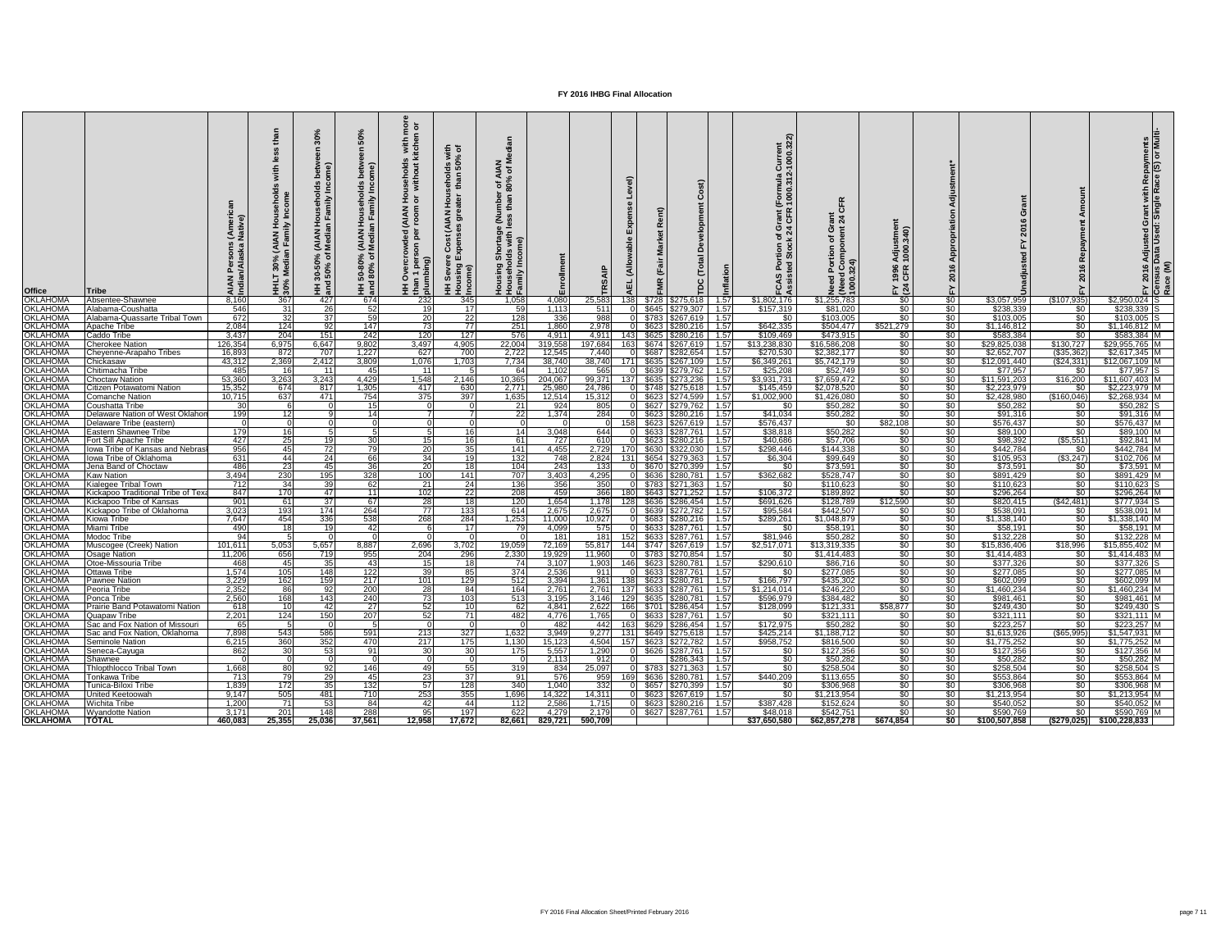| <b>Office</b>                      | <b>Tribe</b>                                                |                | 30%<br>ا•<br>ا<br>王 ë | ome)<br>mily<br><b>IAN</b><br>edia<br>ని స<br>50%<br>and | (AIAN<br>Media<br>వ్ శ<br>50-80°<br>  80%<br>포 로<br>도 | $\overline{9}$ $\overline{0}$<br><u>iou</u><br>HH Ove<br>  than 1<br>  plumbi | $\equiv$ $\sigma$<br>रू ह<br>8<br>8<br>8<br>오.<br>$\mathbf{z}$<br>$\overline{5}$<br><u>ड</u> \$<br>၉ ၅<br>Sev<br>HH Ser<br>Housin<br>Income | z ≅<br>ৰ চ<br><b>08</b><br>708<br>E £<br>rtag<br>with<br>효 오 오 |                |                |                |       | $\mathbf C$<br>$\Omega$<br>$\overline{\bullet}$<br>ヒ<br><b>PC</b>                           |              | urrent<br>000.32<br><u> ភ្នំ</u><br>ັດ<br>000.<br>000<br>ر ھ | ్త<br>$\frac{1}{2}$<br>こうしょう うちょう<br>1000<br>1000 | $\overline{40}$<br>$rac{1}{2}$<br>1996<br>CFR<br>$E \overline{a}$ |                                   | 201                      |                                     | h Repayments<br>tace (S) or Multi-<br>rant with<br>Single Ra<br>Adjusted Gr<br>Data Used: S |  |
|------------------------------------|-------------------------------------------------------------|----------------|-----------------------|----------------------------------------------------------|-------------------------------------------------------|-------------------------------------------------------------------------------|---------------------------------------------------------------------------------------------------------------------------------------------|----------------------------------------------------------------|----------------|----------------|----------------|-------|---------------------------------------------------------------------------------------------|--------------|--------------------------------------------------------------|---------------------------------------------------|-------------------------------------------------------------------|-----------------------------------|--------------------------|-------------------------------------|---------------------------------------------------------------------------------------------|--|
| <b>OKLAHOMA</b>                    | Absentee-Shawnee                                            | 8,160          | 367                   | 427                                                      | 674                                                   | 232                                                                           | 345                                                                                                                                         | 1,058                                                          | 4,080          | 25,583         | 138            | \$728 | \$275,618                                                                                   | 1.57         | \$1,802,176                                                  | \$1,255,783                                       | \$0 <sub>1</sub>                                                  | \$0                               | \$3,057,959              | (\$107,935)                         | $$2,950,024$ S                                                                              |  |
| <b>OKLAHOMA</b>                    | Alabama-Coushatta                                           | 546            | -311                  | 26                                                       | 52                                                    | 19                                                                            | 17                                                                                                                                          | 59                                                             | 1,113          | 511            |                |       | \$645 \$279,307                                                                             | 1.57         | \$157,319                                                    | \$81,020                                          | $rac{1}{\sqrt{2}}$                                                | $\frac{1}{2}$                     | \$238,339                | \$0                                 | $$238,339$ S                                                                                |  |
| <b>OKLAHOMA</b><br><b>OKLAHOMA</b> | Alabama-Quassarte Tribal Town<br><b>Apache Tribe</b>        | 672<br>2,084   | $\overline{32}$       | 37                                                       | 59                                                    | 20<br>73                                                                      | 22<br>77                                                                                                                                    | 128                                                            | 336            | 988<br>2,978   |                | \$783 | \$267,619<br>$$623$ $$280,216$                                                              | 1.57<br>1.57 | \$0                                                          | \$103,005<br>\$504,477                            | \$0<br>\$521,279                                                  | \$0<br>$\sqrt{30}$                | \$103,005                | $\sqrt{50}$<br>\$0                  | $$103,005$ S<br>$$1,146,812$ M                                                              |  |
| <b>OKLAHOMA</b>                    | Caddo Tribe                                                 | 3,437          | 124<br>204            | 92<br>151                                                | 147<br>242                                            | 120                                                                           | 127                                                                                                                                         | 251<br>576                                                     | 1,860<br>4,911 | 4,911          |                |       | $$625$ $$280,216$                                                                           | $-1.57$      | \$642,335<br>\$109,469                                       | \$473,915                                         | \$0 I                                                             | \$0                               | \$1,146,812<br>\$583,384 | $\sqrt{50}$                         | \$583,384 M                                                                                 |  |
| <b>OKLAHOMA</b>                    | Cherokee Nation                                             | 126,354        | 6,975                 | 6,647                                                    | 9,802                                                 | 3,497                                                                         | 4,905                                                                                                                                       | 22,004                                                         | 319,558        | 197,684        |                |       | $$674$ $$267,619$                                                                           | 1.57         | \$13,238,830                                                 | \$16,586,208                                      | $\sqrt[6]{}$                                                      | $\sqrt{50}$                       | \$29,825,038             | \$130,727                           | $$29,955,765$ M                                                                             |  |
| <b>OKLAHOMA</b>                    | Cheyenne-Arapaho Tribes                                     | 16,893         | 872                   | 707                                                      | 1,227                                                 | 627                                                                           | 700                                                                                                                                         | 2,722                                                          | 12,545         | 7,440          |                |       | \$687 \$282,654                                                                             | $-1.57$      | \$270,530                                                    | \$2,382,177                                       | \$0                                                               | \$0                               | \$2,652,707              | $($ \$35,362                        | $$2,617,345$ M                                                                              |  |
| <b>OKLAHOMA</b>                    | Chickasaw                                                   | 43,312         | 2,369                 | 2,412                                                    | 3,809                                                 | 1,076                                                                         | 1,703                                                                                                                                       | 7,734                                                          | 38,740         | 38,740         | 171 L          |       | \$635 \$267,109                                                                             | 1.57         | \$6,349,261                                                  | \$5,742,179                                       | $\sqrt{50}$                                                       | $\sqrt{50}$                       | \$12,091,440             | (\$24,331                           | \$12,067,109 M                                                                              |  |
| <b>OKLAHOMA</b>                    | Chitimacha Tribe                                            | 485            | -16                   | 11                                                       | -45                                                   | 11                                                                            |                                                                                                                                             | 64                                                             | 1,102          | 565            | 0L.            |       | \$639 \$279,762                                                                             | 1.57         | \$25,208                                                     | \$52,749                                          | $\sqrt[6]{}$                                                      | $\frac{1}{2}$                     | \$77,957                 | \$0                                 | $$77,957$ S                                                                                 |  |
| <b>OKLAHOMA</b>                    | <b>Choctaw Nation</b>                                       | 53,360         | 3,263                 | 3,243                                                    | 4,429                                                 | 1,548                                                                         | 2,146                                                                                                                                       | 10,365                                                         | 204,067        | 99,371         | 137            |       | $$635$ $$273,236$                                                                           | 1.57         | \$3,931,731                                                  | \$7,659,472                                       | $\sqrt{30}$                                                       | $\sqrt{50}$                       | \$11,591,203             | \$16,200                            | \$11,607,403 M                                                                              |  |
| <b>OKLAHOMA</b>                    | Citizen Potawatomi Nation                                   | 15,352         | 674                   | 817                                                      | 1,305                                                 | 417                                                                           | 630                                                                                                                                         | 2,771                                                          | 25,980         | 24,786         |                |       | $\sqrt{$748}{$275,618}$                                                                     | 1.57         | \$145,459                                                    | \$2,078,520                                       | $\sqrt[6]{}$                                                      | $\frac{1}{20}$                    | \$2,223,979              | <b>SO</b>                           | \$2,223,979                                                                                 |  |
| <b>OKLAHOMA</b>                    | <b>Comanche Nation</b>                                      | 10,715         | 637                   | 471                                                      | 754                                                   | 375                                                                           | 397                                                                                                                                         | 1,635                                                          | 12,514         | 15,312         |                |       | \$623 \$274,599                                                                             | 1.57         | \$1,002,900                                                  | \$1,426,080                                       | \$0 <sub>1</sub>                                                  | \$0                               | \$2,428,980              | (\$160,046)                         | $$2,268,934$ M                                                                              |  |
| <b>OKLAHOMA</b><br><b>OKLAHOMA</b> | Coushatta Tribe                                             | 30<br>199      | 12 <sup>1</sup>       |                                                          | -15<br>14                                             |                                                                               |                                                                                                                                             | 21<br>$\overline{22}$                                          | 924<br>1,374   | 805            |                |       | $$627$ $$279,762$                                                                           | 1.57         | \$0<br>\$41,034                                              | \$50,282<br>\$50,282                              | \$0<br>$rac{1}{\sqrt{2}}$                                         | \$0                               | \$50,282                 | $\sqrt{50}$<br>$\sqrt{50}$          | $$50,282$ S<br>$$91,316$ M                                                                  |  |
| <b>OKLAHOM</b>                     | Delaware Nation of West Oklahor<br>Delaware Tribe (eastern) |                |                       |                                                          |                                                       |                                                                               |                                                                                                                                             |                                                                |                | 284            | 158            |       | \$623 \$280,216<br>$$623$ $$267,619$                                                        | 1.57<br>1.57 | \$576,437                                                    | \$0                                               | \$82,108                                                          | $\sqrt{50}$<br>\$0                | \$91,316<br>\$576,437    | $rac{1}{\sqrt{2}}$                  | $$576,437$ M                                                                                |  |
| <b>OKLAHOMA</b>                    | <b>Eastern Shawnee Tribe</b>                                | 179            | -16I                  |                                                          |                                                       |                                                                               | 16 <sup>1</sup>                                                                                                                             | 14                                                             | 3,048          | 644            |                |       | \$633 \$287,761                                                                             | 1.57         | \$38,818                                                     | \$50,282                                          | \$0 <sub>1</sub>                                                  | \$0                               | \$89,100                 | $rac{1}{\sqrt{2}}$                  | \$89,100 M                                                                                  |  |
| <b>OKLAHOMA</b>                    | Fort Sill Apache Tribe                                      | 427            | 25                    | 19                                                       | -30                                                   | 15 <sup>1</sup>                                                               | 16                                                                                                                                          | -61                                                            | 727            | 610            |                |       | $$623$ $$280,216$                                                                           | 1.57         | \$40,686                                                     | \$57,706                                          | $\frac{1}{30}$                                                    | $\frac{1}{2}$                     | \$98,392                 | (\$5,551)                           | $$92,841$ M                                                                                 |  |
| <b>OKLAHOMA</b>                    | lowa Tribe of Kansas and Nebras                             | 956            | 45                    | 72                                                       |                                                       | 20                                                                            | 35                                                                                                                                          | 141                                                            | 4,455          | 2,729          |                | \$630 | \$322,030                                                                                   | 1.57         | \$298,446                                                    | \$144,338                                         | $\frac{6}{3}$                                                     | $\sqrt{30}$                       | \$442,784                | \$0                                 | \$442,784 M                                                                                 |  |
| <b>OKLAHOMA</b>                    | Iowa Tribe of Oklahoma                                      | 631            | 44                    | 24                                                       | 66                                                    | 34                                                                            | 19 <sup>l</sup>                                                                                                                             | 132                                                            | 748            | 2,824          | 1311           |       | \$654   \$279,363                                                                           | 1.57         | \$6,304                                                      | \$99,649                                          | $\frac{1}{30}$                                                    | $\frac{1}{2}$                     | \$105,953                | (\$3,247)                           | $$102,706$ M                                                                                |  |
| <b>OKLAHOMA</b>                    | Jena Band of Choctaw                                        | 486            | 23                    | 45                                                       | ახ                                                    | 20 <sub>l</sub>                                                               | 18                                                                                                                                          | 104                                                            | 243            | ျဒဒ္မျ         |                |       | $\begin{array}{ c c c c c c c c c } \hline 0 & $5670 & $5270,399 & 1.57 \hline \end{array}$ |              | $\frac{1}{2}$                                                | \$73,591                                          | \$0]                                                              | $\frac{1}{20}$                    | \$73,591                 | \$0 <sub>1</sub>                    | \$73,591 M                                                                                  |  |
| <b>OKLAHOMA</b>                    | <b>Kaw Nation</b>                                           | 3,494          | 230                   | 195                                                      | 328                                                   | 100                                                                           | 141                                                                                                                                         | 707                                                            | 3,403          | 4,295          |                |       | $0$ \$636 \$280,781 1.57                                                                    |              | \$362,682                                                    | \$528,747                                         | \$0                                                               | \$0                               | \$891,429                | $\frac{1}{6}$                       | \$891,429 M                                                                                 |  |
| <b>OKLAHOMA</b>                    | Kialegee Tribal Town                                        | 712            | 34                    | 39                                                       | 62                                                    | 21                                                                            | 24                                                                                                                                          | 136                                                            | 356            | 350            |                |       | 0 \$783 \$271,363 1.57                                                                      |              | -\$0 I                                                       | \$110,623                                         | \$0 <sub>1</sub>                                                  | \$0                               | \$110,623                | \$0 <sub>1</sub>                    | $$110,623$ S                                                                                |  |
| <b>OKLAHOMA</b>                    | Kickapoo Traditional Tribe of Texa                          | 847            | 170                   | 47                                                       | 11                                                    | 102                                                                           | 22                                                                                                                                          | 208                                                            | 459            | 366            |                |       | 180 \$643 \$271,252 1.57                                                                    |              | \$106,372                                                    | \$189,892                                         | $\frac{1}{2}$                                                     | $\frac{1}{2}$                     | \$296,264                | $rac{1}{\sqrt{2}}$                  | $$296,264$ M                                                                                |  |
| <b>OKLAHOMA</b><br><b>OKLAHOMA</b> | Kickapoo Tribe of Kansas<br>Kickapoo Tribe of Oklahoma      | 901<br>3,023   | -611<br>193           | 37<br>174                                                | 67<br>264                                             | 28<br>77 I                                                                    | 18<br> 133                                                                                                                                  | 120<br>614                                                     | 1,654<br>2,675 | 1,178<br>2,675 |                |       | 128 \$636 \$286,454<br>0 \$639 \$272,782 1.57                                               | 1.57         | \$691,626<br>\$95,584                                        | \$128,789<br>\$442,507                            | \$12,590<br>$\frac{1}{30}$                                        | $\overline{50}$<br>$\sqrt{50}$    | \$820,415<br>\$538,091   | ( \$42,481)<br>— \$0                | $$777,934$ S<br>\$538,091 M                                                                 |  |
| <b>OKLAHOMA</b>                    | Kiowa Tribe                                                 | 7,647          | 454                   | 336                                                      | 538                                                   | 268                                                                           | 284                                                                                                                                         | 1,253                                                          | 11,000         | 10,927         |                |       | 0 \$683 \$280,216 1.57                                                                      |              | \$289,261                                                    | \$1,048,879                                       | $\sqrt{50}$                                                       | $\sqrt{50}$                       | \$1,338,140              | $rac{1}{5}$                         | $$1,338,140$ M                                                                              |  |
| <b>OKLAHOMA</b>                    | Miami Tribe                                                 | 490            | $\overline{18}$       | 19I                                                      | -42                                                   |                                                                               | 17                                                                                                                                          | 79                                                             | 4,099          | 575            |                |       | $0$ \$633 \$287,761 1.57                                                                    |              | - \$0                                                        | \$58,191                                          | \$0                                                               | $\overline{\phantom{0}50}$        | \$58,191                 | \$0                                 | $$58,191$ M                                                                                 |  |
| <b>OKLAHOMA</b>                    | Modoc Tribe                                                 | 94             |                       |                                                          |                                                       |                                                                               |                                                                                                                                             |                                                                | 181            | 181            |                |       | 152 \$633 \$287,761 1.57                                                                    |              | \$81,946                                                     | \$50,282                                          | \$0                                                               | \$0 <sub>1</sub>                  | \$132,228                | $rac{1}{\sqrt{2}}$                  | $$132,228$ M                                                                                |  |
| <b>OKLAHOMA</b>                    | Muscogee (Creek) Nation                                     | 101,611        | 5,053                 | 5,657                                                    | 8,887                                                 | 2,696                                                                         | 3,702                                                                                                                                       | 19,059                                                         | 72,169         | 55,817         |                |       | 144 \$747 \$267,619 1.57                                                                    |              | \$2,517,071                                                  | \$13,319,335                                      | \$0                                                               | $\sqrt{50}$                       | \$15,836,406             | \$18,996                            | \$15,855,402 M                                                                              |  |
| <b>OKLAHOMA</b>                    | <b>Osage Nation</b>                                         | 11,206         | 656                   | 719                                                      | 955                                                   | 204                                                                           | 296                                                                                                                                         | 2,330                                                          | 19,929         | 11,960         |                |       | $0$ \$783 \$270,854 1.57                                                                    |              | \$0                                                          | \$1,414,483                                       | $\frac{1}{2}$                                                     | \$0                               | \$1,414,483              | —\$0 I                              | $$1,4\overline{14,483}$ M                                                                   |  |
| <b>OKLAHOMA</b>                    | Otoe-Missouria Tribe                                        | 468            | $-45$                 | 35                                                       | -43                                                   | 15                                                                            | 18                                                                                                                                          | 74                                                             | 3,107          | 1,903          |                |       | 146 \$623 \$280,781 1.57                                                                    |              | \$290,610                                                    | \$86,716                                          | $\frac{1}{2}$                                                     | $\sqrt{50}$                       | \$377,326                | $\frac{1}{2}$                       | $$377,326$ S                                                                                |  |
| <b>OKLAHOMA</b>                    | Ottawa Tribe                                                | 1,574<br>3,229 | 105                   | 148                                                      | 122<br>217                                            | 39                                                                            | 85                                                                                                                                          | 374<br>512                                                     | 2,536          | 911            |                |       | $0$ \$633 \$287,761                                                                         | 1.57         | <b>\$0</b>                                                   | \$277,085<br>\$435,302                            | $\sqrt{50}$                                                       | \$0                               | \$277,085<br>\$602,099   | $\frac{1}{2}$<br>$rac{1}{\sqrt{2}}$ | $$277,085$ M                                                                                |  |
| <b>OKLAHOMA</b><br><b>OKLAHOMA</b> | <b>Pawnee Nation</b><br>Peoria Tribe                        | 2,352          | 162<br>86             | 159<br>92                                                | 200                                                   | 101<br>$\overline{28}$                                                        | 129<br>84                                                                                                                                   | 164                                                            | 3,394<br>2,761 | 1,361<br>2,761 |                |       | 138 \$623 \$280,781<br>137 \$633 \$287,761                                                  | 1.57<br>1.57 | \$166,797<br>\$1,214,014                                     | \$246,220                                         | $\frac{1}{20}$<br>$\frac{1}{30}$                                  | $\frac{1}{2}$<br>\$0 <sub>1</sub> | \$1,460,234              | $\frac{1}{2}$                       | \$602,099 M<br>$$1,460,234$ M                                                               |  |
| <b>OKLAHOMA</b>                    | Ponca Tribe                                                 | 2,560          | 168                   | 143                                                      | 240                                                   | 73                                                                            | 103                                                                                                                                         | 513                                                            | 3,195          | 3,146          |                |       | 129 \$635 \$280,781 1.57                                                                    |              | \$596,979                                                    | \$384,482                                         | \$0                                                               | $\sqrt{50}$                       | \$981,461                | $\frac{1}{2}$                       | $$981,461$ M                                                                                |  |
| OKLAHOMA                           | Prairie Band Potawatomi Nation                              | 618            | 10                    | 42                                                       | -27                                                   | 52                                                                            | 10                                                                                                                                          | -62                                                            | 4,841          | 2,622          |                |       | 166 \$701 \$286,454 1.57                                                                    |              | \$128,099                                                    | \$121,331                                         | \$58,877                                                          | $\frac{1}{2}$                     | \$249,430                | $rac{1}{\sqrt{2}}$                  | $$249,430$ S                                                                                |  |
| <b>OKLAHOMA</b>                    | <b>Quapaw Tribe</b>                                         | 2,201          | 124                   | 150                                                      | 207                                                   | 52                                                                            | 71                                                                                                                                          | 482                                                            | 4,776          | 1,765          |                |       | 0 \$633 \$287,761 1.57                                                                      |              | <b>SO</b>                                                    | \$321,111                                         | \$0 <sub>1</sub>                                                  | \$0                               | \$321,111                | $\sqrt{50}$                         | $$321,111$ M                                                                                |  |
| <b>OKLAHOMA</b>                    | Sac and Fox Nation of Missouri                              | 65             |                       |                                                          |                                                       |                                                                               |                                                                                                                                             |                                                                | 482            | 442            |                |       | 163 \$629 \$286,454 1.57                                                                    |              | \$172,975                                                    | \$50,282                                          | \$0                                                               | \$0                               | \$223,257                | $\frac{1}{2}$                       | $$223,257$ M                                                                                |  |
| <b>OKLAHOMA</b>                    | Sac and Fox Nation, Oklahoma                                | 7,898          | 543                   | 586                                                      | 591                                                   | 213                                                                           | 327                                                                                                                                         | 1,632                                                          | 3,949          | 9,277          |                |       | 131 \$649 \$275,618 1.57                                                                    |              | \$425,214                                                    | \$1,188,712                                       | \$0                                                               | \$0                               | \$1,613,926              | $($ \$65,995)                       | $$1,547,931$ M                                                                              |  |
| <b>OKLAHOMA</b>                    | Seminole Nation                                             | 6,215          | 360                   | 352                                                      | 470                                                   | 217                                                                           | 175                                                                                                                                         | 1,130                                                          | 15,123         | 4,504          |                |       | 157 \$623 \$272,782 1.57                                                                    |              | \$958,752                                                    | \$816,500                                         | \$0                                                               | \$0                               | \$1,775,252              | - \$0                               | $$1,775,252$ M                                                                              |  |
| <b>OKLAHOMA</b><br><b>OKLAHOMA</b> | Seneca-Cayuga<br>Shawnee                                    | 862            | 30 <sup>l</sup>       | 53<br>$\Omega$                                           | -91                                                   | 30 <sup>1</sup>                                                               | 30 <sub>l</sub>                                                                                                                             | 175                                                            | 5,557<br>2,113 | 1,290<br>912   | $\overline{0}$ |       | $0$ \$626 \$287,761 1.57<br>$ $286,343$   1.57                                              |              | -\$0 I<br>$\frac{1}{20}$                                     | \$127,356<br>\$50,282                             | $\frac{1}{20}$<br>$\sqrt{50}$                                     | $\frac{1}{2}$<br>$\sqrt{50}$      | \$127,356<br>\$50,282    | \$0 I<br>$\frac{1}{2}$              | $$127,356$ M<br>$$50,282$ M                                                                 |  |
| <b>OKLAHOMA</b>                    | <b>Thiopthiocco Tribal Town</b>                             | 1,668          | 80                    | 92                                                       | 146                                                   | 49                                                                            | 55                                                                                                                                          | 319                                                            | 834            | 25,097         |                |       | $0$ \$783 \$271,363                                                                         | 1.57         | $\frac{1}{20}$                                               | \$258,504                                         | $\frac{1}{2}$                                                     | \$0                               | \$258,504                | $\frac{1}{2}$                       | $$258,504$ S                                                                                |  |
| <b>OKLAHOMA</b>                    | Tonkawa Tribe                                               | 713            | $\overline{79}$       | 29                                                       | -45                                                   | 23                                                                            | 37                                                                                                                                          | -911                                                           | 576            | 959            | 169            |       | $$636$ $$280,781$                                                                           | 1.57         | \$440,209                                                    | \$113,655                                         | $\frac{1}{20}$                                                    | $\sqrt{50}$                       | \$553,864                | $\frac{1}{2}$                       | $$553,864$ M                                                                                |  |
| <b>OKLAHOMA</b>                    | <b>Tunica-Biloxi Tribe</b>                                  | 1,839          | 172                   | 35                                                       | 132                                                   | 57                                                                            | 128                                                                                                                                         | 340                                                            | 1,040          | 332            |                |       | $0$ \$657 \$270,399 1.57                                                                    |              | $rac{1}{\sqrt{2}}$                                           | \$306,968                                         | $\sqrt{50}$                                                       | $\sqrt{50}$                       | \$306,968                | \$0                                 | \$306,968 M                                                                                 |  |
| <b>OKLAHOMA</b>                    | <b>United Keetoowah</b>                                     | 9,147          | 505                   | 481                                                      | 710                                                   | 253                                                                           | 355                                                                                                                                         | 1,696                                                          | 14,322         | 14,311         |                |       | $\overline{0}$ \$623 \$267,619                                                              | $\vert$ 1.57 | <b>\$0</b>                                                   | \$1,213,954                                       | \$0                                                               | \$0                               | \$1,213,954              | $\frac{1}{2}$                       | $$1,213,954$ M                                                                              |  |
| <b>OKLAHOMA</b>                    | <b>Wichita Tribe</b>                                        | 1,200          | - 71 I                | 53                                                       | 84                                                    | -42                                                                           | 44                                                                                                                                          | $\overline{112}$                                               | 2,586          | 1,715          |                |       | 0 \$623 \$280,216 1.57                                                                      |              | \$387,428                                                    | \$152,624                                         | $\frac{1}{2}$                                                     | \$0                               | \$540,052                | \$0 <sub>1</sub>                    | \$540,052 M                                                                                 |  |
| <b>OKLAHOMA</b>                    | <b>Wyandotte Nation</b>                                     | 3,171          | 201                   | 148                                                      | 288                                                   | 95                                                                            | 197                                                                                                                                         | 622                                                            | 4,279          | 2,179          |                |       | $0$ \$627 \$287,761 1.57                                                                    |              | \$48,018                                                     | \$542,751                                         | \$0                                                               | $\sqrt{50}$                       | \$590,769                | $\sqrt{50}$                         | \$590,769 M                                                                                 |  |
| <b>OKLAHOMA</b>                    | <b>TOTAL</b>                                                | 460,083        | 25,355                | 25,036                                                   | 37,561                                                | 12,958                                                                        | 17,672                                                                                                                                      | 82,661                                                         | 829,721        | 590,709        |                |       |                                                                                             |              | \$37,650,580                                                 | \$62,857,278                                      | \$674,854                                                         | SO                                | \$100,507,858            |                                     | $(279, 025)$ \$100,228,833                                                                  |  |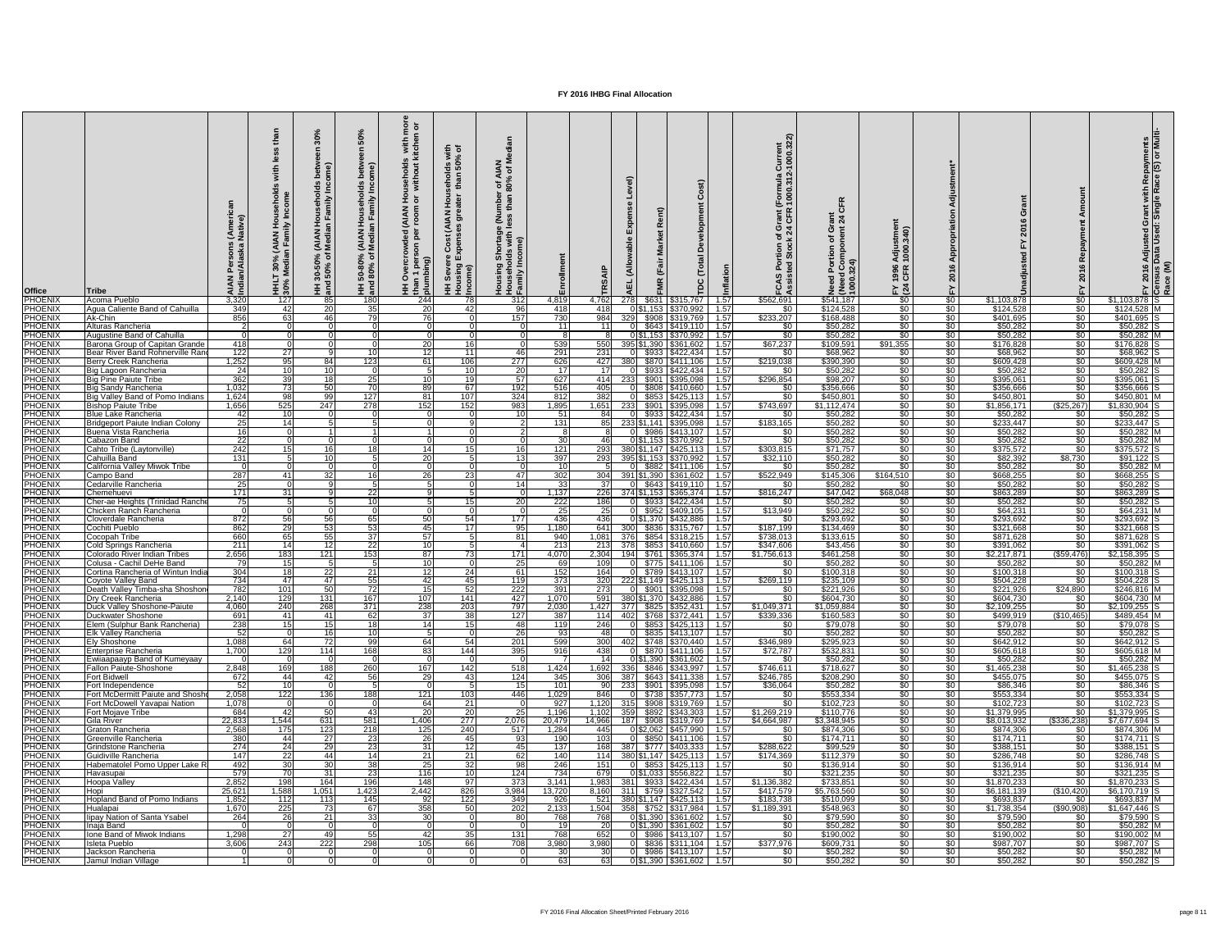| <b>Office</b>                    | Tribe                                                           | AIA<br>Indi            | ≚ ≧<br>(AIAN)<br>In Fami<br>30%<br>ledia<br>$\bar{z}$ is | <b>AIA</b><br>Med<br>ని ర<br>$150\%$ | င္တ<br>seho<br>mily<br>)% (AIAN Hous<br>of Median Far<br>HH 50-80°<br>and 80% | 호 희<br>with<br>itche<br>usehold:<br>without<br><b>MAN)</b><br>$\frac{1}{2}$<br>$\frac{3}{2}$ $\frac{3}{2}$ | $\equiv$ 0<br>seholds wi<br>than 50%<br>$rac{1}{4}$<br>$\tilde{\mathbf{z}}$<br>ិ<br>ड<br>$\tilde{S}$<br><b>PO</b><br>Seve<br>ome)<br><b>토 훈</b><br>$\tilde{\mathbf{e}}$ | $z \ge$<br>ৰ *<br>1 of A<br>80%<br>mbel<br>than<br><b>S</b> 20<br>ூ<br>ntag<br>with<br>$\circ$ |                         |                         |                                      |                                                          | $\mathbf C$<br>opment<br>Ă<br>Total<br><b>TDC</b> | urrent<br>000.32:<br>$\frac{a}{\alpha}$<br>ัormula<br>000.31<br>E EE<br>ច ក | -C<br>$\frac{1}{24}$<br>C<br><b>DOCR</b><br>Sider | stme<br>340)<br>1996<br>CFR<br>$F \times 24$ |                            | O<br>ဖ<br>$\overline{8}$ |                                  | ဖ<br>$\frac{201}{2}$        | rant with Repayments<br>Single Race (S) or Multi<br>⊡ ق<br><b>Adjusted<br/>Data Used</b> |
|----------------------------------|-----------------------------------------------------------------|------------------------|----------------------------------------------------------|--------------------------------------|-------------------------------------------------------------------------------|------------------------------------------------------------------------------------------------------------|-------------------------------------------------------------------------------------------------------------------------------------------------------------------------|------------------------------------------------------------------------------------------------|-------------------------|-------------------------|--------------------------------------|----------------------------------------------------------|---------------------------------------------------|-----------------------------------------------------------------------------|---------------------------------------------------|----------------------------------------------|----------------------------|--------------------------|----------------------------------|-----------------------------|------------------------------------------------------------------------------------------|
| PHOENIX                          | Acoma Pueblo                                                    | 3,320                  | 127                                                      | 20                                   | 180<br>35                                                                     | 244                                                                                                        |                                                                                                                                                                         | 312                                                                                            | 4,819                   | 4,762                   | 278I                                 | $$631$ $$315,767$                                        | 1.57                                              | \$562,691                                                                   | \$541,187                                         | $\sqrt[6]{}$                                 | \$0                        | \$1,103,878              | $\sqrt{50}$                      | $$1,103,878$ S              |                                                                                          |
| <b>PHOENIX</b><br><b>PHOENIX</b> | Agua Caliente Band of Cahuilla<br>Ak-Chin                       | 349<br>856             | 42<br>63                                                 | 46I                                  | 79                                                                            | 20<br>76                                                                                                   | 42                                                                                                                                                                      | 96<br>157                                                                                      | 418<br>730              | 418<br>984              | \$908                                | 0 \$1,153 \$370,992<br>\$319,769                         | $\vert$ 1.57<br>1.57                              | $\sqrt{50}$<br>\$233,207                                                    | \$124,528<br>\$168,488                            | \$0<br>$\sqrt[6]{30}$                        | \$0<br>\$0                 | \$124,528<br>\$401,695   | \$0<br>$rac{1}{50}$              | $$124,528$ M<br>\$401,695 S |                                                                                          |
| <b>PHOENIX</b>                   | Alturas Rancheria                                               |                        |                                                          |                                      |                                                                               |                                                                                                            |                                                                                                                                                                         |                                                                                                | 11                      |                         |                                      | \$643 \$419,110                                          | 1.57                                              | \$0                                                                         | \$50,282                                          | $\sqrt{50}$                                  | $\sqrt{50}$                | \$50,282                 | $\sqrt{50}$                      | $$50,282$ S                 |                                                                                          |
| <b>PHOENIX</b>                   | <b>Augustine Band of Cahuilla</b>                               |                        |                                                          |                                      |                                                                               |                                                                                                            |                                                                                                                                                                         |                                                                                                | -81                     |                         |                                      |                                                          | 1.57                                              | $\frac{1}{3}$                                                               | \$50,282                                          | $\frac{1}{30}$                               | $\sqrt{50}$                | \$50,282                 | <b>\$0</b>                       | $$50,282$ M                 |                                                                                          |
| <b>PHOENIX</b>                   | Barona Group of Capitan Grande                                  | 418                    |                                                          |                                      |                                                                               | 20                                                                                                         |                                                                                                                                                                         |                                                                                                | 539                     | 550                     | 395 \$1,390                          | \$361,602                                                | 1.57                                              | \$67,237                                                                    | \$109,591                                         | \$91,355                                     | $\sqrt{6}$                 | \$176,828                | \$0                              | \$176,828                   |                                                                                          |
| <b>PHOENIX</b>                   | Bear River Band Rohnerville Ran                                 | 122                    | 27                                                       |                                      |                                                                               | 12                                                                                                         | 11                                                                                                                                                                      | 46                                                                                             | 291                     | 231                     |                                      | $$933$ $$422,434$                                        | 1.57                                              | \$0                                                                         | \$68,962                                          | \$0 <sub>2</sub>                             | $\sqrt[6]{}$               | \$68,962                 | $\sqrt{50}$                      | $$68,962$ S                 |                                                                                          |
| <b>PHOENIX</b>                   | <b>Berry Creek Rancheria</b>                                    | 1,252                  | 95                                                       | 84 I                                 | 123                                                                           | 61                                                                                                         | 106                                                                                                                                                                     | 277                                                                                            | 626                     | 427                     |                                      | \$870   \$411,106                                        | 1.57                                              | \$219,038                                                                   | \$390,390                                         | $\sqrt{50}$                                  | $\sqrt{60}$                | \$609,428                | \$0                              | \$609,428 M                 |                                                                                          |
| <b>PHOENIX</b><br><b>PHOENIX</b> | Big Lagoon Rancheria<br><b>Big Pine Paiute Tribe</b>            | 24<br>362              | 10 <sup>1</sup><br>39                                    | 10<br>18 <sup>1</sup>                | <b>25</b>                                                                     | 10                                                                                                         | 19                                                                                                                                                                      | $\overline{20}$<br>57                                                                          | 17<br>627               | 414                     | \$901<br>233                         | \$933   \$422,434<br>\$395,098                           | 1.57<br>1.57                                      | $\frac{1}{3}$<br>\$296,854                                                  | \$50,282<br>\$98,207                              | $\frac{1}{30}$<br>$\sqrt{50}$                | \$0<br>$\sqrt{50}$         | \$50,282<br>\$395,061    | $\frac{1}{2}$<br>$\sqrt{50}$     | $$50,282$ S<br>\$395,061 S  |                                                                                          |
| <b>PHOENIX</b>                   | <b>Big Sandy Rancheria</b>                                      | 1,032                  | 73                                                       | .50 l                                | 70                                                                            | 89                                                                                                         | 67                                                                                                                                                                      | 192                                                                                            | 516                     | 405                     |                                      | $$808 \mid $410,660 \mid 1.57$                           |                                                   | -\$0 I                                                                      | \$356,666                                         | \$0                                          | \$0                        | \$356,666                | <b>SO</b>                        | \$356,666                   |                                                                                          |
| <b>PHOENIX</b>                   | Big Valley Band of Pomo Indians                                 | 1,624                  | 98                                                       | 99                                   | 127                                                                           | 81                                                                                                         | 107                                                                                                                                                                     | 324                                                                                            | 812                     | 382                     |                                      | $$853$ $$425,113$                                        | 1.57                                              | $rac{1}{\sqrt{2}}$                                                          | \$450,801                                         | $\sqrt{50}$                                  | $\sqrt{60}$                | \$450,801                | \$0                              | \$450,801 M                 |                                                                                          |
| <b>PHOENIX</b>                   | <b>Bishop Paiute Tribe</b>                                      | 1,656                  | 525                                                      | 247                                  | 278                                                                           | 152                                                                                                        | 152                                                                                                                                                                     | 983                                                                                            | 1,895                   | 1,651                   | 233I                                 | $$901$ $$395,098$                                        | 1.57                                              | \$743,697                                                                   | \$1,112,474                                       | $\sqrt{50}$                                  | $\sqrt{50}$                | \$1,856,171              | (\$25,267]                       | \$1,830,904                 |                                                                                          |
| <b>PHOENIX</b>                   | <b>Blue Lake Rancheria</b>                                      | 42                     | 10 <sup>1</sup>                                          |                                      |                                                                               |                                                                                                            |                                                                                                                                                                         | 10I                                                                                            | 51                      |                         |                                      | \$933 \$422,434                                          | 1.57                                              | \$0                                                                         | \$50,282                                          | $\sqrt{60}$                                  | $\frac{1}{20}$             | \$50,282                 | \$0                              | $$50,282$ S                 |                                                                                          |
| <b>PHOENIX</b>                   | Bridgeport Paiute Indian Colony                                 | 25                     | 14                                                       |                                      |                                                                               |                                                                                                            |                                                                                                                                                                         |                                                                                                | 131                     |                         | 233 \$1,141 \$395,098                |                                                          | 1.57                                              | \$183,165                                                                   | \$50,282                                          | $\sqrt{50}$                                  | $\sqrt{50}$                | \$233,447                | \$0                              | $$233,447$ S                |                                                                                          |
| <b>PHOENIX</b>                   | Buena Vista Rancheria                                           | 16                     |                                                          |                                      |                                                                               |                                                                                                            |                                                                                                                                                                         |                                                                                                | 8                       |                         | \$986                                | \$413,107                                                | 1.57                                              | \$0 <sub>1</sub>                                                            | \$50,282                                          | \$0                                          | $\sqrt{60}$                | \$50,282                 | \$0 <sub>1</sub>                 | \$50,282 M                  |                                                                                          |
| <b>PHOENIX</b><br><b>PHOENIX</b> | Cabazon Band<br>Cahto Tribe (Laytonville)                       | $\overline{22}$<br>242 | 15 <sub>l</sub>                                          | 16                                   |                                                                               | 14I                                                                                                        |                                                                                                                                                                         | 16 <sup>1</sup>                                                                                | 30 <sup>1</sup><br>121  | 461<br>293              | 01\$1.153 1<br>380 \$1,147 \$425,113 | \$370,992                                                | 1.57<br>1.57                                      | $rac{1}{\sqrt{2}}$<br>\$303,815                                             | \$50,282<br>\$71,757                              | $\sqrt{30}$<br>\$0 <sub>1</sub>              | $\sqrt{30}$<br>$\sqrt{30}$ | \$50,282<br>\$375,572    | $\sqrt[6]{30}$<br>\$0            | $$50,282$ M<br>$$375,572$ S |                                                                                          |
| <b>PHOENIX</b>                   | Cahuilla Band                                                   | 131                    |                                                          |                                      |                                                                               | 20                                                                                                         |                                                                                                                                                                         | 13 <sub>l</sub>                                                                                | 397                     | 293                     | 395 \$1,153 \$370,992                |                                                          | 1.57                                              | \$32,110                                                                    | \$50,282                                          | $\sqrt[6]{30}$                               | $\sqrt{6}$                 | \$82,392                 | \$8,730                          | $$91,122$ S                 |                                                                                          |
| <b>PHOENIX</b>                   | California Valley Miwok Tribe                                   |                        |                                                          |                                      |                                                                               |                                                                                                            |                                                                                                                                                                         |                                                                                                |                         |                         | ΩL                                   | \$882   \$411,106   1.57                                 |                                                   | <b>SO</b>                                                                   | \$50,282                                          | \$0                                          | \$0 ∣                      | \$50,282                 | <b>SO</b> 1                      | \$50,282 M                  |                                                                                          |
| <b>PHOENIX</b>                   | Campo Band                                                      | 287                    | 41 I                                                     |                                      |                                                                               | 26                                                                                                         |                                                                                                                                                                         | 47                                                                                             | 302                     | 304                     | 391 \$1.390   \$361.602   1.57       |                                                          |                                                   | \$522,949                                                                   | \$145,306                                         | \$164,510                                    | \$0                        | \$668,255                | \$0.                             | \$668,255 S                 |                                                                                          |
| <b>PHOENIX</b>                   | Cedarville Rancheria                                            | 25                     |                                                          |                                      |                                                                               |                                                                                                            |                                                                                                                                                                         | 14                                                                                             | 33                      | .37I                    |                                      | $$643 \mid $419,110 \mid 1.57$                           |                                                   | \$0                                                                         | \$50,282                                          | \$0                                          | $\sqrt{6}$                 | \$50,282                 | \$0                              | $$50,282$ S                 |                                                                                          |
| <b>PHOENIX</b>                   | Chemehuevi                                                      | 171                    | 31                                                       |                                      | <b>22</b>                                                                     |                                                                                                            |                                                                                                                                                                         |                                                                                                | 1,137                   | 226                     | 374 \$1,153   \$365,374   1.57       |                                                          |                                                   | \$816,247                                                                   | \$47,042                                          | \$68,048                                     | \$0                        | \$863,289                | $rac{1}{50}$                     | \$863,289 S                 |                                                                                          |
| <b>PHOENIX</b>                   | Cher-ae Heights (Trinidad Ranche                                | 75                     |                                                          |                                      | 10                                                                            |                                                                                                            |                                                                                                                                                                         | -20 l                                                                                          | 222                     | 186 <sup> </sup>        |                                      | \$933   \$422,434                                        | $\vert$ 1.57                                      | -\$0 I                                                                      | \$50,282                                          | \$0 <sub>1</sub>                             | $\sqrt{30}$                | \$50,282                 | \$0 <sub>1</sub>                 | $$50,282$ S                 |                                                                                          |
| <b>PHOENIX</b><br><b>PHOENIX</b> | Chicken Ranch Rancheria<br>Cloverdale Rancheria                 | 872                    | 56                                                       | 56 <sup>1</sup>                      |                                                                               | 50                                                                                                         | 54                                                                                                                                                                      | 177                                                                                            | 25<br>436               | 25 <sub>l</sub><br>4361 | OI\$1.370 I                          | $$952 \mid $409,105 \mid 1.57$<br>\$432,886              | 1.57                                              | \$13,949<br>\$0                                                             | \$50,282<br>\$293,692                             | $\sqrt{60}$<br>\$0 <sub>1</sub>              | $\sqrt{30}$<br>$\sqrt{30}$ | \$64,231<br>\$293,692    | <b>SO</b> 1<br>\$0               | $$64,231$ M<br>\$293,692    |                                                                                          |
| <b>PHOENIX</b>                   | Cochiti Pueblo                                                  | 862                    | 29                                                       |                                      | .53                                                                           | 45                                                                                                         |                                                                                                                                                                         | 95                                                                                             | ,180                    | 6411                    |                                      | \$836   \$315,767                                        | 1.57                                              | \$187,199                                                                   | \$134,469                                         | $\sqrt{30}$                                  | $\sqrt{30}$                | \$321,668                | <b>SO</b> 1                      | \$321,668                   |                                                                                          |
| <b>PHOENIX</b>                   | Cocopah Tribe                                                   | 660                    | 65                                                       | 55                                   | -37                                                                           | 57                                                                                                         |                                                                                                                                                                         | -81                                                                                            | 940                     | 1,081                   | 376I                                 | \$854   \$318,215                                        | 1.57                                              | \$738,013                                                                   | \$133,615                                         | \$0                                          | \$0                        | \$871,628                | $\sqrt{50}$                      | $$871,628$ S                |                                                                                          |
| <b>PHOENIX</b>                   | <b>Cold Springs Rancheria</b>                                   | 211                    | 14                                                       |                                      | <b>22</b>                                                                     | 10                                                                                                         |                                                                                                                                                                         |                                                                                                | 213                     | 213                     | 378I                                 | \$853 \$410,660                                          | 1.57                                              | \$347,606                                                                   | \$43,456                                          | $\frac{1}{20}$                               | \$0                        | \$391,062                | \$0                              | \$391,062 S                 |                                                                                          |
| <b>PHOENIX</b>                   | <b>Colorado River Indian Tribes</b>                             | 2,656                  | 183                                                      | 121                                  | 153                                                                           | 87                                                                                                         |                                                                                                                                                                         | 171                                                                                            | 4,070                   | 2,304                   | 194                                  | $$761$ $$365,374$   1.57                                 |                                                   | \$1,756,613                                                                 | \$461,258                                         | \$0 <sub>1</sub>                             | $\sqrt{30}$                | \$2,217,871              | ( \$59,476]                      | $$2,158,395$ S              |                                                                                          |
| <b>PHOENIX</b>                   | Colusa - Cachil DeHe Band                                       | 79                     | 15                                                       |                                      |                                                                               | 10                                                                                                         |                                                                                                                                                                         | 25                                                                                             | 69 I                    | 109                     |                                      | 0 \$775 \$411,106 1.57                                   |                                                   | -SO 1                                                                       | \$50,282                                          | $\sqrt{30}$                                  | \$0                        | \$50,282                 | <b>SO</b>                        | $$50,282$ M                 |                                                                                          |
| <b>PHOENIX</b><br><b>PHOENIX</b> | Cortina Rancheria of Wintun India<br>Coyote Valley Band         | 304<br>734             | 18 <br>47I                                               | 22<br>47 I                           | -21<br>55                                                                     | 12<br>42                                                                                                   | 24<br>45                                                                                                                                                                | 61<br>119                                                                                      | 152<br>$\overline{373}$ | 164<br>320              | 222 \$1,149   \$425,113   1.57       | 0 \$789 \$413,107 1.57                                   |                                                   | $rac{1}{\sqrt{2}}$<br>\$269,119                                             | \$100,318<br>\$235,109                            | \$0<br>$\sqrt{30}$                           | \$0<br>\$0                 | \$100,318<br>\$504,228   | \$0<br><b>SO</b>                 | \$100,318 S<br>\$504,228 S  |                                                                                          |
| <b>PHOENIX</b>                   | Death Valley Timba-sha Shoshon                                  | 782                    | 101                                                      | 50 I                                 |                                                                               | -15                                                                                                        |                                                                                                                                                                         | 222                                                                                            | 391                     | 273                     |                                      | \$901   \$395,098                                        | $\sqrt{1.57}$                                     | <b>SO</b>                                                                   | \$221,926                                         | $\sqrt{50}$                                  | $\frac{1}{20}$             | \$221,926                | \$24,890                         | \$246,816 M                 |                                                                                          |
| <b>PHOENIX</b>                   | Dry Creek Rancheria                                             | 2,140                  | 129                                                      | 131                                  | 167                                                                           | 107                                                                                                        | 141                                                                                                                                                                     | 427                                                                                            | 1,070                   | 591                     | 380 \$1,370 \$432,886                |                                                          | 1.57                                              | \$0                                                                         | \$604,730                                         | $\sqrt{30}$                                  | \$0                        | \$604,730                | \$0.                             | \$604,730 M                 |                                                                                          |
| <b>PHOENIX</b>                   | Duck Valley Shoshone-Paiute                                     | 4,060                  | 240                                                      | 268                                  | 371                                                                           | 238                                                                                                        | 203                                                                                                                                                                     | 797                                                                                            | 2,030                   | 1,427                   | -3771                                | \$825   \$352,431                                        | 1.57                                              | \$1,049,371                                                                 | \$1,059,884                                       | $\sqrt{30}$                                  | \$0                        | \$2,109,255              | \$0                              | $$2,109,255$ S              |                                                                                          |
| <b>PHOENIX</b>                   | Duckwater Shoshone                                              | 691                    | 41                                                       | 411                                  | 62                                                                            | -37                                                                                                        | 38                                                                                                                                                                      | 127                                                                                            | 387                     | 114                     | 4021                                 |                                                          | 1.57                                              | \$339,336                                                                   | \$160,583                                         | $\sqrt{30}$                                  | $\sqrt{30}$                | \$499,919                | (\$10,465)                       | \$489,454 M                 |                                                                                          |
| <b>PHOENIX</b>                   | Elem (Sulphur Bank Rancheria)                                   | 238                    | 15                                                       |                                      |                                                                               |                                                                                                            |                                                                                                                                                                         | 48                                                                                             | 119                     | 246                     |                                      | $$853 \mid $425,113$                                     | 1.57                                              | <b>\$0</b>                                                                  | \$79,078                                          | $\sqrt[6]{30}$                               | $\sqrt[6]{}$               | \$79,078                 | \$0                              | \$79,078                    |                                                                                          |
| <b>PHOENIX</b><br><b>PHOENIX</b> | Elk Valley Rancheria<br><b>Ely Shoshone</b>                     | 52<br>1,088            | 64I                                                      |                                      | -99                                                                           | -64 I                                                                                                      | 54                                                                                                                                                                      | 26<br>201                                                                                      | 93<br>599               | 48 I<br>300l            | 402                                  | \$835   \$413,107<br>$$748$ $$370,440$                   | 1.57<br>1.57                                      | <b>SO</b><br>\$346,989                                                      | \$50,282<br>\$295,923                             | $\sqrt{30}$<br>$\sqrt{50}$                   | $\sqrt{30}$<br>\$0         | \$50,282<br>\$642,912    | $rac{1}{50}$<br>\$0 <sub>1</sub> | $$50,282$ S<br>\$642,912 S  |                                                                                          |
| <b>PHOENIX</b>                   | Enterprise Rancheria                                            | 1.700                  | 129                                                      | 114                                  | 168                                                                           | $\overline{83}$                                                                                            | 144                                                                                                                                                                     | 395                                                                                            | 916                     | 438                     |                                      | \$870 \$411,106                                          | $-1.57$                                           | \$72,787                                                                    | \$532,831                                         | \$0                                          | \$0                        | \$605,618                | $\frac{1}{20}$                   | \$605,618 M                 |                                                                                          |
| <b>PHOENIX</b>                   | Ewiiaapaayp Band of Kumeyaay                                    |                        |                                                          |                                      |                                                                               |                                                                                                            |                                                                                                                                                                         |                                                                                                |                         | 14                      |                                      | 0 \$1,390 \$361,602                                      | $\sqrt{1.57}$                                     | -SO 1                                                                       | \$50,282                                          | $\sqrt{50}$                                  | \$0                        | \$50,282                 | $\overline{50}$                  | $$50,282$ M                 |                                                                                          |
| <b>PHOENIX</b>                   | <b>Fallon Paiute-Shoshone</b>                                   | 2,848                  | 169                                                      | 188                                  | 260                                                                           | 167                                                                                                        | 142                                                                                                                                                                     | 518                                                                                            | 1,424                   |                         | 1,692 336 \$846 \$343,997 1.57       |                                                          |                                                   | \$746,611                                                                   | \$718,627                                         | $\sqrt{30}$                                  | \$0                        | \$1,465,238              | \$0 <sub>1</sub>                 | $$1,465,238$ S              |                                                                                          |
| <b>PHOENIX</b>                   | <b>Fort Bidwell</b>                                             | 672                    | 44                                                       | 42                                   | -56                                                                           | 29                                                                                                         | 43                                                                                                                                                                      | 124                                                                                            | 345                     |                         | 306 387 \$643 \$411,338              |                                                          | $\sqrt{1.57}$                                     | \$246,785                                                                   | \$208,290                                         | $\sqrt{30}$                                  | \$0                        | \$455,075                | <b>SO</b>                        | $$455,075$ S                |                                                                                          |
| <b>PHOENIX</b>                   | Fort Independence                                               | 52                     | 10 <sup>1</sup>                                          |                                      |                                                                               |                                                                                                            |                                                                                                                                                                         | 15                                                                                             | 101                     |                         | 233                                  | \$901   \$395,098                                        | 1.57                                              | \$36,064                                                                    | \$50,282                                          | $\sqrt{30}$                                  | $\sqrt[6]{}$               | \$86,346                 | <b>SO</b> 1                      | \$86,346                    |                                                                                          |
| <b>PHOENIX</b><br><b>PHOENIX</b> | Fort McDermitt Paiute and Shosh<br>Fort McDowell Yavapai Nation | 2,058<br>1,078         | 122                                                      | 1361                                 | 188                                                                           | 121<br>-64                                                                                                 | 103<br>211                                                                                                                                                              | 446                                                                                            | 1,029<br>927            | 846I<br>1,120           | -315I                                | \$738   \$357,773   1.57<br>\$908   \$319,769            | 1.57                                              | \$0<br>$\sqrt{50}$                                                          | \$553,334<br>\$102,723                            | $\sqrt{30}$<br>$\sqrt{30}$                   | $\sqrt[6]{}$<br>\$0        | \$553,334<br>\$102,723   | <b>SO</b> 1<br>\$0               | \$553,334<br>$$102,723$ S   |                                                                                          |
| <b>PHOENIX</b>                   | Fort Mojave Tribe                                               | 684                    | 42I                                                      |                                      |                                                                               | 20                                                                                                         | 20                                                                                                                                                                      | 25                                                                                             | 1,196                   | 1,102                   | 359                                  | \$892   \$343,303                                        | 1.57                                              | \$1,269,219                                                                 | \$110,776                                         | $\sqrt{30}$                                  | $\frac{1}{20}$             | \$1,379,995              | \$0                              | $$1,379,995$ S              |                                                                                          |
| <b>PHOENIX</b>                   | <b>Gila River</b>                                               | 22,833                 | 1,544                                                    | 631                                  | 581                                                                           | 1,406                                                                                                      | 277                                                                                                                                                                     | 2,076                                                                                          | 20,479                  | 14,966                  | 187I                                 | \$908 \$319,769                                          | 1.57                                              | \$4,664,987                                                                 | \$3,348,945                                       | $\sqrt{60}$                                  | $\frac{1}{30}$             | \$8,013,932              | \$336,238                        | $$7,677,694$ S              |                                                                                          |
| <b>PHOENIX</b>                   | Graton Rancheria                                                | 2,568                  | 175                                                      | 123                                  | 218                                                                           | 125                                                                                                        | 240                                                                                                                                                                     | 517                                                                                            | 1,284                   | 445                     |                                      | 0 \$2,062 \$457,990                                      | 1.57                                              | -SO 1                                                                       | \$874,306                                         | \$0 <sub>2</sub>                             | $\sqrt{30}$                | \$874,306                | SO.                              | \$874,306 M                 |                                                                                          |
| <b>PHOENIX</b>                   | Greenville Rancheria                                            | 380                    | 441                                                      | 27                                   | -231                                                                          | 26                                                                                                         |                                                                                                                                                                         | 93                                                                                             | 190                     | 103                     |                                      | \$850 \$411,106                                          | $-1.57$                                           | \$0                                                                         | \$174,711                                         | $\sqrt{30}$                                  | $\sqrt{30}$                | \$174,711                | \$0                              | $$174,711$ S                |                                                                                          |
| <b>PHOENIX</b>                   | Grindstone Rancheria<br>Guidiville Rancheria                    | 274                    | $\overline{24}$<br>22                                    | <b>29</b>                            | -231<br>14                                                                    | $\overline{31}$                                                                                            |                                                                                                                                                                         | 45                                                                                             | 137                     | 168                     | -387I                                | $$777$ $$403,333$                                        | $-1.57$                                           | \$288,622                                                                   | \$99,529                                          | $\sqrt{30}$                                  | $\sqrt[6]{}$<br>\$0        | \$388,151                | $rac{1}{50}$<br><b>SO</b> 1      | $$388,151$ S<br>\$286,748 S |                                                                                          |
| <b>PHOENIX</b><br><b>PHOENIX</b> | Habematolel Pomo Upper Lake I                                   | 147<br>492             | 30 <sub>o</sub>                                          | 44 I<br>30I                          | 38                                                                            | $\overline{21}$<br>$\overline{25}$                                                                         | 211                                                                                                                                                                     | 62<br>98                                                                                       | 140<br>246              | 114<br>151              | 380 \$1,147   \$425,113   1.57       | $0$ \$853 \$425,113 1.57                                 |                                                   | \$174,369<br>\$0                                                            | \$112,379<br>\$136,914                            | $\sqrt{50}$<br>$\sqrt{50}$                   | \$0                        | \$286,748<br>\$136,914   | $rac{1}{50}$                     | $$136,914$ M                |                                                                                          |
| <b>PHOENIX</b>                   | Havasupai                                                       | 579                    | 70                                                       | 31                                   | $\overline{23}$                                                               | $\overline{116}$                                                                                           |                                                                                                                                                                         | 124                                                                                            | 734                     | 679                     |                                      | 0 \$1,033 \$556,822                                      | $\vert$ 1.57                                      | <b>SO</b>                                                                   | \$321,235                                         | $\sqrt{50}$                                  | \$0                        | \$321,235                | $rac{1}{50}$                     | $$321,235$ S                |                                                                                          |
| <b>PHOENIX</b>                   | <b>Hoopa Valley</b>                                             | 2,852                  | 198                                                      | 164                                  | 196                                                                           | 148                                                                                                        | 97                                                                                                                                                                      | 373                                                                                            | 3,141                   | 1,983                   | 381 I                                | $$933 \mid $422,434$                                     | 1.57                                              | \$1,136,382                                                                 | \$733,851                                         | $\sqrt{30}$                                  | \$0                        | \$1,870,233              | \$0                              | $$1,870,233$ S              |                                                                                          |
| <b>PHOENIX</b>                   | Hopi                                                            | 25,621                 | 1,588                                                    | 1,051                                | 1,423                                                                         | 2,442                                                                                                      | 826                                                                                                                                                                     | 3,984                                                                                          | 13,720                  | 8,160                   | -311 <sup>I</sup>                    | $$759$ $$327,542$                                        | 1.57                                              | \$417,579                                                                   | \$5,763,560                                       | $\sqrt{60}$                                  | $\sqrt{50}$                | \$6,181,139              | (\$10,420)                       | $$6,170,719$ S              |                                                                                          |
| <b>PHOENIX</b>                   | <b>Hopland Band of Pomo Indians</b>                             | 1,852                  | 112                                                      | 113                                  | 145                                                                           | -92                                                                                                        | 122                                                                                                                                                                     | 349                                                                                            | 926                     | 521                     | 380 \$1,147 \$425,113                |                                                          | 1.57                                              | \$183,738                                                                   | \$510,099                                         | $\sqrt[6]{30}$                               | $\sqrt{30}$                | \$693,837                | SO.                              | \$693,837 M                 |                                                                                          |
| <b>PHOENIX</b>                   | Hualapai                                                        | 1,670                  | 225                                                      |                                      | -67                                                                           | 358                                                                                                        | 50                                                                                                                                                                      | 202                                                                                            | 2,133                   | 1,504                   |                                      | \$752   \$317,984                                        | 1.57                                              | \$1,189,391                                                                 | \$548,963                                         | $\sqrt{60}$                                  | $\sqrt{50}$                | \$1,738,354              | ( \$90, 908)                     | \$1,647,446                 |                                                                                          |
| <b>PHOENIX</b><br><b>PHOENIX</b> | <b>Ilipay Nation of Santa Ysabel</b><br>Inaja Band              | 264<br>$\Omega$        | <b>26</b>                                                | 21                                   |                                                                               | 30<br>$\Omega$                                                                                             |                                                                                                                                                                         | n l                                                                                            | 768<br>19               | 768<br><b>20</b>        |                                      | $0\$ \$1,390 \ \$361,602<br>$0$ \$1,390 \$361,602   1.57 | 1.57                                              | <b>SO</b><br>$$0$                                                           | \$79,590<br>\$50,282                              | SO <sub>2</sub><br>\$0                       | \$0 <sub>1</sub><br>\$0    | \$79,590<br>\$50,282     | SO.<br>\$0                       | $$79,590$ S<br>$$50,282$ M  |                                                                                          |
| <b>PHOENIX</b>                   | Ione Band of Miwok Indians                                      | 1,298                  | $\overline{27}$                                          | 49                                   | 55                                                                            | -42 l                                                                                                      | 35                                                                                                                                                                      | 131                                                                                            | 768                     | 652                     |                                      | 0 \$986 \$413,107   1.57                                 |                                                   | $\frac{1}{30}$                                                              | \$190,002                                         | $\sqrt{30}$                                  | $\sqrt{50}$                | \$190,002                | $rac{1}{50}$                     | $$190,002$ M                |                                                                                          |
| <b>PHOENIX</b>                   | Isleta Pueblo                                                   | 3,606                  | 243                                                      | 222                                  | 298                                                                           | 105                                                                                                        | 66                                                                                                                                                                      | 708                                                                                            | 3,980                   | 3,980                   |                                      | $0$ \$836 \$311,104 1.57                                 |                                                   | \$377,976                                                                   | \$609,731                                         | $\sqrt{50}$                                  | $\sqrt{50}$                | \$987,707                | \$0                              | $$987,707$ S                |                                                                                          |
| <b>PHOENIX</b>                   | Jackson Rancheria                                               |                        |                                                          |                                      |                                                                               |                                                                                                            |                                                                                                                                                                         |                                                                                                | 30 <sup>°</sup>         | -30 l                   |                                      | $0$ \$986 \$413,107   1.57                               |                                                   | \$0 <sub>1</sub>                                                            | \$50,282                                          | $\sqrt{50}$                                  | \$0                        | \$50,282                 | $\frac{1}{30}$                   | $$50,282$ M                 |                                                                                          |
| <b>PHOENIX</b>                   | Jamul Indian Village                                            |                        |                                                          |                                      |                                                                               |                                                                                                            |                                                                                                                                                                         |                                                                                                | 63                      | 63                      |                                      | 0 \$1,390 \$361,602   1.57                               |                                                   | \$0                                                                         | \$50,282                                          | $\sqrt{50}$                                  | $\sqrt{50}$                | \$50,282                 | $\sqrt{50}$                      | $$50,282$ S                 |                                                                                          |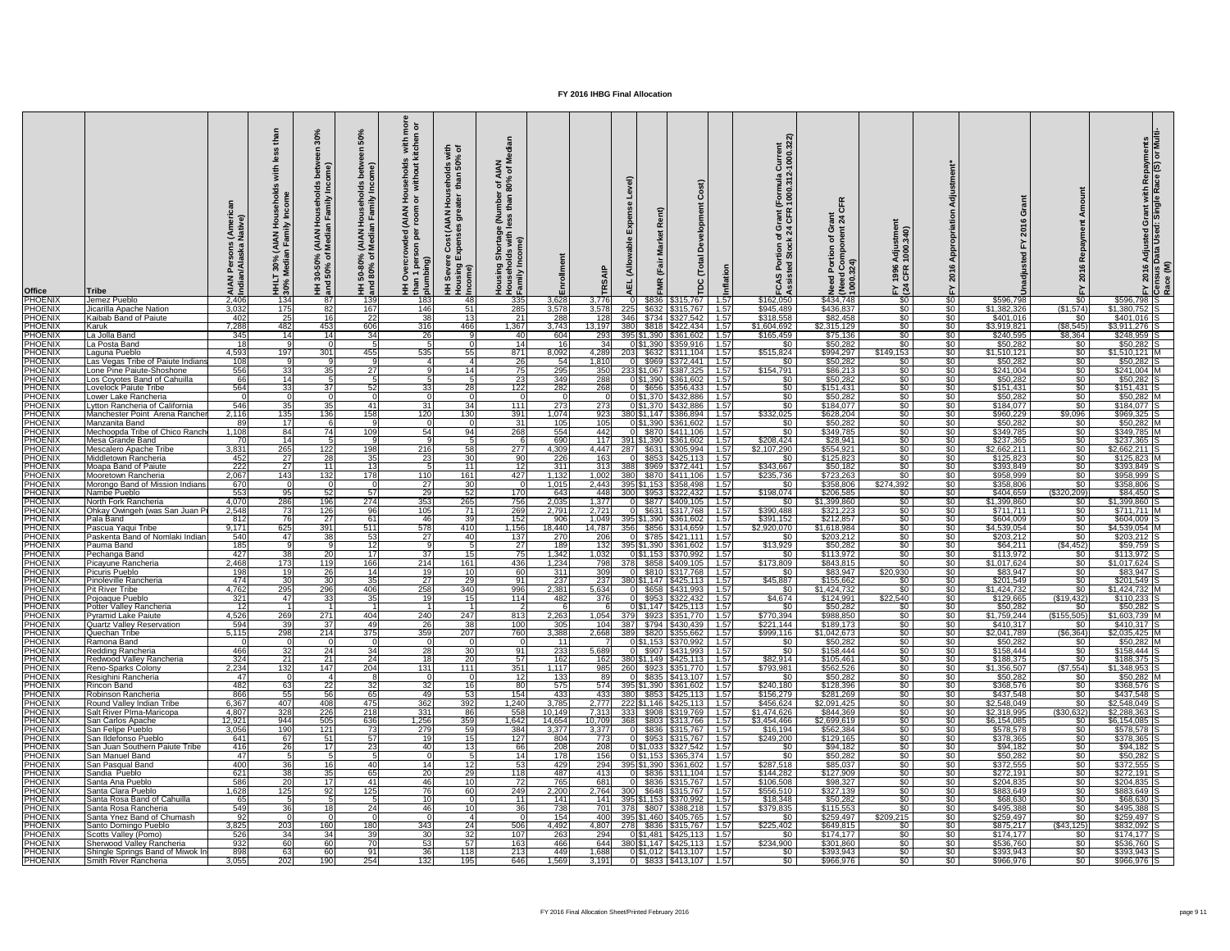| <b>Office</b>                     | Tribe                                                         |                | (AIAN Ho<br>In Family<br>30%<br>ledia<br>Ξš, | న `న<br>ခဲ့ အိ         | % (AIAN Househo<br>of Median Family<br>HH 50-80°<br>and 80% | $\overline{e}$ $\overline{b}$<br>with<br>itche<br>usehold:<br>without<br><b>MAN)</b><br><b>Ted</b><br><b>Defined</b><br>: 혼 를 | 들 ㅎ<br>seholds wi<br>than 50%<br>$\frac{5}{1}$<br>$rac{2}{4}$ $rac{6}{5}$<br>$\overline{\mathcal{E}}$<br>ပိ<br>using<br>ome)<br>$rac{c}{\epsilon}$ | zΣ<br>ৰ *<br>1 of A<br>80%<br>ទី ន័<br>with<br>Housel<br>Family |                 |                                       |                                       | $\mathbf C$<br>evelopment<br>Ă<br>Total<br>TDC             |                | <b>Current</b><br>'-1000.322<br>$\overline{N}$ a<br>(Formula<br>! 1000.31<br>ER<br>FR<br>ဇ ပ | C<br>$\frac{1}{24}$<br><b>σ ε</b><br>$\frac{1}{2}$ | $\mathbf{\hat{5}}$<br>$E \overline{a}$ |                                  | ശ                                 |                                   |                                  | rant with Repayments<br>Single Race (S) or Mul<br>ত ⊡<br><b>Adjusted</b><br>Data Usec |
|-----------------------------------|---------------------------------------------------------------|----------------|----------------------------------------------|------------------------|-------------------------------------------------------------|-------------------------------------------------------------------------------------------------------------------------------|----------------------------------------------------------------------------------------------------------------------------------------------------|-----------------------------------------------------------------|-----------------|---------------------------------------|---------------------------------------|------------------------------------------------------------|----------------|----------------------------------------------------------------------------------------------|----------------------------------------------------|----------------------------------------|----------------------------------|-----------------------------------|-----------------------------------|----------------------------------|---------------------------------------------------------------------------------------|
| PHOENIX<br><b>PHOENIX</b>         | Jemez Pueblo<br>Jicarilla Apache Nation                       | 2,406<br>3,032 | 134<br>175                                   | 87<br><b>82</b>        | 139<br>167                                                  | 183                                                                                                                           | 48                                                                                                                                                 | 335<br>285                                                      | 3,628<br>3,578  | 3,776<br>3,578                        | \$836<br>\$632                        | \$315,767                                                  | 1.57<br>1.57   | \$162,050<br>\$945,489                                                                       | \$434,748<br>\$436,837                             | $\sqrt{50}$<br>$\sqrt{50}$             | \$0<br>$\sqrt{60}$               | \$596,798<br>\$1,382,326          | \$0<br>(\$1,574)                  | \$596,798 S<br>$$1,380,752$ S    |                                                                                       |
| <b>PHOENIX</b>                    | Kaibab Band of Paiute                                         | 402            | 25                                           |                        | $\overline{22}$                                             | 146<br>$\overline{38}$                                                                                                        | 51<br>13                                                                                                                                           | $\overline{21}$                                                 | $\frac{1}{288}$ | 128                                   | 346                                   | \$315,767<br>\$734 \$327,542                               | $\sqrt{1.57}$  | \$318,558                                                                                    | \$82,458                                           | \$0                                    | \$0                              | \$401,016                         | \$0                               | $$401,016$ S                     |                                                                                       |
| <b>PHOENIX</b>                    | Karuk                                                         | 7,288          | 482                                          | 453                    | 606                                                         | 316                                                                                                                           | 466                                                                                                                                                | 1,367                                                           | 3,743           | 13,197                                | 380                                   | \$818 \$422,434                                            | 1.57           | \$1,604,692                                                                                  | \$2,315,129                                        | $\sqrt{50}$                            | \$0                              | \$3,919,821                       | (\$8,545                          | $$3,911,276$ S                   |                                                                                       |
| <b>PHOENIX</b>                    | La Jolla Band                                                 | 345            | 14                                           | 14 I                   | -34                                                         | $\overline{26}$                                                                                                               |                                                                                                                                                    | 40                                                              | 604             | 293                                   | 395 \$1,390 \$361,602                 |                                                            | $\vert$ 1.57   | \$165,459                                                                                    | \$75,136                                           | $\sqrt{50}$                            | \$0                              | \$240,595                         | \$8,364                           | $$248,959$ S                     |                                                                                       |
| <b>PHOENIX</b><br><b>PHOENIX</b>  | La Posta Band<br>aguna Pueblo                                 | 18<br>4,593    | 197                                          | 301                    | 455                                                         | 535                                                                                                                           | 55 I                                                                                                                                               | 14<br>871                                                       | 16<br>8,092     | 34 <sup>l</sup><br>$4,\overline{28}9$ | 0 \$1,390                             | \$359,916<br>\$632   \$311,104                             | 1.57<br>1.57   | \$0<br>\$515,824                                                                             | \$50,282<br>\$994,297                              | $\sqrt{30}$<br>\$149,153               | $\sqrt{60}$<br>$\sqrt[6]{30}$    | \$50,282<br>\$1,510,121           | \$0<br>\$0                        | \$50,282<br>$$1,510,121$ M       |                                                                                       |
| <b>PHOENIX</b>                    | Las Vegas Tribe of Paiute Indians                             | 108            |                                              |                        |                                                             |                                                                                                                               |                                                                                                                                                    | $\overline{26}$                                                 | 54              | 1,810                                 | \$969                                 | \$372,441                                                  | 1.57           | \$0                                                                                          | \$50,282                                           | \$0                                    | $\sqrt{60}$                      | \$50,282                          | \$0                               | \$50,282                         |                                                                                       |
| <b>PHOENIX</b>                    | one Pine Paiute-Shoshone                                      | 556            | 33                                           | 35                     | 27                                                          |                                                                                                                               | 14                                                                                                                                                 | 75                                                              | 295             | 350                                   | 233 \$1,067 \$387,325                 |                                                            | 1.57           | \$154,791                                                                                    | \$86,213                                           | $\sqrt{50}$                            | $\sqrt[6]{30}$                   | \$241,004                         | $\frac{1}{3}$                     | $$241,004$ M                     |                                                                                       |
| <b>PHOENIX</b><br><b>PHOENIX</b>  | Los Coyotes Band of Cahuilla<br><b>Lovelock Paiute Tribe</b>  | 66<br>564      | 14 <br>33                                    | 37 <sup>1</sup>        | -521                                                        | <b>33</b>                                                                                                                     | <b>28</b>                                                                                                                                          | 23<br>122                                                       | 349<br>282      | 288<br>268                            |                                       | 0 \$1,390 \$361,602<br>\$656 \$356,433                     | 1.57<br>1.57   | \$0<br>\$0                                                                                   | \$50,282<br>\$151,431                              | $\sqrt{50}$<br>$\sqrt{50}$             | $\sqrt{50}$<br>\$0               | \$50,282<br>\$151,431             | $rac{1}{\sqrt{2}}$<br>$\sqrt{50}$ | $$50,282$ S<br>$$151,431$ S      |                                                                                       |
| <b>PHOENIX</b>                    | Lower Lake Rancheria                                          |                |                                              |                        |                                                             |                                                                                                                               |                                                                                                                                                    |                                                                 |                 |                                       | 0 \$1,370                             | \$432,886                                                  | 1.57           | $\sqrt{50}$                                                                                  | \$50,282                                           | $\sqrt{30}$                            | $\sqrt{30}$                      | \$50,282                          | \$0                               | $$50,282$ M                      |                                                                                       |
| <b>PHOENIX</b>                    | _ytton Rancheria of California                                | 546            | 35                                           | 35 <sub>l</sub>        | -41                                                         | 31                                                                                                                            | 34                                                                                                                                                 | 111                                                             | 273             | 273                                   |                                       | 0 \$1,370 \$432,886                                        | $-1.57$        | \$0                                                                                          | \$184,077                                          | $\sqrt[6]{30}$                         | $\sqrt{50}$                      | \$184,077                         | $\overline{50}$                   | \$184,077 S                      |                                                                                       |
| <b>PHOENIX</b><br><b>PHOENIX</b>  | Manchester Point Arena Rancher<br>Manzanita Band              | 2,116<br>89    | 135<br>$\overline{17}$                       | 136                    | 158                                                         | 120                                                                                                                           | 130                                                                                                                                                | 391                                                             | 1,074<br>105    | 923                                   | 380 \$1,147 \$386,894                 | 0 \$1,390 \$361,602 1.57                                   | 1.57           | \$332,025<br>$rac{1}{\sqrt{2}}$                                                              | \$628,204<br>\$50,282                              | \$0<br>\$0                             | \$0<br>\$0                       | \$960,229<br>\$50,282             | \$9,096<br>$\sqrt{50}$            | \$969,325 S<br>$$50,282$ M       |                                                                                       |
| <b>PHOENIX</b>                    | Mechoopda Tribe of Chico Ranch                                | 1,108          | 84                                           | 74 I                   | 109                                                         | 54                                                                                                                            | 94                                                                                                                                                 | 31<br>268                                                       | 554             | 105<br>442                            | \$870                                 | \$411,106                                                  | 1.57           | $\frac{1}{6}$                                                                                | \$349,785                                          | \$0                                    | \$0                              | \$349,785                         | $rac{1}{\sqrt{2}}$                | \$349,785 M                      |                                                                                       |
| <b>PHOENIX</b>                    | Mesa Grande Band                                              | 70             | 14                                           |                        |                                                             |                                                                                                                               |                                                                                                                                                    |                                                                 | 690             | 117                                   | 391 \$1,390 \$361,602                 |                                                            | 1.57           | \$208,424                                                                                    | \$28,941                                           | $\sqrt[6]{}$                           | $\sqrt{50}$                      | \$237,365                         | $rac{1}{50}$                      | $$237,365$ S                     |                                                                                       |
| <b>PHOENIX</b>                    | Mescalero Apache Tribe                                        | 3,831          | 265                                          | 122                    | 198                                                         | 216                                                                                                                           | 58                                                                                                                                                 | 277<br>90                                                       | 4,309           | 4,447                                 | \$631                                 | \$305,994                                                  | 1.57           | \$2,107,290                                                                                  | \$554,921                                          | $\sqrt{30}$                            | $\sqrt{30}$                      | \$2,662,211                       | \$0 <sub>1</sub>                  | $$2,662,211$ S                   |                                                                                       |
| <b>PHOENIX</b><br><b>IPHOENIX</b> | Middletown Rancheria<br> Moapa Band of Paiute                 | 452<br>222     | 27<br><b>27</b>                              | <b>28</b>              | 35 <sub>l</sub>                                             | 23                                                                                                                            | 30I                                                                                                                                                | 121                                                             | 226<br>-311     | 163<br>3131                           | -388 <b> </b>                         | $$853 \mid $425,113$<br>\$969   \$372,441     1.57         | 1.57           | \$0<br>\$343,667                                                                             | \$125,823<br>\$50,182                              | $\sqrt{30}$<br>\$0.                    | $\sqrt[6]{}$<br>\$0              | \$125,823<br>\$393,849            | \$0<br>\$0                        | $$125,823$ M<br>\$393.849        |                                                                                       |
| <b>PHOENIX</b>                    | Mooretown Rancheria                                           | 2,067          | 143                                          | 1321                   | 178                                                         | 110                                                                                                                           | 161                                                                                                                                                | 4271                                                            | 1,132           | 1,002                                 | 380I                                  | $$870$ $$411,106$ 1.57                                     |                | \$235,736                                                                                    | \$723,263                                          | \$0                                    | \$0                              | \$958,999                         | \$0                               | \$958,999 S                      |                                                                                       |
| <b>PHOENIX</b><br><b>PHOENIX</b>  | Morongo Band of Mission Indians                               | 670            | 95                                           |                        |                                                             | 27<br>29                                                                                                                      | 30<br>52                                                                                                                                           |                                                                 | 1,015           | 2,443                                 | 395 \$1,153 \$358,498                 |                                                            | 1.57           | \$0                                                                                          | \$358,806<br>\$206,585                             | \$274,392                              | $\sqrt{30}$                      | \$358,806<br>\$404,659            | <b>SO</b><br>(\$320, 209)         | $$358.806$ S<br>\$84,450 S       |                                                                                       |
| <b>PHOENIX</b>                    | Nambe Pueblo<br>North Fork Rancheria                          | 553<br>4,070   | 286                                          | 196                    | -57<br>274                                                  | 353                                                                                                                           | 265                                                                                                                                                | <b>170</b><br>756                                               | 643<br>2,035    | 4481<br>1,377                         | 300l                                  | $$953 \mid $322,432 \mid 1.57$<br>\$877   \$409,105   1.57 |                | \$198,074<br>-SO 1                                                                           | \$1,399,860                                        | \$0<br>$\sqrt{30}$                     | $\sqrt{30}$<br>$\sqrt{30}$       | \$1,399,860                       | .‱                                | $$1,399,860$ S                   |                                                                                       |
| <b>PHOENIX</b>                    | Ohkay Owingeh (was San Juan F                                 | 2,548          | $\overline{73}$                              | 126                    | 96                                                          | 105                                                                                                                           | <b>71</b>                                                                                                                                          | 269                                                             | 2,791           | 2,721                                 |                                       | 0 \$631 \$317,768 1.57                                     |                | \$390,488                                                                                    | \$321,223                                          | \$0 <sub>1</sub>                       | $\sqrt{30}$                      | \$711,711                         | \$0                               | $$711,711$ M                     |                                                                                       |
| <b>PHOENIX</b>                    | Pala Band                                                     | 812            | 76                                           | 27 <sup>1</sup><br>391 | -61                                                         | -46                                                                                                                           | <b>39</b><br>410                                                                                                                                   | 152                                                             | 906             | 1,049                                 | 395 \$1,390 \$361,602                 |                                                            | 1.57           | \$391,152                                                                                    | \$212,857                                          | $\sqrt{30}$                            | $\sqrt{30}$                      | \$604,009                         | $\overline{50}$<br>.SO 1          | \$604,009 S                      |                                                                                       |
| <b>PHOENIX</b><br><b>PHOENIX</b>  | Pascua Yaqui Tribe<br>Paskenta Band of Nomlaki Indian         | 9,171<br>540   | 625<br>47 I                                  | 381                    | 511<br>53                                                   | 578<br>27                                                                                                                     |                                                                                                                                                    | 1,156<br>137                                                    | 18,440<br>270   | 14,787<br>206                         | 356 \$856 \$314,659 1.57              | $0$ \$785 \\$421,111                                       | 1.57           | \$2,920,070<br><b>\$0</b>                                                                    | \$1,618,984<br>\$203,212                           | $\sqrt{30}$<br>$\sqrt{30}$             | \$0<br>$\sqrt{50}$               | \$4,539,054<br>\$203,212          | \$0                               | \$4,539,054 M<br>$$203,212$ S    |                                                                                       |
| <b>PHOENIX</b>                    | Pauma Band                                                    | 185            |                                              |                        | -12                                                         |                                                                                                                               |                                                                                                                                                    | 27                                                              | 189             | 132                                   | 395 \$1,390 \$361,602                 |                                                            | 1.57           | \$13,929                                                                                     | \$50,282                                           | $\sqrt{60}$                            | \$0                              | \$64,211                          | (\$4,452)                         | $$59,759$ S                      |                                                                                       |
| <b>PHOENIX</b>                    | Pechanga Band                                                 | 427            | 38                                           | 20I                    | <b>17</b>                                                   | 37 <sup>l</sup>                                                                                                               |                                                                                                                                                    | 75                                                              | 1,342           | 1,032                                 |                                       |                                                            | 1.57           | - \$0                                                                                        | \$113,972                                          | $\sqrt{30}$                            | $\sqrt{30}$                      | \$113,972                         | <b>SO</b>                         | $$113,972$ S                     |                                                                                       |
| <b>PHOENIX</b><br><b>PHOENIX</b>  | Picayune Rancheria<br>Picuris Pueblo                          | 2,468<br>198   | 173<br>19                                    | 119<br><b>26</b>       | 166<br>14                                                   | 214<br>-19                                                                                                                    | 161                                                                                                                                                | 436<br>60                                                       | 1,234<br>311    | 798<br>309                            | 378L                                  | \$858 \$409,105<br>\$810   \$317,768                       | 1.57<br>  1.57 | \$173,809<br>-SO 1                                                                           | \$843,815<br>\$83,947                              | $\sqrt{60}$<br>\$20,930                | \$0<br>$\sqrt{30}$               | \$1,017,624<br>\$83,947           | \$0<br>\$0                        | $$1,017,624$ S<br>$$83,947$ S    |                                                                                       |
| <b>PHOENIX</b>                    | Pinoleville Rancheria                                         | 474            | 30 <sup>1</sup>                              |                        | -351                                                        | 27                                                                                                                            | 29                                                                                                                                                 | 91                                                              | 237             | 237                                   | 380 \$1,147 \$425,113                 |                                                            | 1.57           | \$45,887                                                                                     | \$155,662                                          | $\sqrt{60}$                            | $\sqrt{30}$                      | \$201,549                         | \$0                               | $$201,549$ S                     |                                                                                       |
| <b>PHOENIX</b>                    | <b>Pit River Tribe</b>                                        | 4,762          | 295                                          | 296                    | 406                                                         | 258                                                                                                                           | 340                                                                                                                                                | 996                                                             | 2,381           | 5,634                                 |                                       | 0 \$658 \$431,993                                          | 1.57           | \$0                                                                                          | \$1,424,732                                        | $\sqrt{50}$                            | \$0                              | \$1,424,732                       | \$0                               | $$1,424,732$ M                   |                                                                                       |
| <b>PHOENIX</b><br><b>PHOENIX</b>  | Poioaque Pueblo<br>Potter Valley Rancheria                    | 321<br>-12     | 47I                                          | 33 <sup>1</sup>        | $\overline{35}$                                             | 19                                                                                                                            |                                                                                                                                                    | 114                                                             | 482             | 376                                   |                                       | 0 \$953 \$322,432 1.57<br>0 \$1,147 \$425,113 1.57         |                | \$4,674<br><b>\$0</b>                                                                        | \$124,991<br>\$50,282                              | \$22,540<br>\$0                        | \$0<br>\$0                       | \$129,665<br>\$50,282             | $($ \$19,432)<br><b>SO</b>        | $$110,233$ S<br>$$50,282$ S      |                                                                                       |
| <b>PHOENIX</b>                    | Pyramid Lake Paiute                                           | 4,526          | 269                                          | 271                    | 404                                                         | 240                                                                                                                           | 247                                                                                                                                                | 813                                                             | 2,263           |                                       | 1,054 379 \$923 \$351,770 1.57        |                                                            |                | \$770,394                                                                                    | \$988,850                                          | $\sqrt{30}$                            | \$0                              | \$1,759,244                       | (\$155,505)                       | $$1,603,739$ M                   |                                                                                       |
| <b>PHOENIX</b>                    | <b>Quartz Valley Reservation</b>                              | 594            | 39                                           | .37I                   | 49                                                          | -26                                                                                                                           | 38                                                                                                                                                 | 100                                                             | 305             | 104 I                                 |                                       |                                                            |                | \$221,144                                                                                    | \$189,173                                          | $\sqrt{30}$                            | $\frac{1}{20}$                   | \$410,317                         | SO.                               | $$410,317$ S                     |                                                                                       |
| <b>PHOENIX</b><br><b>PHOENIX</b>  | Quechan Tribe<br>IRamona Band                                 | 5,115          | 298                                          | 214                    | 375                                                         | 359                                                                                                                           | 207                                                                                                                                                | 760                                                             | 3,388           | 2,668                                 | 389                                   | \$820   \$355,662   1.57<br>0 \$1,153  \$370,992           | 1.57           | \$999,116<br><b>SO</b>                                                                       | \$1,042,673<br>\$50,282                            | $\sqrt{30}$<br>$\sqrt{30}$             | $\sqrt{30}$<br>$\sqrt{30}$       | \$2,041,789<br>\$50,282           | (\$6,364)<br>SO.                  | \$2,035,425 M<br>\$50,282 M      |                                                                                       |
| <b>PHOENIX</b>                    | Redding Rancheria                                             | 466            | 32                                           |                        |                                                             | 28                                                                                                                            |                                                                                                                                                    | 91                                                              | 233             | 5,689                                 |                                       | \$907   \$431,993                                          | 1.57           | \$0                                                                                          | \$158,444                                          | $\sqrt{60}$                            | $\sqrt{30}$                      | \$158,444                         | \$0                               | $$158,444$ S                     |                                                                                       |
| <b>PHOENIX</b>                    | Redwood Valley Rancheria                                      | 324            | 21                                           | 21                     | -24                                                         | -18                                                                                                                           | 20                                                                                                                                                 | 57                                                              | 162             | 162                                   | 380 \$1,149 \$425,113 1.57            |                                                            |                | \$82,914                                                                                     | \$105,461                                          | $\frac{1}{20}$                         | \$0 <sub>1</sub>                 | \$188,375                         | $\sqrt{50}$                       | $$188,375$ S                     |                                                                                       |
| <b>PHOENIX</b><br><b>PHOENIX</b>  | <b>Reno-Sparks Colony</b><br>Resighini Rancheria              | 2,234<br>47    | 132                                          | <b>147</b>             | 204                                                         | 131                                                                                                                           | 111                                                                                                                                                | 351<br>12                                                       | 1,117<br>133    | 891                                   | 985 260 \$923 \$351,770 1.57          | $$835$ $$413,107$                                          | 1.57           | \$793,981<br><b>\$0</b>                                                                      | \$562,526<br>\$50,282                              | $\sqrt{30}$<br>$\sqrt{30}$             | \$0<br>$\sqrt{30}$               | \$1,356,507<br>\$50,282           | (\$7,554)<br>\$0                  | $$1,348,953$ S<br>$$50,282$ M    |                                                                                       |
| <b>PHOENIX</b>                    | Rincon Band                                                   | 482            | 63                                           | 22                     | -32I                                                        | $\overline{32}$                                                                                                               |                                                                                                                                                    | 80                                                              | 575             |                                       | 574 395 \$1,390 \$361,602 1.57        |                                                            |                | \$240,180                                                                                    | \$128,396                                          | $\sqrt{50}$                            | \$0                              | \$368,576                         | \$0 <sub>1</sub>                  | \$368,576 S                      |                                                                                       |
| <b>PHOENIX</b>                    | <b>Robinson Rancheria</b>                                     | 866            | 55                                           | 56                     |                                                             | 49                                                                                                                            |                                                                                                                                                    | 154                                                             | 433             | 433                                   | 380 \$853 \$425,113 1.57              |                                                            |                | \$156,279                                                                                    | \$281,269                                          | \$0                                    | \$0                              | \$437,548                         | \$0                               | $$437,548$ S                     |                                                                                       |
| <b>PHOENIX</b><br><b>PHOENIX</b>  | Round Valley Indian Tribe<br>Salt River PIma-Maricopa         | 6,367<br>4,807 | 407<br>328                                   | 408<br>226             | 475<br>218                                                  | 362<br>331                                                                                                                    | 392<br>86                                                                                                                                          | 1,240<br>558                                                    | 3,785<br>10,149 | 2,777<br>7,313                        | 222 \$1,146   \$425,113   1.57<br>333 | \$908   \$319,769   1.57                                   |                | \$456,624<br>\$1,474,626                                                                     | \$2,091,425<br>\$844,369                           | $\sqrt{50}$<br>$\sqrt{30}$             | \$0<br>\$0                       | \$2,548,049<br>$\sqrt{2,318,995}$ | <b>SO</b><br>(\$30,632            | $$2,548,049$ S<br>$$2,288,363$ S |                                                                                       |
| <b>PHOENIX</b>                    | San Carlos Apache                                             | 12,921         | 944                                          | 505                    | 636                                                         | 1,256                                                                                                                         | 359                                                                                                                                                | 1,642                                                           | 14,654          | 10,709                                | 368l                                  | \$803   \$313,766                                          | 1.57           | \$3,454,466                                                                                  | \$2,699,619                                        | $\sqrt{30}$                            | $\sqrt{30}$                      | \$6,154,085                       | <b>SO</b>                         | $$6,154,085$ S                   |                                                                                       |
| <b>PHOENIX</b><br><b>PHOENIX</b>  | San Felipe Pueblo<br><b>San Ildefonso Pueblo</b>              | 3,056<br>641   | 190<br>67I                                   | 121<br>51              | 73<br>-571                                                  | 279<br>19                                                                                                                     | 59                                                                                                                                                 | 384                                                             | 3,377<br>804    | 3,377<br>7731                         |                                       | \$836   \$315,767   1.57                                   | 1.57           | \$16,194<br>$\sqrt{$249,200}$                                                                | \$562,384<br>\$129,165                             | $\sqrt{30}$<br>$\sqrt{30}$             | $\sqrt{30}$<br>$\sqrt{30}$       | \$578,578<br>\$378,365            | \$0<br>\$0                        | $$578,578$ S<br>\$378,365        |                                                                                       |
| <b>PHOENIX</b>                    | San Juan Southern Paiute Tribe                                | 416            | 26                                           |                        | 23                                                          | 40                                                                                                                            |                                                                                                                                                    | 127<br>66                                                       | 208             | 208                                   |                                       | 0 \$1,033  \$327,542                                       | 1.57           | \$0                                                                                          | \$94,182                                           | $\sqrt{30}$                            | $\sqrt{30}$                      | \$94,182                          | <b>SO</b> 1                       | $$94,182$ S                      |                                                                                       |
| <b>PHOENIX</b>                    | <b>San Manuel Band</b>                                        | 47             |                                              |                        |                                                             |                                                                                                                               |                                                                                                                                                    | 14                                                              | 178             | 156                                   |                                       | 0 \$1,153 \$365,374                                        | 1.57           | $\frac{1}{2}$                                                                                | \$50,282                                           | $\sqrt{30}$                            | \$0                              | \$50,282                          | \$0 <sub>1</sub>                  | $$50,282$ S                      |                                                                                       |
| <b>PHOENIX</b><br><b>PHOENIX</b>  | San Pasqual Band<br>Sandia Pueblo                             | 400<br>621     | 36<br>38                                     | 35I                    |                                                             | 14l<br>-201                                                                                                                   | 29                                                                                                                                                 | 53<br>118                                                       | 429<br>487      | 294<br>413                            | 395 \$1,390 \$361,602                 | 0 \$836 \$311,104                                          | 1.57<br>1.57   | \$287,518<br>\$144,282                                                                       | \$85,037<br>\$127,909                              | $\frac{1}{20}$<br>$\sqrt{30}$          | \$0<br>\$0                       | \$372,555<br>\$272,191            | $\overline{50}$<br><b>SO</b> 1    | $$372,555$ S<br>$$272,191$ S     |                                                                                       |
| <b>PHOENIX</b>                    | Santa Ana Pueblo                                              | 586            | $\overline{20}$                              |                        | -41                                                         | 46                                                                                                                            |                                                                                                                                                    | $\overline{72}$                                                 | 765             | 681                                   |                                       | 0 \$836 \$315,767                                          | $\sqrt{1.57}$  | \$106,508                                                                                    | \$98,327                                           | $\sqrt{30}$                            | \$0                              | \$204,835                         | \$0                               | $$204,835$ S                     |                                                                                       |
| <b>PHOENIX</b>                    | Santa Clara Pueblo                                            | 1,628          | 125                                          | 921                    | 125                                                         | -76                                                                                                                           | 60                                                                                                                                                 | 249                                                             | 2,200           | 2,764                                 | 300 \$648 \$315,767                   |                                                            | $\sqrt{1.57}$  | \$556,510                                                                                    | \$327,139                                          | $\sqrt{30}$                            | \$0                              | \$883,649                         | <b>SO</b> 1                       | \$883,649                        |                                                                                       |
| <b>PHOENIX</b>                    | Santa Rosa Band of Cahuilla                                   | 65             |                                              |                        |                                                             |                                                                                                                               |                                                                                                                                                    | -11                                                             | 141             | 141 l                                 | 395 \$1,153 \$370,992                 |                                                            | $\vert$ 1.57   | \$18,348                                                                                     | \$50,282                                           | $\sqrt{30}$                            | $\sqrt[6]{}$                     | \$68,630                          | \$0 <sub>1</sub>                  | $$68,630$ S                      |                                                                                       |
| <b>PHOENIX</b><br><b>PHOENIX</b>  | Santa Rosa Rancheria<br>Santa Ynez Band of Chumash            | 549            | 36 <sup>l</sup>                              |                        |                                                             | 46                                                                                                                            |                                                                                                                                                    | 36                                                              | 738<br>154      | 701 I<br>400 L                        | -378I<br>395 \$1,460 \$405,765 1.57   | \$807   \$388,218   1.57                                   |                | \$379,835<br><b>SO</b>                                                                       | \$115,553<br>\$259,497                             | \$0  <br>\$209,215                     | $\sqrt[6]{}$<br>\$0 <sub>1</sub> | \$495,388<br>\$259,497            | \$0 I<br>\$0 I                    | \$495,388 S<br>$$259,497$ S      |                                                                                       |
| <b>PHOENIX</b>                    | Santo Domingo Pueblo                                          | 3,825          | 203                                          | 160                    | 180                                                         | 343                                                                                                                           | 24                                                                                                                                                 | 506                                                             | 4,492           |                                       | 4,807 278 \$836 \$315,767 1.57        |                                                            |                | \$225,402                                                                                    | \$649,815                                          | $\sqrt{50}$                            | $\sqrt{50}$                      | \$875,217                         | (\$43, 125)                       | $$832,092$ S                     |                                                                                       |
| <b>PHOENIX</b>                    | Scotts Valley (Pomo)                                          | 526            | 34                                           | -34 I                  | 39                                                          | 30                                                                                                                            | 32                                                                                                                                                 | 107                                                             | 263             | 294                                   |                                       | $0$ \$1,481   \$425,113   1.57                             |                | \$0 <sub>1</sub>                                                                             | \$174, 177                                         | $\sqrt{50}$                            | $\sqrt{50}$                      | \$174, 177                        | \$0 <sub>1</sub>                  | $$174,177$ S                     |                                                                                       |
| <b>PHOENIX</b><br><b>PHOENIX</b>  | Sherwood Valley Rancheria<br>Shingle Springs Band of Miwok In | 932<br>898     | 60<br>63                                     | -60 I<br>-60 l         | 70<br>-91                                                   | -53<br>36                                                                                                                     | 57<br>118                                                                                                                                          | 163<br>213                                                      | 466<br>449      | 644<br>1,688                          | 380 \$1,147   \$425,113   1.57        | $0 \$1,012 \$413,107 \ 1.57 $                              |                | \$234,900<br>\$0                                                                             | \$301,860<br>\$393,943                             | \$0<br>$\sqrt{50}$                     | \$0 <sub>1</sub><br>$\sqrt{50}$  | \$536,760<br>\$393,943            | \$0 <sub>1</sub><br>$\frac{1}{3}$ | $$536,760$ S<br>$$393,943$ S     |                                                                                       |
| <b>PHOENIX</b>                    | <b>Smith River Rancheria</b>                                  | 3,055          | 202                                          | 190                    | 254                                                         | 132                                                                                                                           | 195                                                                                                                                                | 646                                                             | 1,569           | 3,191                                 |                                       | $0$ \$833 \$413,107 1.57                                   |                | $\sqrt{50}$                                                                                  | \$966,976                                          | $\sqrt{50}$                            | $\sqrt{50}$                      | \$966,976                         | $\sqrt{50}$                       | $$966,976$ S                     |                                                                                       |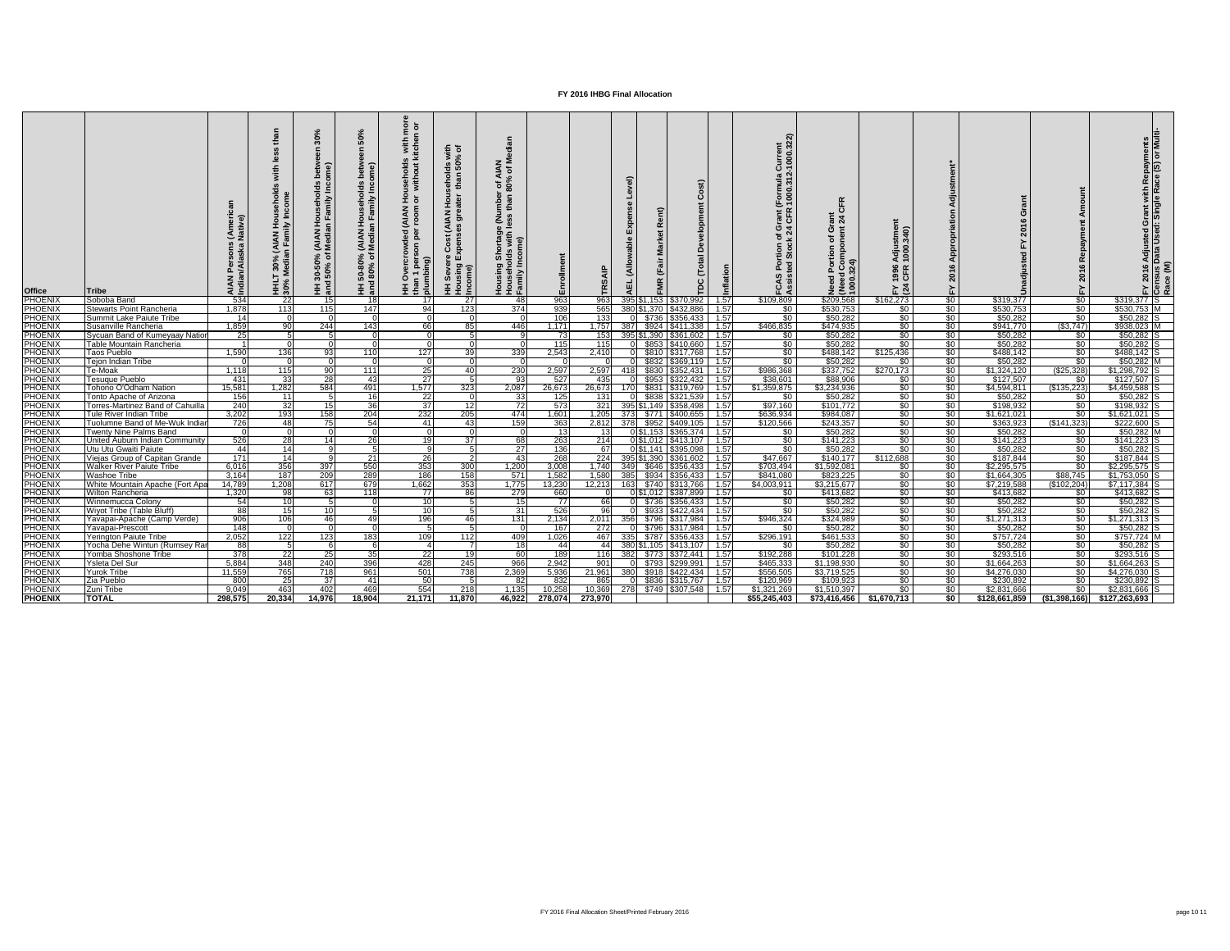| <b>Office</b>                    | <b>Tribe</b>                                                       | ∶ (Ame<br>Nati∨<br>ipal<br>A ⊡ | , (AIAN Hous<br>an Family In<br>T 30%<br>Media<br>SO%<br>30% | (AIAN<br>Media<br>న్ స<br>$\frac{1}{5}$ | <b>useholds</b><br>amily Inco<br>HH 50-80% (AIAN Ho<br>and 80% of Median F | $\overline{9}$ $\overline{6}$<br>s with<br>kitche<br>ਦੂੰ ਤੁ<br>withou<br>ঁ০<br><b>MNN)</b><br>per<br>son<br>로 를 | $\overline{5}$ $\overline{6}$<br>ds wi<br>50%<br>ັງ ສ<br>$\div$<br>Hou<br>ater<br>$\zeta$<br>$\overline{z}$<br>Cost<br>ுய்<br>$\sin g$<br>Ŧ. | z ≥<br>⊴ ზ<br>r of A<br>80%<br>mber<br>than<br>ទី និ<br>୕ୖୖ | ollment<br>ដិ   | ທ               |       |                       | ن<br>Development<br>Total<br>$\mathbf C$<br>ě                                                                                           |              | urrent<br>000.32<br>$\bar{O}$<br>iormula<br>000.31<br>ن ڇ<br>ပူ | $\frac{1}{6}$ $\frac{4}{4}$<br>σ ε<br>৳<br>ਠ | $\frac{1}{2}$<br>1996<br>CFR<br>$E \times 4$ |                              |                            |                                 | Adjusted Grant with Repayments<br>Data Used: Single Race (S) or Multi |
|----------------------------------|--------------------------------------------------------------------|--------------------------------|--------------------------------------------------------------|-----------------------------------------|----------------------------------------------------------------------------|-----------------------------------------------------------------------------------------------------------------|----------------------------------------------------------------------------------------------------------------------------------------------|-------------------------------------------------------------|-----------------|-----------------|-------|-----------------------|-----------------------------------------------------------------------------------------------------------------------------------------|--------------|-----------------------------------------------------------------|----------------------------------------------|----------------------------------------------|------------------------------|----------------------------|---------------------------------|-----------------------------------------------------------------------|
| PHOENIX                          | Soboba Band                                                        | 534<br>1,878                   | 22                                                           | 15I<br>115                              | 18I                                                                        |                                                                                                                 | <b>27</b>                                                                                                                                    | -481                                                        | 963             | 963             | 395S' |                       | 153 \$370,992                                                                                                                           | 1.57         | \$109,809                                                       | \$209,568                                    | \$162,273                                    | $\frac{1}{2}$                | \$319,377                  | $\sqrt[6]{}$<br>$\overline{50}$ | $$319,377$ S                                                          |
| <b>PHOENIX</b><br>PHOENIX        | <b>Stewarts Point Rancheria</b><br><b>Summit Lake Paiute Tribe</b> | 14                             | 113                                                          |                                         | 147                                                                        | 94                                                                                                              | 123                                                                                                                                          | 374                                                         | 939<br>106      | 565<br>133      |       |                       | 380 \$1,370 \$432,886<br>0 \$736 \$356,433                                                                                              | 1.57<br>1.57 | $\sqrt{30}$<br>$\overline{50}$                                  | \$530,753<br>\$50,282                        | \$0<br>\$0                                   | $\frac{1}{2}$<br>$\sqrt{50}$ | \$530,753<br>\$50,282      | \$0 <sub>1</sub>                | \$530,753 M<br>$$50,282$ S                                            |
| <b>PHOENIX</b>                   | Susanville Rancheria                                               | 1,859                          | 90                                                           | 244                                     | 143                                                                        | 66                                                                                                              | 85                                                                                                                                           | 446                                                         | 1,171           | 1,757           |       |                       | 387 \$924 \$411,338                                                                                                                     | 1.57         | \$466,835                                                       | \$474,935                                    | $\frac{1}{6}$                                | \$0                          | \$941,770                  | ( \$3,747)                      | \$938,023 M                                                           |
| <b>PHOENIX</b>                   | Sycuan Band of Kumeyaay Nation                                     | 25                             |                                                              |                                         |                                                                            |                                                                                                                 |                                                                                                                                              |                                                             | 73              | 153             |       |                       | 395 \$1,390 \$361,602                                                                                                                   | 1.57         | $\sqrt{30}$                                                     | \$50,282                                     | $\frac{1}{30}$                               | $\frac{1}{6}$                | \$50,282                   | 80 I                            | $$50,282$ S                                                           |
|                                  | Table Mountain Rancheria                                           |                                |                                                              |                                         |                                                                            |                                                                                                                 |                                                                                                                                              |                                                             | 115             | 115             |       |                       | \$853   \$410,660                                                                                                                       | 1.57         | \$0 <sub>1</sub>                                                | \$50,282                                     | $rac{1}{\sqrt{2}}$                           | $\frac{1}{6}$                | \$50,282                   | \$0                             | \$50,282                                                              |
| PHOENIX<br>PHOENIX               | Taos Pueblo                                                        | 1,590                          | 136                                                          | 931                                     | 110                                                                        | 127                                                                                                             | 39                                                                                                                                           | 339                                                         | 2,543           | 2,410           |       |                       | \$810 \$317,768                                                                                                                         | 1.57         | \$0                                                             | \$488,142                                    | \$125,436                                    | $\frac{1}{2}$                | \$488,142                  | \$0 <sub>1</sub>                | $$488,142$ S                                                          |
|                                  | <b>Tejon Indian Tribe</b>                                          |                                |                                                              |                                         |                                                                            | $\Omega$                                                                                                        |                                                                                                                                              |                                                             |                 |                 |       |                       | $\sqrt{$832}{$369,119}$                                                                                                                 | 1.57         | $\sqrt{30}$                                                     | \$50,282                                     | \$0                                          | $\frac{1}{6}$                | \$50,282                   | $rac{1}{\sqrt{2}}$              | $$50,282$ M                                                           |
| PHOENIX<br>PHOENIX               | <b>Te-Moak</b>                                                     | 1,118                          | 115                                                          | 90                                      | 111                                                                        | 25                                                                                                              | 40                                                                                                                                           | 230                                                         | 2,597           | 2,597           | 418   | \$830 \$352,431       |                                                                                                                                         | 1.57         | \$986,368                                                       | \$337,752                                    | \$270,173                                    | $\frac{1}{6}$                | \$1,324,120                | $(\$25,328)$                    | \$1,298,792 S                                                         |
| <b>PHOENIX</b>                   | <b>Tesuque Pueblo</b>                                              | 431                            | 33                                                           | 28                                      | 43                                                                         | 27                                                                                                              |                                                                                                                                              | 93                                                          | 527             | 435             |       |                       | $$953$ $$322,432$                                                                                                                       | 1.57         | \$38,601                                                        | \$88,906                                     | \$0                                          | $\frac{1}{30}$               | \$127,507                  | \$0                             | \$127,507                                                             |
| <b>PHOENIX</b>                   | <b>Tohono O'Odham Nation</b>                                       | 15,581                         | 1,282                                                        | 584                                     | 491                                                                        | 1,577                                                                                                           | 323                                                                                                                                          | 2,087                                                       | 26,673          | 26,673          | 170   |                       | \$831 \$319,769                                                                                                                         | 1.57         | \$1,359,875                                                     | \$3,234,936                                  | $\frac{1}{30}$                               | $\frac{1}{2}$                | \$4,594,811                | (\$135,223)                     | $$4,459,588$ S                                                        |
| <b>PHOENIX</b>                   | Tonto Apache of Arizona                                            | 156                            | 11                                                           |                                         | 16                                                                         | 22                                                                                                              |                                                                                                                                              | 33                                                          | 125             | 131             |       |                       | \$838 \$321,539                                                                                                                         | 1.57         | \$0                                                             | \$50,282                                     | $rac{1}{\sqrt{2}}$                           | $\frac{1}{6}$                | \$50,282                   | \$0                             | \$50,282                                                              |
| <b>PHOENIX</b>                   | Torres-Martinez Band of Cahuilla                                   | 240                            | 32                                                           | 15 <sup>1</sup>                         | 36                                                                         | 37                                                                                                              | 12                                                                                                                                           | 72                                                          | 573             | 321             |       |                       | 395 \$1,149 \$358,498                                                                                                                   | 1.57         | \$97,160                                                        | \$101,772                                    | \$0                                          | \$0                          | \$198,932                  | $\frac{1}{6}$                   | \$198,932                                                             |
| <b>PHOENIX</b>                   | Tule River Indian Tribe                                            | 3,202                          | 193                                                          | 158                                     | 204                                                                        | 232                                                                                                             | 205                                                                                                                                          | 474                                                         | 1,601           | 1,205           |       |                       | 373 \$771 \$400,655                                                                                                                     | 1.57         | \$636,934                                                       | \$984,087                                    | $\frac{1}{6}$                                | $\frac{1}{6}$                | \$1,621,021                | $\sqrt{50}$                     | \$1,621,021                                                           |
| <b>PHOENIX</b>                   | Tuolumne Band of Me-Wuk Indiar                                     | 726                            | 48                                                           | 75                                      | 54                                                                         | 41                                                                                                              | 43                                                                                                                                           | 159                                                         | 363             | 2,812           |       |                       | 378 \$952 \$409,105                                                                                                                     | 1.57         | \$120,566                                                       | \$243,357                                    | $\frac{1}{6}$                                | $rac{$0}{$0}$                | \$363,923                  | (\$141,323)                     | $$222,600$ S                                                          |
| PHOENIX                          | <b>Twenty Nine Palms Band</b>                                      |                                |                                                              |                                         |                                                                            |                                                                                                                 |                                                                                                                                              |                                                             | 13              |                 |       | 0 \$1,153 \$365,374   |                                                                                                                                         | 1.57         | \$0 <sub>1</sub>                                                | \$50,282                                     | \$0                                          |                              | \$50,282                   | \$0                             | $$50,282$ M                                                           |
| <b>PHOENIX</b>                   | United Auburn Indian Community                                     | 526                            | 28                                                           | 14 I                                    | 26                                                                         | 19 <sup>l</sup>                                                                                                 | 37 <sup>l</sup>                                                                                                                              | 68                                                          | 263             | 214             |       | 0 \$1,012 \$413,107   |                                                                                                                                         | 1.57         | $\sqrt{50}$                                                     | \$141,223                                    | $rac{1}{2}$                                  | $\frac{1}{6}$                | \$141,223                  | \$0 <sub>1</sub>                | $$141,223$ S                                                          |
| <b>PHOENIX</b>                   | Utu Utu Gwaiti Paiute                                              | 44                             | 14                                                           |                                         |                                                                            | $\mathbf{Q}$                                                                                                    |                                                                                                                                              | 27                                                          | 136             | 67              |       | 0 \$1,141 \$395,098   |                                                                                                                                         | 1.57         | \$0                                                             | \$50,282                                     | \$0 <sub>1</sub>                             | \$0                          | \$50,282                   | \$0                             | $$50,282$ S                                                           |
| <b>PHOENIX</b>                   | Viejas Group of Capitan Grande                                     | $171$                          | 14                                                           |                                         | 21                                                                         | 26                                                                                                              |                                                                                                                                              | 43 <sub>l</sub>                                             | 268             | 224             |       | 395 \$1,390 \$361,602 |                                                                                                                                         | 1.57         | \$47,667                                                        | \$140, 177                                   | \$112,688                                    | $\frac{1}{2}$                | \$187,844                  | \$0 <sub>1</sub>                | \$187,844                                                             |
| <b>PHOENIX</b><br><b>PHOENIX</b> | Walker River Paiute Tribe<br><b>Washoe Tribe</b>                   | 6,016<br>3,164                 | 356<br>187                                                   | 397 <br>209                             | 550<br>289                                                                 | -3531<br>186                                                                                                    | 300 <sub>1</sub><br>158                                                                                                                      | 1,200<br>571                                                | 3,008           | 1,740           |       |                       | 385 \ \\$934 \ \\$356,433 \ \ 1.57                                                                                                      |              | \$703,494  <br>\$841,080                                        | \$1,592,081<br>\$823,225                     | - \$0  <br>$\sqrt{50}$                       | \$0 <sub>1</sub><br>\$0      | \$2,295,575<br>\$1,664,305 | - \$0 I<br>\$88,745             | \$2,295,575 IS<br>$$1,753,050$ S                                      |
| PHOENIX                          | White Mountain Apache (Fort Apa                                    | 14,789                         | 1,208                                                        | 617                                     | 679                                                                        | 1,662                                                                                                           | 353                                                                                                                                          | 1,775                                                       | 1,582<br>13,230 | 1,580<br>12,213 |       |                       | 163 \$740 \$313,766 1.57                                                                                                                |              | \$4,003,911                                                     | \$3,215,677                                  | $\sqrt{50}$                                  | \$0                          | \$7,219,588                | (\$102,204)                     | $$7,117,384$ S                                                        |
| <b>PHOENIX</b>                   | <b>Wilton Rancheria</b>                                            | 1,320                          | 98                                                           | 63I                                     | 118                                                                        | 77                                                                                                              | 86                                                                                                                                           | 279                                                         | 660             |                 |       |                       | $0 $1,012$ $$387,899$   1.57                                                                                                            |              | \$0 <sub>1</sub>                                                | \$413,682                                    | $\sqrt{50}$                                  | $\sqrt{50}$                  | \$413,682                  | 80 I                            | \$413,682 S                                                           |
| <b>PHOENIX</b>                   | Winnemucca Colony                                                  | 54                             | 10 <sup>1</sup>                                              |                                         |                                                                            | 10I                                                                                                             |                                                                                                                                              | 15                                                          | $\overline{77}$ | 66              |       |                       | 0 \$736 \$356,433 1.57                                                                                                                  |              | $\sqrt{50}$                                                     | \$50,282                                     | \$0                                          | $\sqrt{50}$                  | \$50,282                   | $\sqrt{50}$                     | $$50,282$ S                                                           |
| <b>PHOENIX</b>                   | Wiyot Tribe (Table Bluff)                                          | $\frac{88}{2}$                 | 15                                                           | 10 I                                    |                                                                            | -10 l                                                                                                           |                                                                                                                                              | 31                                                          | 526             | 961             |       |                       | $0$ \$933 \$422,434 1.57                                                                                                                |              | $\sqrt{50}$                                                     | \$50,282                                     | \$0                                          | \$0                          | \$50,282                   | $\sqrt{50}$                     | $$50,282$ S                                                           |
| <b>PHOENIX</b>                   | Yavapai-Apache (Camp Verde)                                        | 906                            | 106                                                          | 46                                      | 49                                                                         | 196                                                                                                             | 46                                                                                                                                           | 131                                                         | 2,134           |                 |       |                       | 2,011 356 \$796 \$317,984 1.57                                                                                                          |              | \$946,324                                                       | \$324,989                                    | $\frac{1}{6}$                                | \$0                          | \$1,271,313                | \$0                             | $$1,271,313$ S                                                        |
| <b>PHOENIX</b>                   | Yavapai-Prescott                                                   | 148                            |                                                              |                                         |                                                                            |                                                                                                                 |                                                                                                                                              |                                                             | 167             | 272             |       |                       | 0 \$796 \$317,984 1.57                                                                                                                  |              | \$0 <sub>1</sub>                                                | \$50,282                                     | \$0                                          | \$0                          | \$50,282                   | \$0 <sub>1</sub>                | $$50,282$ S                                                           |
| <b>PHOENIX</b>                   | <b>Yerington Paiute Tribe</b>                                      | 2,052                          | 122                                                          | 123                                     | 183                                                                        | 109                                                                                                             | 112                                                                                                                                          | 409                                                         | 1,026           | 467             |       |                       | 335 \$787 \$356,433 1.57                                                                                                                |              | \$296,191                                                       | \$461,533                                    | \$0                                          | \$0                          | \$757,724                  | \$0                             | $$757,724$ M                                                          |
| <b>PHOENIX</b>                   | Yocha Dehe Wintun (Rumsey Rar                                      | 88                             |                                                              |                                         |                                                                            |                                                                                                                 |                                                                                                                                              | $\overline{18}$                                             | 44              | 44 I            |       |                       | 380 \$1,105   \$413,107   1.57                                                                                                          |              | \$0 <sub>1</sub>                                                | \$50,282                                     | \$0                                          | \$0                          | \$50,282                   | $\sqrt{50}$                     | \$50,282 S                                                            |
| <b>PHOENIX</b>                   | Yomba Shoshone Tribe                                               | 378                            | $\overline{22}$                                              | 25                                      | 35                                                                         | <b>22</b>                                                                                                       | 19                                                                                                                                           | 60 l                                                        | 189             |                 |       |                       | 116 382 \$773 \$372,441 1.57                                                                                                            |              | \$192,288                                                       | \$101,228                                    | \$0                                          | $\sqrt{50}$                  | \$293,516                  | \$0 <sub>1</sub>                | $$293,516$ S                                                          |
| <b>PHOENIX</b>                   | Ysleta Del Sur                                                     | 5,884                          | 348                                                          | 240                                     | 396                                                                        | 428                                                                                                             | 245                                                                                                                                          | 966                                                         | 2,942           | 901             |       |                       | $\begin{array}{ c c c c c c c c c } \hline \multicolumn{1}{ c }{\mathsf{0}} & \text{$$5793 $ & $5299,991 $ & $1.57$ \hline \end{array}$ |              | \$465,333                                                       | \$1,198,930                                  | \$0                                          | $\sqrt{50}$                  | \$1,664,263                | \$0                             | $$1,664,263$ S                                                        |
| <b>PHOENIX</b>                   | <b>Yurok Tribe</b>                                                 | 11,559                         | 765                                                          | 718                                     | 961                                                                        | 501                                                                                                             | 738                                                                                                                                          | 2,369                                                       | 5,936           | 21,961          |       |                       | 380 \$918 \$422,434 1.57                                                                                                                |              | \$556,505                                                       | \$3,719,525                                  | \$0                                          | $\sqrt{50}$                  | \$4,276,030                | \$0                             | $$4,276,030$ S                                                        |
| <b>PHOENIX</b>                   | Zia Pueblo                                                         | 800                            | $\overline{25}$                                              | 37 I                                    | -411                                                                       | 50 <sub>1</sub>                                                                                                 |                                                                                                                                              | -82I                                                        | 832             | 865             |       |                       | 0 \$836 \$315,767 1.57                                                                                                                  |              | \$120,969                                                       | \$109,923                                    | \$0                                          | $\sqrt{50}$                  | \$230,892                  | $\sqrt{50}$                     | \$230,892 S                                                           |
| <b>PHOENIX</b><br><b>PHOENIX</b> | Zuni Tribe                                                         | 9,049                          | 463                                                          | 402                                     | 469                                                                        | 554                                                                                                             | 218                                                                                                                                          | 1,135                                                       | 10,258          | 10,369          |       |                       | 278 \$749 \$307,548 1.57                                                                                                                |              | \$1,321,269                                                     | \$1,510,397                                  | $\sqrt{50}$                                  | \$0<br>\$0                   | \$2,831,666                | \$0                             | $$2,831,666$ S                                                        |
|                                  | <b>TOTAL</b>                                                       | 298,575                        | 20,334                                                       | 14,976                                  | 18,904                                                                     | 21,171                                                                                                          | 11,870                                                                                                                                       |                                                             | 46,922 278,074  | 273,970         |       |                       |                                                                                                                                         |              | \$55,245,403                                                    | $$73,416,456$ $$1,670,713$                   |                                              |                              |                            |                                 | $$128,661,859$ (\$1,398,166) \$127,263,693                            |